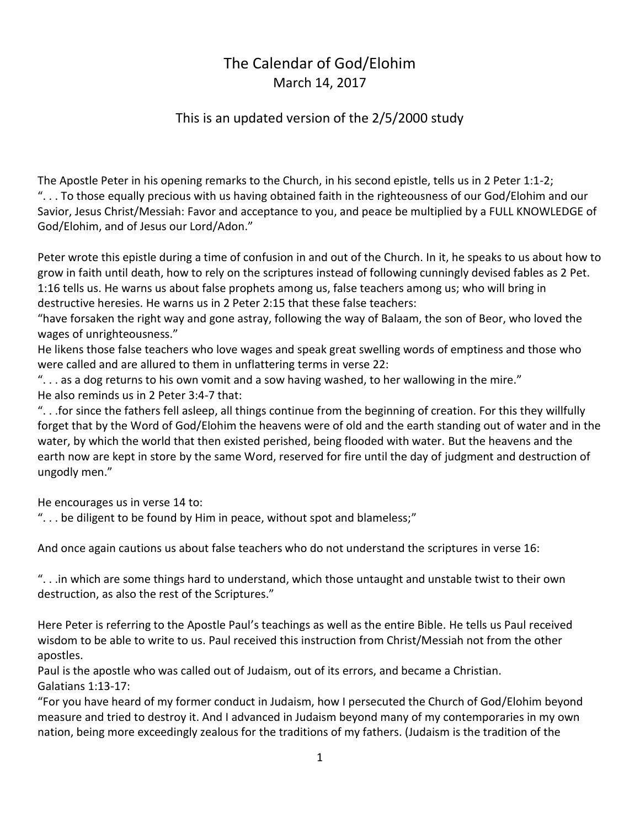# The Calendar of God/Elohim March 14, 2017

## This is an updated version of the 2/5/2000 study

The Apostle Peter in his opening remarks to the Church, in his second epistle, tells us in 2 Peter 1:1-2; ". . . To those equally precious with us having obtained faith in the righteousness of our God/Elohim and our Savior, Jesus Christ/Messiah: Favor and acceptance to you, and peace be multiplied by a FULL KNOWLEDGE of God/Elohim, and of Jesus our Lord/Adon."

Peter wrote this epistle during a time of confusion in and out of the Church. In it, he speaks to us about how to grow in faith until death, how to rely on the scriptures instead of following cunningly devised fables as 2 Pet. 1:16 tells us. He warns us about false prophets among us, false teachers among us; who will bring in destructive heresies. He warns us in 2 Peter 2:15 that these false teachers:

"have forsaken the right way and gone astray, following the way of Balaam, the son of Beor, who loved the wages of unrighteousness."

He likens those false teachers who love wages and speak great swelling words of emptiness and those who were called and are allured to them in unflattering terms in verse 22:

". . . as a dog returns to his own vomit and a sow having washed, to her wallowing in the mire."

He also reminds us in 2 Peter 3:4-7 that:

". . .for since the fathers fell asleep, all things continue from the beginning of creation. For this they willfully forget that by the Word of God/Elohim the heavens were of old and the earth standing out of water and in the water, by which the world that then existed perished, being flooded with water. But the heavens and the earth now are kept in store by the same Word, reserved for fire until the day of judgment and destruction of ungodly men."

He encourages us in verse 14 to:

". . . be diligent to be found by Him in peace, without spot and blameless;"

And once again cautions us about false teachers who do not understand the scriptures in verse 16:

". . .in which are some things hard to understand, which those untaught and unstable twist to their own destruction, as also the rest of the Scriptures."

Here Peter is referring to the Apostle Paul's teachings as well as the entire Bible. He tells us Paul received wisdom to be able to write to us. Paul received this instruction from Christ/Messiah not from the other apostles.

Paul is the apostle who was called out of Judaism, out of its errors, and became a Christian. Galatians 1:13-17:

"For you have heard of my former conduct in Judaism, how I persecuted the Church of God/Elohim beyond measure and tried to destroy it. And I advanced in Judaism beyond many of my contemporaries in my own nation, being more exceedingly zealous for the traditions of my fathers. (Judaism is the tradition of the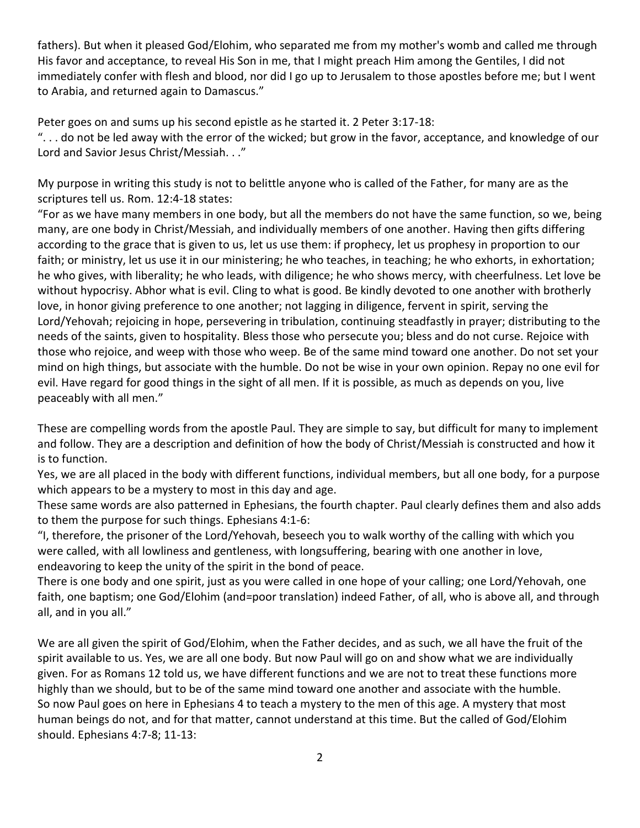fathers). But when it pleased God/Elohim, who separated me from my mother's womb and called me through His favor and acceptance, to reveal His Son in me, that I might preach Him among the Gentiles, I did not immediately confer with flesh and blood, nor did I go up to Jerusalem to those apostles before me; but I went to Arabia, and returned again to Damascus."

Peter goes on and sums up his second epistle as he started it. 2 Peter 3:17-18: "... do not be led away with the error of the wicked; but grow in the favor, acceptance, and knowledge of our Lord and Savior Jesus Christ/Messiah. . ."

My purpose in writing this study is not to belittle anyone who is called of the Father, for many are as the scriptures tell us. Rom. 12:4-18 states:

"For as we have many members in one body, but all the members do not have the same function, so we, being many, are one body in Christ/Messiah, and individually members of one another. Having then gifts differing according to the grace that is given to us, let us use them: if prophecy, let us prophesy in proportion to our faith; or ministry, let us use it in our ministering; he who teaches, in teaching; he who exhorts, in exhortation; he who gives, with liberality; he who leads, with diligence; he who shows mercy, with cheerfulness. Let love be without hypocrisy. Abhor what is evil. Cling to what is good. Be kindly devoted to one another with brotherly love, in honor giving preference to one another; not lagging in diligence, fervent in spirit, serving the Lord/Yehovah; rejoicing in hope, persevering in tribulation, continuing steadfastly in prayer; distributing to the needs of the saints, given to hospitality. Bless those who persecute you; bless and do not curse. Rejoice with those who rejoice, and weep with those who weep. Be of the same mind toward one another. Do not set your mind on high things, but associate with the humble. Do not be wise in your own opinion. Repay no one evil for evil. Have regard for good things in the sight of all men. If it is possible, as much as depends on you, live peaceably with all men."

These are compelling words from the apostle Paul. They are simple to say, but difficult for many to implement and follow. They are a description and definition of how the body of Christ/Messiah is constructed and how it is to function.

Yes, we are all placed in the body with different functions, individual members, but all one body, for a purpose which appears to be a mystery to most in this day and age.

These same words are also patterned in Ephesians, the fourth chapter. Paul clearly defines them and also adds to them the purpose for such things. Ephesians 4:1-6:

"I, therefore, the prisoner of the Lord/Yehovah, beseech you to walk worthy of the calling with which you were called, with all lowliness and gentleness, with longsuffering, bearing with one another in love, endeavoring to keep the unity of the spirit in the bond of peace.

There is one body and one spirit, just as you were called in one hope of your calling; one Lord/Yehovah, one faith, one baptism; one God/Elohim (and=poor translation) indeed Father, of all, who is above all, and through all, and in you all."

We are all given the spirit of God/Elohim, when the Father decides, and as such, we all have the fruit of the spirit available to us. Yes, we are all one body. But now Paul will go on and show what we are individually given. For as Romans 12 told us, we have different functions and we are not to treat these functions more highly than we should, but to be of the same mind toward one another and associate with the humble. So now Paul goes on here in Ephesians 4 to teach a mystery to the men of this age. A mystery that most human beings do not, and for that matter, cannot understand at this time. But the called of God/Elohim should. Ephesians 4:7-8; 11-13: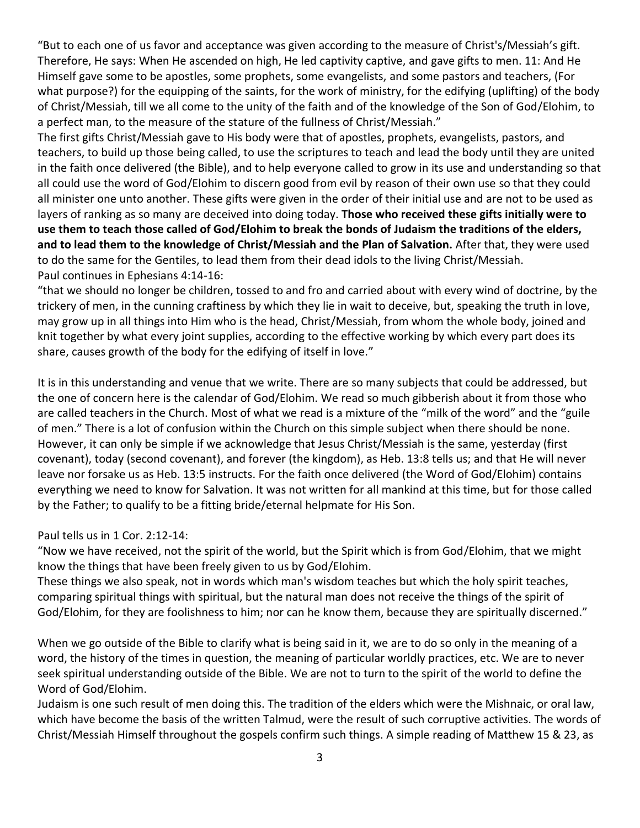"But to each one of us favor and acceptance was given according to the measure of Christ's/Messiah's gift. Therefore, He says: When He ascended on high, He led captivity captive, and gave gifts to men. 11: And He Himself gave some to be apostles, some prophets, some evangelists, and some pastors and teachers, (For what purpose?) for the equipping of the saints, for the work of ministry, for the edifying (uplifting) of the body of Christ/Messiah, till we all come to the unity of the faith and of the knowledge of the Son of God/Elohim, to a perfect man, to the measure of the stature of the fullness of Christ/Messiah."

The first gifts Christ/Messiah gave to His body were that of apostles, prophets, evangelists, pastors, and teachers, to build up those being called, to use the scriptures to teach and lead the body until they are united in the faith once delivered (the Bible), and to help everyone called to grow in its use and understanding so that all could use the word of God/Elohim to discern good from evil by reason of their own use so that they could all minister one unto another. These gifts were given in the order of their initial use and are not to be used as layers of ranking as so many are deceived into doing today. **Those who received these gifts initially were to use them to teach those called of God/Elohim to break the bonds of Judaism the traditions of the elders, and to lead them to the knowledge of Christ/Messiah and the Plan of Salvation.** After that, they were used to do the same for the Gentiles, to lead them from their dead idols to the living Christ/Messiah. Paul continues in Ephesians 4:14-16:

"that we should no longer be children, tossed to and fro and carried about with every wind of doctrine, by the trickery of men, in the cunning craftiness by which they lie in wait to deceive, but, speaking the truth in love, may grow up in all things into Him who is the head, Christ/Messiah, from whom the whole body, joined and knit together by what every joint supplies, according to the effective working by which every part does its share, causes growth of the body for the edifying of itself in love."

It is in this understanding and venue that we write. There are so many subjects that could be addressed, but the one of concern here is the calendar of God/Elohim. We read so much gibberish about it from those who are called teachers in the Church. Most of what we read is a mixture of the "milk of the word" and the "guile of men." There is a lot of confusion within the Church on this simple subject when there should be none. However, it can only be simple if we acknowledge that Jesus Christ/Messiah is the same, yesterday (first covenant), today (second covenant), and forever (the kingdom), as Heb. 13:8 tells us; and that He will never leave nor forsake us as Heb. 13:5 instructs. For the faith once delivered (the Word of God/Elohim) contains everything we need to know for Salvation. It was not written for all mankind at this time, but for those called by the Father; to qualify to be a fitting bride/eternal helpmate for His Son.

Paul tells us in 1 Cor. 2:12-14:

"Now we have received, not the spirit of the world, but the Spirit which is from God/Elohim, that we might know the things that have been freely given to us by God/Elohim.

These things we also speak, not in words which man's wisdom teaches but which the holy spirit teaches, comparing spiritual things with spiritual, but the natural man does not receive the things of the spirit of God/Elohim, for they are foolishness to him; nor can he know them, because they are spiritually discerned."

When we go outside of the Bible to clarify what is being said in it, we are to do so only in the meaning of a word, the history of the times in question, the meaning of particular worldly practices, etc. We are to never seek spiritual understanding outside of the Bible. We are not to turn to the spirit of the world to define the Word of God/Elohim.

Judaism is one such result of men doing this. The tradition of the elders which were the Mishnaic, or oral law, which have become the basis of the written Talmud, were the result of such corruptive activities. The words of Christ/Messiah Himself throughout the gospels confirm such things. A simple reading of Matthew 15 & 23, as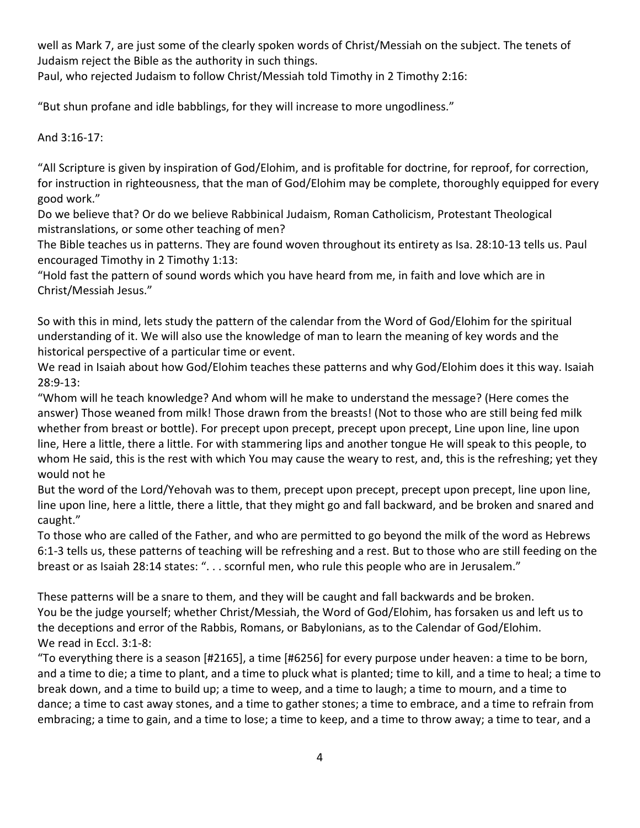well as Mark 7, are just some of the clearly spoken words of Christ/Messiah on the subject. The tenets of Judaism reject the Bible as the authority in such things.

Paul, who rejected Judaism to follow Christ/Messiah told Timothy in 2 Timothy 2:16:

"But shun profane and idle babblings, for they will increase to more ungodliness."

And 3:16-17:

"All Scripture is given by inspiration of God/Elohim, and is profitable for doctrine, for reproof, for correction, for instruction in righteousness, that the man of God/Elohim may be complete, thoroughly equipped for every good work."

Do we believe that? Or do we believe Rabbinical Judaism, Roman Catholicism, Protestant Theological mistranslations, or some other teaching of men?

The Bible teaches us in patterns. They are found woven throughout its entirety as Isa. 28:10-13 tells us. Paul encouraged Timothy in 2 Timothy 1:13:

"Hold fast the pattern of sound words which you have heard from me, in faith and love which are in Christ/Messiah Jesus."

So with this in mind, lets study the pattern of the calendar from the Word of God/Elohim for the spiritual understanding of it. We will also use the knowledge of man to learn the meaning of key words and the historical perspective of a particular time or event.

We read in Isaiah about how God/Elohim teaches these patterns and why God/Elohim does it this way. Isaiah 28:9-13:

"Whom will he teach knowledge? And whom will he make to understand the message? (Here comes the answer) Those weaned from milk! Those drawn from the breasts! (Not to those who are still being fed milk whether from breast or bottle). For precept upon precept, precept upon precept, Line upon line, line upon line, Here a little, there a little. For with stammering lips and another tongue He will speak to this people, to whom He said, this is the rest with which You may cause the weary to rest, and, this is the refreshing; yet they would not he

But the word of the Lord/Yehovah was to them, precept upon precept, precept upon precept, line upon line, line upon line, here a little, there a little, that they might go and fall backward, and be broken and snared and caught."

To those who are called of the Father, and who are permitted to go beyond the milk of the word as Hebrews 6:1-3 tells us, these patterns of teaching will be refreshing and a rest. But to those who are still feeding on the breast or as Isaiah 28:14 states: ". . . scornful men, who rule this people who are in Jerusalem."

These patterns will be a snare to them, and they will be caught and fall backwards and be broken. You be the judge yourself; whether Christ/Messiah, the Word of God/Elohim, has forsaken us and left us to the deceptions and error of the Rabbis, Romans, or Babylonians, as to the Calendar of God/Elohim. We read in Eccl. 3:1-8:

"To everything there is a season [#2165], a time [#6256] for every purpose under heaven: a time to be born, and a time to die; a time to plant, and a time to pluck what is planted; time to kill, and a time to heal; a time to break down, and a time to build up; a time to weep, and a time to laugh; a time to mourn, and a time to dance; a time to cast away stones, and a time to gather stones; a time to embrace, and a time to refrain from embracing; a time to gain, and a time to lose; a time to keep, and a time to throw away; a time to tear, and a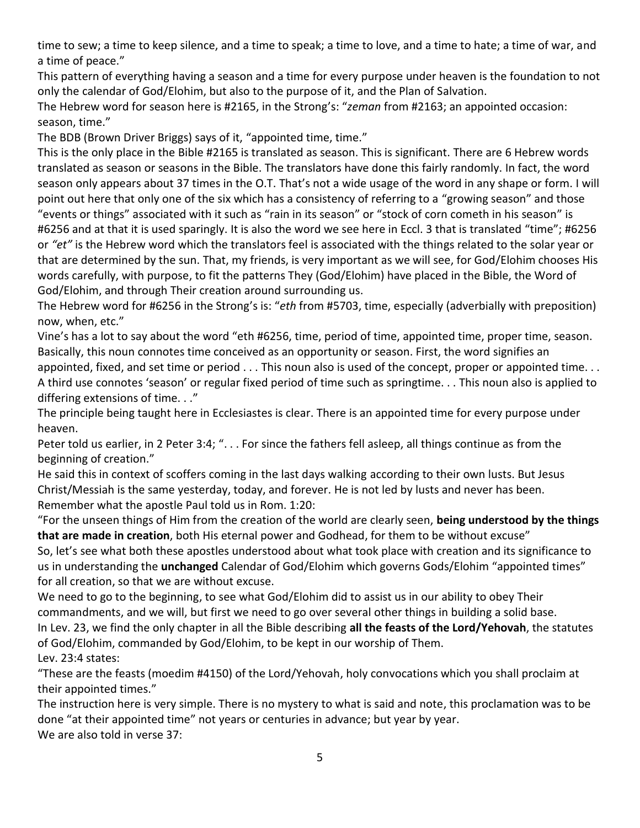time to sew; a time to keep silence, and a time to speak; a time to love, and a time to hate; a time of war, and a time of peace."

This pattern of everything having a season and a time for every purpose under heaven is the foundation to not only the calendar of God/Elohim, but also to the purpose of it, and the Plan of Salvation.

The Hebrew word for season here is #2165, in the Strong's: "*zeman* from #2163; an appointed occasion: season, time."

The BDB (Brown Driver Briggs) says of it, "appointed time, time."

This is the only place in the Bible #2165 is translated as season. This is significant. There are 6 Hebrew words translated as season or seasons in the Bible. The translators have done this fairly randomly. In fact, the word season only appears about 37 times in the O.T. That's not a wide usage of the word in any shape or form. I will point out here that only one of the six which has a consistency of referring to a "growing season" and those "events or things" associated with it such as "rain in its season" or "stock of corn cometh in his season" is #6256 and at that it is used sparingly. It is also the word we see here in Eccl. 3 that is translated "time"; #6256 or *"et"* is the Hebrew word which the translators feel is associated with the things related to the solar year or that are determined by the sun. That, my friends, is very important as we will see, for God/Elohim chooses His words carefully, with purpose, to fit the patterns They (God/Elohim) have placed in the Bible, the Word of God/Elohim, and through Their creation around surrounding us.

The Hebrew word for #6256 in the Strong's is: "*eth* from #5703, time, especially (adverbially with preposition) now, when, etc."

Vine's has a lot to say about the word "eth #6256, time, period of time, appointed time, proper time, season. Basically, this noun connotes time conceived as an opportunity or season. First, the word signifies an appointed, fixed, and set time or period . . . This noun also is used of the concept, proper or appointed time. . . A third use connotes 'season' or regular fixed period of time such as springtime. . . This noun also is applied to differing extensions of time. . ."

The principle being taught here in Ecclesiastes is clear. There is an appointed time for every purpose under heaven.

Peter told us earlier, in 2 Peter 3:4; "... For since the fathers fell asleep, all things continue as from the beginning of creation."

He said this in context of scoffers coming in the last days walking according to their own lusts. But Jesus Christ/Messiah is the same yesterday, today, and forever. He is not led by lusts and never has been. Remember what the apostle Paul told us in Rom. 1:20:

"For the unseen things of Him from the creation of the world are clearly seen, **being understood by the things that are made in creation**, both His eternal power and Godhead, for them to be without excuse" So, let's see what both these apostles understood about what took place with creation and its significance to us in understanding the **unchanged** Calendar of God/Elohim which governs Gods/Elohim "appointed times"

for all creation, so that we are without excuse.

We need to go to the beginning, to see what God/Elohim did to assist us in our ability to obey Their commandments, and we will, but first we need to go over several other things in building a solid base.

In Lev. 23, we find the only chapter in all the Bible describing **all the feasts of the Lord/Yehovah**, the statutes of God/Elohim, commanded by God/Elohim, to be kept in our worship of Them.

Lev. 23:4 states:

"These are the feasts (moedim #4150) of the Lord/Yehovah, holy convocations which you shall proclaim at their appointed times."

The instruction here is very simple. There is no mystery to what is said and note, this proclamation was to be done "at their appointed time" not years or centuries in advance; but year by year. We are also told in verse 37: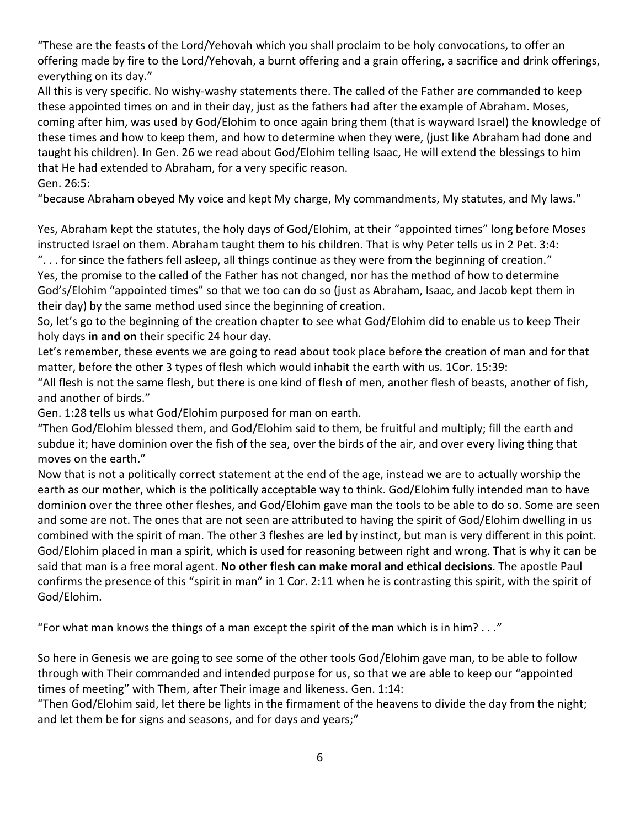"These are the feasts of the Lord/Yehovah which you shall proclaim to be holy convocations, to offer an offering made by fire to the Lord/Yehovah, a burnt offering and a grain offering, a sacrifice and drink offerings, everything on its day."

All this is very specific. No wishy-washy statements there. The called of the Father are commanded to keep these appointed times on and in their day, just as the fathers had after the example of Abraham. Moses, coming after him, was used by God/Elohim to once again bring them (that is wayward Israel) the knowledge of these times and how to keep them, and how to determine when they were, (just like Abraham had done and taught his children). In Gen. 26 we read about God/Elohim telling Isaac, He will extend the blessings to him that He had extended to Abraham, for a very specific reason.

Gen. 26:5:

"because Abraham obeyed My voice and kept My charge, My commandments, My statutes, and My laws."

Yes, Abraham kept the statutes, the holy days of God/Elohim, at their "appointed times" long before Moses instructed Israel on them. Abraham taught them to his children. That is why Peter tells us in 2 Pet. 3:4:

". . . for since the fathers fell asleep, all things continue as they were from the beginning of creation." Yes, the promise to the called of the Father has not changed, nor has the method of how to determine God's/Elohim "appointed times" so that we too can do so (just as Abraham, Isaac, and Jacob kept them in their day) by the same method used since the beginning of creation.

So, let's go to the beginning of the creation chapter to see what God/Elohim did to enable us to keep Their holy days **in and on** their specific 24 hour day.

Let's remember, these events we are going to read about took place before the creation of man and for that matter, before the other 3 types of flesh which would inhabit the earth with us. 1Cor. 15:39:

"All flesh is not the same flesh, but there is one kind of flesh of men, another flesh of beasts, another of fish, and another of birds."

Gen. 1:28 tells us what God/Elohim purposed for man on earth.

"Then God/Elohim blessed them, and God/Elohim said to them, be fruitful and multiply; fill the earth and subdue it; have dominion over the fish of the sea, over the birds of the air, and over every living thing that moves on the earth."

Now that is not a politically correct statement at the end of the age, instead we are to actually worship the earth as our mother, which is the politically acceptable way to think. God/Elohim fully intended man to have dominion over the three other fleshes, and God/Elohim gave man the tools to be able to do so. Some are seen and some are not. The ones that are not seen are attributed to having the spirit of God/Elohim dwelling in us combined with the spirit of man. The other 3 fleshes are led by instinct, but man is very different in this point. God/Elohim placed in man a spirit, which is used for reasoning between right and wrong. That is why it can be said that man is a free moral agent. **No other flesh can make moral and ethical decisions**. The apostle Paul confirms the presence of this "spirit in man" in 1 Cor. 2:11 when he is contrasting this spirit, with the spirit of God/Elohim.

"For what man knows the things of a man except the spirit of the man which is in him?  $\dots$ "

So here in Genesis we are going to see some of the other tools God/Elohim gave man, to be able to follow through with Their commanded and intended purpose for us, so that we are able to keep our "appointed times of meeting" with Them, after Their image and likeness. Gen. 1:14:

"Then God/Elohim said, let there be lights in the firmament of the heavens to divide the day from the night; and let them be for signs and seasons, and for days and years;"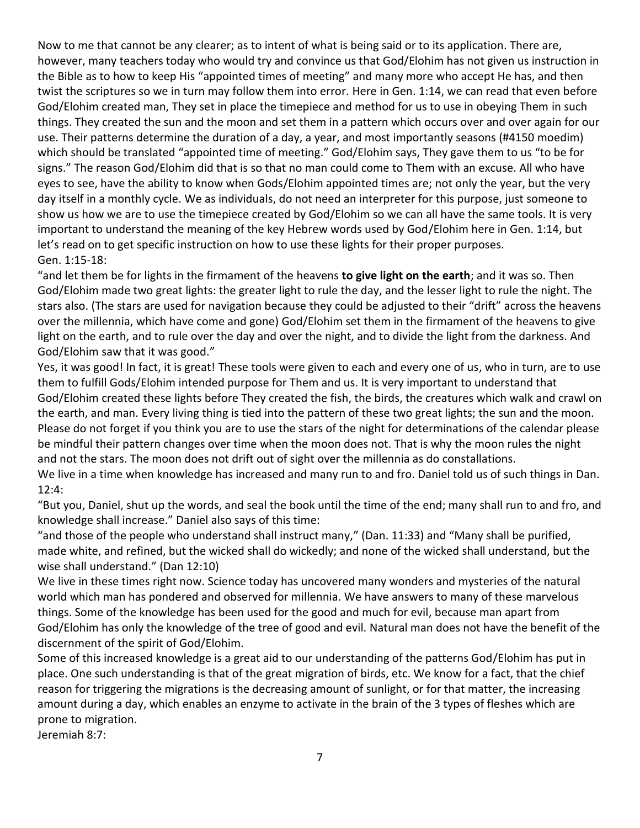Now to me that cannot be any clearer; as to intent of what is being said or to its application. There are, however, many teachers today who would try and convince us that God/Elohim has not given us instruction in the Bible as to how to keep His "appointed times of meeting" and many more who accept He has, and then twist the scriptures so we in turn may follow them into error. Here in Gen. 1:14, we can read that even before God/Elohim created man, They set in place the timepiece and method for us to use in obeying Them in such things. They created the sun and the moon and set them in a pattern which occurs over and over again for our use. Their patterns determine the duration of a day, a year, and most importantly seasons (#4150 moedim) which should be translated "appointed time of meeting." God/Elohim says, They gave them to us "to be for signs." The reason God/Elohim did that is so that no man could come to Them with an excuse. All who have eyes to see, have the ability to know when Gods/Elohim appointed times are; not only the year, but the very day itself in a monthly cycle. We as individuals, do not need an interpreter for this purpose, just someone to show us how we are to use the timepiece created by God/Elohim so we can all have the same tools. It is very important to understand the meaning of the key Hebrew words used by God/Elohim here in Gen. 1:14, but let's read on to get specific instruction on how to use these lights for their proper purposes. Gen. 1:15-18:

"and let them be for lights in the firmament of the heavens **to give light on the earth**; and it was so. Then God/Elohim made two great lights: the greater light to rule the day, and the lesser light to rule the night. The stars also. (The stars are used for navigation because they could be adjusted to their "drift" across the heavens over the millennia, which have come and gone) God/Elohim set them in the firmament of the heavens to give light on the earth, and to rule over the day and over the night, and to divide the light from the darkness. And God/Elohim saw that it was good."

Yes, it was good! In fact, it is great! These tools were given to each and every one of us, who in turn, are to use them to fulfill Gods/Elohim intended purpose for Them and us. It is very important to understand that God/Elohim created these lights before They created the fish, the birds, the creatures which walk and crawl on the earth, and man. Every living thing is tied into the pattern of these two great lights; the sun and the moon. Please do not forget if you think you are to use the stars of the night for determinations of the calendar please be mindful their pattern changes over time when the moon does not. That is why the moon rules the night and not the stars. The moon does not drift out of sight over the millennia as do constallations.

We live in a time when knowledge has increased and many run to and fro. Daniel told us of such things in Dan. 12:4:

"But you, Daniel, shut up the words, and seal the book until the time of the end; many shall run to and fro, and knowledge shall increase." Daniel also says of this time:

"and those of the people who understand shall instruct many," (Dan. 11:33) and "Many shall be purified, made white, and refined, but the wicked shall do wickedly; and none of the wicked shall understand, but the wise shall understand." (Dan 12:10)

We live in these times right now. Science today has uncovered many wonders and mysteries of the natural world which man has pondered and observed for millennia. We have answers to many of these marvelous things. Some of the knowledge has been used for the good and much for evil, because man apart from God/Elohim has only the knowledge of the tree of good and evil. Natural man does not have the benefit of the discernment of the spirit of God/Elohim.

Some of this increased knowledge is a great aid to our understanding of the patterns God/Elohim has put in place. One such understanding is that of the great migration of birds, etc. We know for a fact, that the chief reason for triggering the migrations is the decreasing amount of sunlight, or for that matter, the increasing amount during a day, which enables an enzyme to activate in the brain of the 3 types of fleshes which are prone to migration.

Jeremiah 8:7: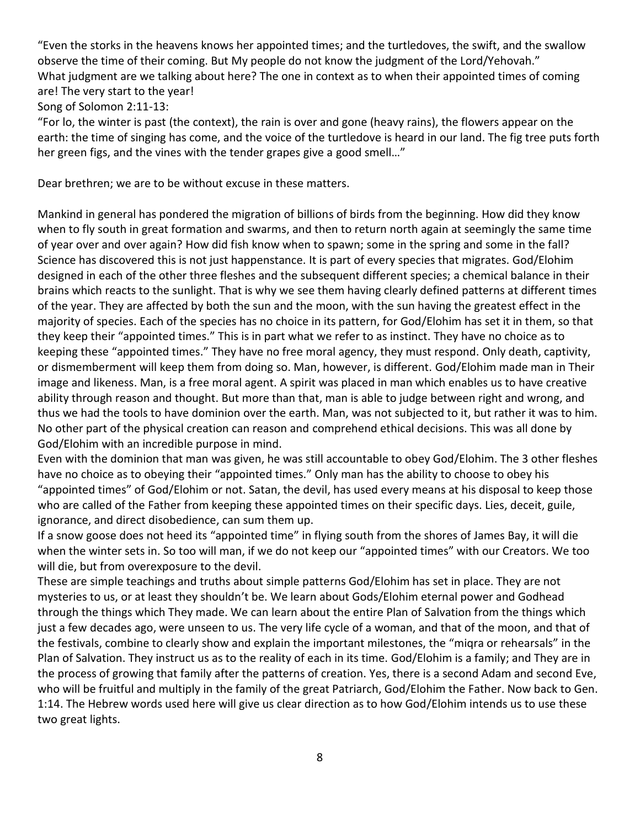"Even the storks in the heavens knows her appointed times; and the turtledoves, the swift, and the swallow observe the time of their coming. But My people do not know the judgment of the Lord/Yehovah." What judgment are we talking about here? The one in context as to when their appointed times of coming are! The very start to the year!

Song of Solomon 2:11-13:

"For lo, the winter is past (the context), the rain is over and gone (heavy rains), the flowers appear on the earth: the time of singing has come, and the voice of the turtledove is heard in our land. The fig tree puts forth her green figs, and the vines with the tender grapes give a good smell..."

Dear brethren; we are to be without excuse in these matters.

Mankind in general has pondered the migration of billions of birds from the beginning. How did they know when to fly south in great formation and swarms, and then to return north again at seemingly the same time of year over and over again? How did fish know when to spawn; some in the spring and some in the fall? Science has discovered this is not just happenstance. It is part of every species that migrates. God/Elohim designed in each of the other three fleshes and the subsequent different species; a chemical balance in their brains which reacts to the sunlight. That is why we see them having clearly defined patterns at different times of the year. They are affected by both the sun and the moon, with the sun having the greatest effect in the majority of species. Each of the species has no choice in its pattern, for God/Elohim has set it in them, so that they keep their "appointed times." This is in part what we refer to as instinct. They have no choice as to keeping these "appointed times." They have no free moral agency, they must respond. Only death, captivity, or dismemberment will keep them from doing so. Man, however, is different. God/Elohim made man in Their image and likeness. Man, is a free moral agent. A spirit was placed in man which enables us to have creative ability through reason and thought. But more than that, man is able to judge between right and wrong, and thus we had the tools to have dominion over the earth. Man, was not subjected to it, but rather it was to him. No other part of the physical creation can reason and comprehend ethical decisions. This was all done by God/Elohim with an incredible purpose in mind.

Even with the dominion that man was given, he was still accountable to obey God/Elohim. The 3 other fleshes have no choice as to obeying their "appointed times." Only man has the ability to choose to obey his "appointed times" of God/Elohim or not. Satan, the devil, has used every means at his disposal to keep those who are called of the Father from keeping these appointed times on their specific days. Lies, deceit, guile, ignorance, and direct disobedience, can sum them up.

If a snow goose does not heed its "appointed time" in flying south from the shores of James Bay, it will die when the winter sets in. So too will man, if we do not keep our "appointed times" with our Creators. We too will die, but from overexposure to the devil.

These are simple teachings and truths about simple patterns God/Elohim has set in place. They are not mysteries to us, or at least they shouldn't be. We learn about Gods/Elohim eternal power and Godhead through the things which They made. We can learn about the entire Plan of Salvation from the things which just a few decades ago, were unseen to us. The very life cycle of a woman, and that of the moon, and that of the festivals, combine to clearly show and explain the important milestones, the "miqra or rehearsals" in the Plan of Salvation. They instruct us as to the reality of each in its time. God/Elohim is a family; and They are in the process of growing that family after the patterns of creation. Yes, there is a second Adam and second Eve, who will be fruitful and multiply in the family of the great Patriarch, God/Elohim the Father. Now back to Gen. 1:14. The Hebrew words used here will give us clear direction as to how God/Elohim intends us to use these two great lights.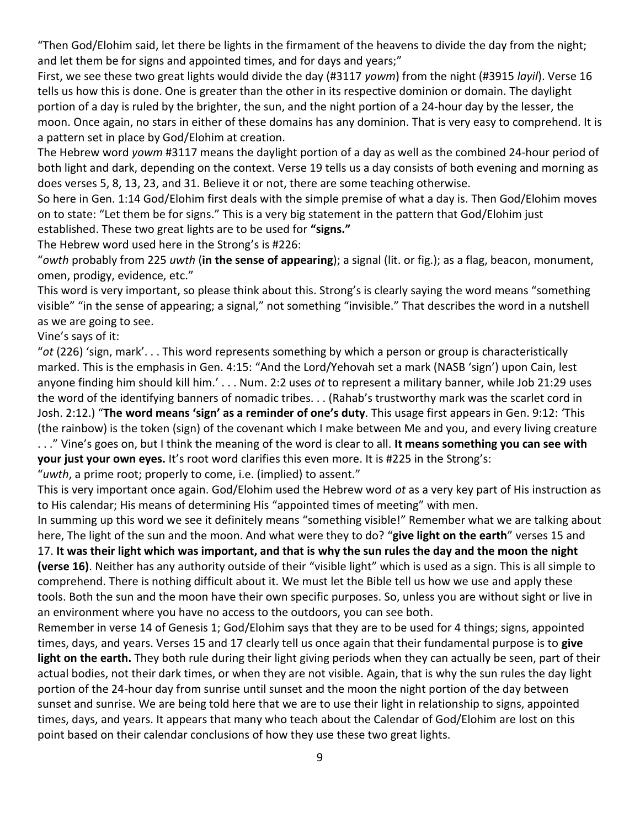"Then God/Elohim said, let there be lights in the firmament of the heavens to divide the day from the night; and let them be for signs and appointed times, and for days and years;"

First, we see these two great lights would divide the day (#3117 *yowm*) from the night (#3915 *layil*). Verse 16 tells us how this is done. One is greater than the other in its respective dominion or domain. The daylight portion of a day is ruled by the brighter, the sun, and the night portion of a 24-hour day by the lesser, the moon. Once again, no stars in either of these domains has any dominion. That is very easy to comprehend. It is a pattern set in place by God/Elohim at creation.

The Hebrew word *yowm* #3117 means the daylight portion of a day as well as the combined 24-hour period of both light and dark, depending on the context. Verse 19 tells us a day consists of both evening and morning as does verses 5, 8, 13, 23, and 31. Believe it or not, there are some teaching otherwise.

So here in Gen. 1:14 God/Elohim first deals with the simple premise of what a day is. Then God/Elohim moves on to state: "Let them be for signs." This is a very big statement in the pattern that God/Elohim just established. These two great lights are to be used for **"signs."**

The Hebrew word used here in the Strong's is #226:

"*owth* probably from 225 *uwth* (**in the sense of appearing**); a signal (lit. or fig.); as a flag, beacon, monument, omen, prodigy, evidence, etc."

This word is very important, so please think about this. Strong's is clearly saying the word means "something visible" "in the sense of appearing; a signal," not something "invisible." That describes the word in a nutshell as we are going to see.

Vine's says of it:

"*ot* (226) 'sign, mark'. . . This word represents something by which a person or group is characteristically marked. This is the emphasis in Gen. 4:15: "And the Lord/Yehovah set a mark (NASB 'sign') upon Cain, lest anyone finding him should kill him.' . . . Num. 2:2 uses *ot* to represent a military banner, while Job 21:29 uses the word of the identifying banners of nomadic tribes. . . (Rahab's trustworthy mark was the scarlet cord in Josh. 2:12.) "**The word means 'sign' as a reminder of one's duty**. This usage first appears in Gen. 9:12: 'This (the rainbow) is the token (sign) of the covenant which I make between Me and you, and every living creature . . ." Vine's goes on, but I think the meaning of the word is clear to all. **It means something you can see with your just your own eyes.** It's root word clarifies this even more. It is #225 in the Strong's:

"*uwth*, a prime root; properly to come, i.e. (implied) to assent."

This is very important once again. God/Elohim used the Hebrew word *ot* as a very key part of His instruction as to His calendar; His means of determining His "appointed times of meeting" with men.

In summing up this word we see it definitely means "something visible!" Remember what we are talking about here, The light of the sun and the moon. And what were they to do? "**give light on the earth**" verses 15 and 17. **It was their light which was important, and that is why the sun rules the day and the moon the night (verse 16)**. Neither has any authority outside of their "visible light" which is used as a sign. This is all simple to comprehend. There is nothing difficult about it. We must let the Bible tell us how we use and apply these tools. Both the sun and the moon have their own specific purposes. So, unless you are without sight or live in an environment where you have no access to the outdoors, you can see both.

Remember in verse 14 of Genesis 1; God/Elohim says that they are to be used for 4 things; signs, appointed times, days, and years. Verses 15 and 17 clearly tell us once again that their fundamental purpose is to **give light on the earth.** They both rule during their light giving periods when they can actually be seen, part of their actual bodies, not their dark times, or when they are not visible. Again, that is why the sun rules the day light portion of the 24-hour day from sunrise until sunset and the moon the night portion of the day between sunset and sunrise. We are being told here that we are to use their light in relationship to signs, appointed times, days, and years. It appears that many who teach about the Calendar of God/Elohim are lost on this point based on their calendar conclusions of how they use these two great lights.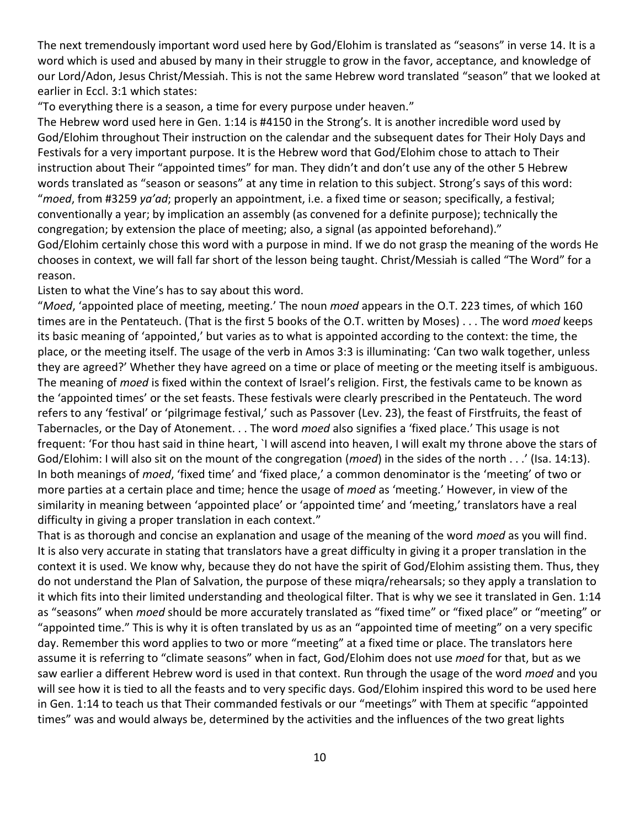The next tremendously important word used here by God/Elohim is translated as "seasons" in verse 14. It is a word which is used and abused by many in their struggle to grow in the favor, acceptance, and knowledge of our Lord/Adon, Jesus Christ/Messiah. This is not the same Hebrew word translated "season" that we looked at earlier in Eccl. 3:1 which states:

"To everything there is a season, a time for every purpose under heaven."

The Hebrew word used here in Gen. 1:14 is #4150 in the Strong's. It is another incredible word used by God/Elohim throughout Their instruction on the calendar and the subsequent dates for Their Holy Days and Festivals for a very important purpose. It is the Hebrew word that God/Elohim chose to attach to Their instruction about Their "appointed times" for man. They didn't and don't use any of the other 5 Hebrew words translated as "season or seasons" at any time in relation to this subject. Strong's says of this word: "*moed*, from #3259 *ya'ad*; properly an appointment, i.e. a fixed time or season; specifically, a festival; conventionally a year; by implication an assembly (as convened for a definite purpose); technically the congregation; by extension the place of meeting; also, a signal (as appointed beforehand)."

God/Elohim certainly chose this word with a purpose in mind. If we do not grasp the meaning of the words He chooses in context, we will fall far short of the lesson being taught. Christ/Messiah is called "The Word" for a reason.

Listen to what the Vine's has to say about this word.

"*Moed*, 'appointed place of meeting, meeting.' The noun *moed* appears in the O.T. 223 times, of which 160 times are in the Pentateuch. (That is the first 5 books of the O.T. written by Moses) . . . The word *moed* keeps its basic meaning of 'appointed,' but varies as to what is appointed according to the context: the time, the place, or the meeting itself. The usage of the verb in Amos 3:3 is illuminating: 'Can two walk together, unless they are agreed?' Whether they have agreed on a time or place of meeting or the meeting itself is ambiguous. The meaning of *moed* is fixed within the context of Israel's religion. First, the festivals came to be known as the 'appointed times' or the set feasts. These festivals were clearly prescribed in the Pentateuch. The word refers to any 'festival' or 'pilgrimage festival,' such as Passover (Lev. 23), the feast of Firstfruits, the feast of Tabernacles, or the Day of Atonement. . . The word *moed* also signifies a 'fixed place.' This usage is not frequent: 'For thou hast said in thine heart, `I will ascend into heaven, I will exalt my throne above the stars of God/Elohim: I will also sit on the mount of the congregation (*moed*) in the sides of the north . . .' (Isa. 14:13). In both meanings of *moed*, 'fixed time' and 'fixed place,' a common denominator is the 'meeting' of two or more parties at a certain place and time; hence the usage of *moed* as 'meeting.' However, in view of the similarity in meaning between 'appointed place' or 'appointed time' and 'meeting,' translators have a real difficulty in giving a proper translation in each context."

That is as thorough and concise an explanation and usage of the meaning of the word *moed* as you will find. It is also very accurate in stating that translators have a great difficulty in giving it a proper translation in the context it is used. We know why, because they do not have the spirit of God/Elohim assisting them. Thus, they do not understand the Plan of Salvation, the purpose of these miqra/rehearsals; so they apply a translation to it which fits into their limited understanding and theological filter. That is why we see it translated in Gen. 1:14 as "seasons" when *moed* should be more accurately translated as "fixed time" or "fixed place" or "meeting" or "appointed time." This is why it is often translated by us as an "appointed time of meeting" on a very specific day. Remember this word applies to two or more "meeting" at a fixed time or place. The translators here assume it is referring to "climate seasons" when in fact, God/Elohim does not use *moed* for that, but as we saw earlier a different Hebrew word is used in that context. Run through the usage of the word *moed* and you will see how it is tied to all the feasts and to very specific days. God/Elohim inspired this word to be used here in Gen. 1:14 to teach us that Their commanded festivals or our "meetings" with Them at specific "appointed times" was and would always be, determined by the activities and the influences of the two great lights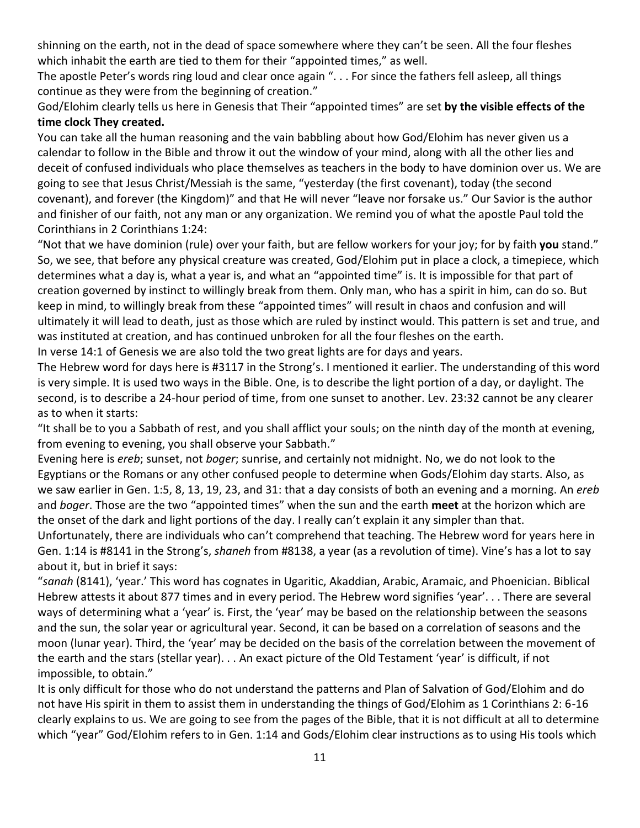shinning on the earth, not in the dead of space somewhere where they can't be seen. All the four fleshes which inhabit the earth are tied to them for their "appointed times," as well.

The apostle Peter's words ring loud and clear once again ". . . For since the fathers fell asleep, all things continue as they were from the beginning of creation."

God/Elohim clearly tells us here in Genesis that Their "appointed times" are set **by the visible effects of the time clock They created.**

You can take all the human reasoning and the vain babbling about how God/Elohim has never given us a calendar to follow in the Bible and throw it out the window of your mind, along with all the other lies and deceit of confused individuals who place themselves as teachers in the body to have dominion over us. We are going to see that Jesus Christ/Messiah is the same, "yesterday (the first covenant), today (the second covenant), and forever (the Kingdom)" and that He will never "leave nor forsake us." Our Savior is the author and finisher of our faith, not any man or any organization. We remind you of what the apostle Paul told the Corinthians in 2 Corinthians 1:24:

"Not that we have dominion (rule) over your faith, but are fellow workers for your joy; for by faith **you** stand." So, we see, that before any physical creature was created, God/Elohim put in place a clock, a timepiece, which determines what a day is, what a year is, and what an "appointed time" is. It is impossible for that part of creation governed by instinct to willingly break from them. Only man, who has a spirit in him, can do so. But keep in mind, to willingly break from these "appointed times" will result in chaos and confusion and will ultimately it will lead to death, just as those which are ruled by instinct would. This pattern is set and true, and was instituted at creation, and has continued unbroken for all the four fleshes on the earth.

In verse 14:1 of Genesis we are also told the two great lights are for days and years.

The Hebrew word for days here is #3117 in the Strong's. I mentioned it earlier. The understanding of this word is very simple. It is used two ways in the Bible. One, is to describe the light portion of a day, or daylight. The second, is to describe a 24-hour period of time, from one sunset to another. Lev. 23:32 cannot be any clearer as to when it starts:

"It shall be to you a Sabbath of rest, and you shall afflict your souls; on the ninth day of the month at evening, from evening to evening, you shall observe your Sabbath."

Evening here is *ereb*; sunset, not *boger*; sunrise, and certainly not midnight. No, we do not look to the Egyptians or the Romans or any other confused people to determine when Gods/Elohim day starts. Also, as we saw earlier in Gen. 1:5, 8, 13, 19, 23, and 31: that a day consists of both an evening and a morning. An *ereb* and *boger*. Those are the two "appointed times" when the sun and the earth **meet** at the horizon which are the onset of the dark and light portions of the day. I really can't explain it any simpler than that.

Unfortunately, there are individuals who can't comprehend that teaching. The Hebrew word for years here in Gen. 1:14 is #8141 in the Strong's, *shaneh* from #8138, a year (as a revolution of time). Vine's has a lot to say about it, but in brief it says:

"*sanah* (8141), 'year.' This word has cognates in Ugaritic, Akaddian, Arabic, Aramaic, and Phoenician. Biblical Hebrew attests it about 877 times and in every period. The Hebrew word signifies 'year'. . . There are several ways of determining what a 'year' is. First, the 'year' may be based on the relationship between the seasons and the sun, the solar year or agricultural year. Second, it can be based on a correlation of seasons and the moon (lunar year). Third, the 'year' may be decided on the basis of the correlation between the movement of the earth and the stars (stellar year). . . An exact picture of the Old Testament 'year' is difficult, if not impossible, to obtain."

It is only difficult for those who do not understand the patterns and Plan of Salvation of God/Elohim and do not have His spirit in them to assist them in understanding the things of God/Elohim as 1 Corinthians 2: 6-16 clearly explains to us. We are going to see from the pages of the Bible, that it is not difficult at all to determine which "year" God/Elohim refers to in Gen. 1:14 and Gods/Elohim clear instructions as to using His tools which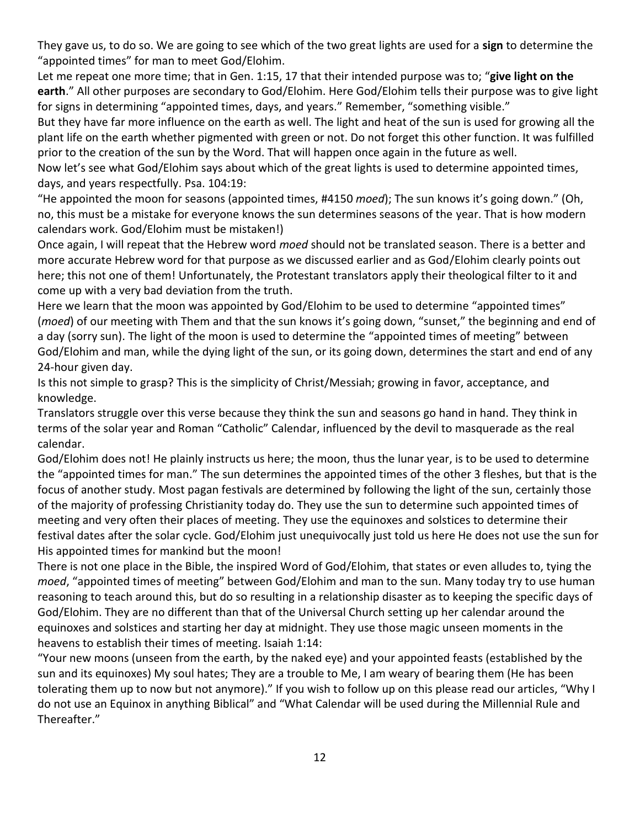They gave us, to do so. We are going to see which of the two great lights are used for a **sign** to determine the "appointed times" for man to meet God/Elohim.

Let me repeat one more time; that in Gen. 1:15, 17 that their intended purpose was to; "**give light on the earth**." All other purposes are secondary to God/Elohim. Here God/Elohim tells their purpose was to give light for signs in determining "appointed times, days, and years." Remember, "something visible."

But they have far more influence on the earth as well. The light and heat of the sun is used for growing all the plant life on the earth whether pigmented with green or not. Do not forget this other function. It was fulfilled prior to the creation of the sun by the Word. That will happen once again in the future as well.

Now let's see what God/Elohim says about which of the great lights is used to determine appointed times, days, and years respectfully. Psa. 104:19:

"He appointed the moon for seasons (appointed times, #4150 *moed*); The sun knows it's going down." (Oh, no, this must be a mistake for everyone knows the sun determines seasons of the year. That is how modern calendars work. God/Elohim must be mistaken!)

Once again, I will repeat that the Hebrew word *moed* should not be translated season. There is a better and more accurate Hebrew word for that purpose as we discussed earlier and as God/Elohim clearly points out here; this not one of them! Unfortunately, the Protestant translators apply their theological filter to it and come up with a very bad deviation from the truth.

Here we learn that the moon was appointed by God/Elohim to be used to determine "appointed times" (*moed*) of our meeting with Them and that the sun knows it's going down, "sunset," the beginning and end of a day (sorry sun). The light of the moon is used to determine the "appointed times of meeting" between God/Elohim and man, while the dying light of the sun, or its going down, determines the start and end of any 24-hour given day.

Is this not simple to grasp? This is the simplicity of Christ/Messiah; growing in favor, acceptance, and knowledge.

Translators struggle over this verse because they think the sun and seasons go hand in hand. They think in terms of the solar year and Roman "Catholic" Calendar, influenced by the devil to masquerade as the real calendar.

God/Elohim does not! He plainly instructs us here; the moon, thus the lunar year, is to be used to determine the "appointed times for man." The sun determines the appointed times of the other 3 fleshes, but that is the focus of another study. Most pagan festivals are determined by following the light of the sun, certainly those of the majority of professing Christianity today do. They use the sun to determine such appointed times of meeting and very often their places of meeting. They use the equinoxes and solstices to determine their festival dates after the solar cycle. God/Elohim just unequivocally just told us here He does not use the sun for His appointed times for mankind but the moon!

There is not one place in the Bible, the inspired Word of God/Elohim, that states or even alludes to, tying the *moed*, "appointed times of meeting" between God/Elohim and man to the sun. Many today try to use human reasoning to teach around this, but do so resulting in a relationship disaster as to keeping the specific days of God/Elohim. They are no different than that of the Universal Church setting up her calendar around the equinoxes and solstices and starting her day at midnight. They use those magic unseen moments in the heavens to establish their times of meeting. Isaiah 1:14:

"Your new moons (unseen from the earth, by the naked eye) and your appointed feasts (established by the sun and its equinoxes) My soul hates; They are a trouble to Me, I am weary of bearing them (He has been tolerating them up to now but not anymore)." If you wish to follow up on this please read our articles, "Why I do not use an Equinox in anything Biblical" and "What Calendar will be used during the Millennial Rule and Thereafter."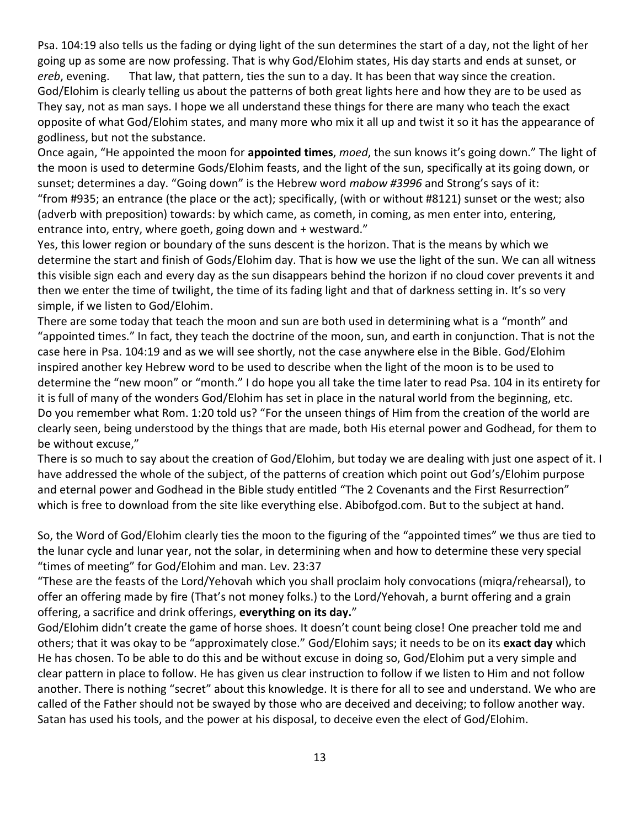Psa. 104:19 also tells us the fading or dying light of the sun determines the start of a day, not the light of her going up as some are now professing. That is why God/Elohim states, His day starts and ends at sunset, or *ereb*, evening. That law, that pattern, ties the sun to a day. It has been that way since the creation. God/Elohim is clearly telling us about the patterns of both great lights here and how they are to be used as They say, not as man says. I hope we all understand these things for there are many who teach the exact opposite of what God/Elohim states, and many more who mix it all up and twist it so it has the appearance of godliness, but not the substance.

Once again, "He appointed the moon for **appointed times**, *moed*, the sun knows it's going down." The light of the moon is used to determine Gods/Elohim feasts, and the light of the sun, specifically at its going down, or sunset; determines a day. "Going down" is the Hebrew word *mabow #3996* and Strong's says of it: "from #935; an entrance (the place or the act); specifically, (with or without #8121) sunset or the west; also (adverb with preposition) towards: by which came, as cometh, in coming, as men enter into, entering, entrance into, entry, where goeth, going down and + westward."

Yes, this lower region or boundary of the suns descent is the horizon. That is the means by which we determine the start and finish of Gods/Elohim day. That is how we use the light of the sun. We can all witness this visible sign each and every day as the sun disappears behind the horizon if no cloud cover prevents it and then we enter the time of twilight, the time of its fading light and that of darkness setting in. It's so very simple, if we listen to God/Elohim.

There are some today that teach the moon and sun are both used in determining what is a "month" and "appointed times." In fact, they teach the doctrine of the moon, sun, and earth in conjunction. That is not the case here in Psa. 104:19 and as we will see shortly, not the case anywhere else in the Bible. God/Elohim inspired another key Hebrew word to be used to describe when the light of the moon is to be used to determine the "new moon" or "month." I do hope you all take the time later to read Psa. 104 in its entirety for it is full of many of the wonders God/Elohim has set in place in the natural world from the beginning, etc. Do you remember what Rom. 1:20 told us? "For the unseen things of Him from the creation of the world are clearly seen, being understood by the things that are made, both His eternal power and Godhead, for them to be without excuse,"

There is so much to say about the creation of God/Elohim, but today we are dealing with just one aspect of it. I have addressed the whole of the subject, of the patterns of creation which point out God's/Elohim purpose and eternal power and Godhead in the Bible study entitled "The 2 Covenants and the First Resurrection" which is free to download from the site like everything else. Abibofgod.com. But to the subject at hand.

So, the Word of God/Elohim clearly ties the moon to the figuring of the "appointed times" we thus are tied to the lunar cycle and lunar year, not the solar, in determining when and how to determine these very special "times of meeting" for God/Elohim and man. Lev. 23:37

"These are the feasts of the Lord/Yehovah which you shall proclaim holy convocations (miqra/rehearsal), to offer an offering made by fire (That's not money folks.) to the Lord/Yehovah, a burnt offering and a grain offering, a sacrifice and drink offerings, **everything on its day.**"

God/Elohim didn't create the game of horse shoes. It doesn't count being close! One preacher told me and others; that it was okay to be "approximately close." God/Elohim says; it needs to be on its **exact day** which He has chosen. To be able to do this and be without excuse in doing so, God/Elohim put a very simple and clear pattern in place to follow. He has given us clear instruction to follow if we listen to Him and not follow another. There is nothing "secret" about this knowledge. It is there for all to see and understand. We who are called of the Father should not be swayed by those who are deceived and deceiving; to follow another way. Satan has used his tools, and the power at his disposal, to deceive even the elect of God/Elohim.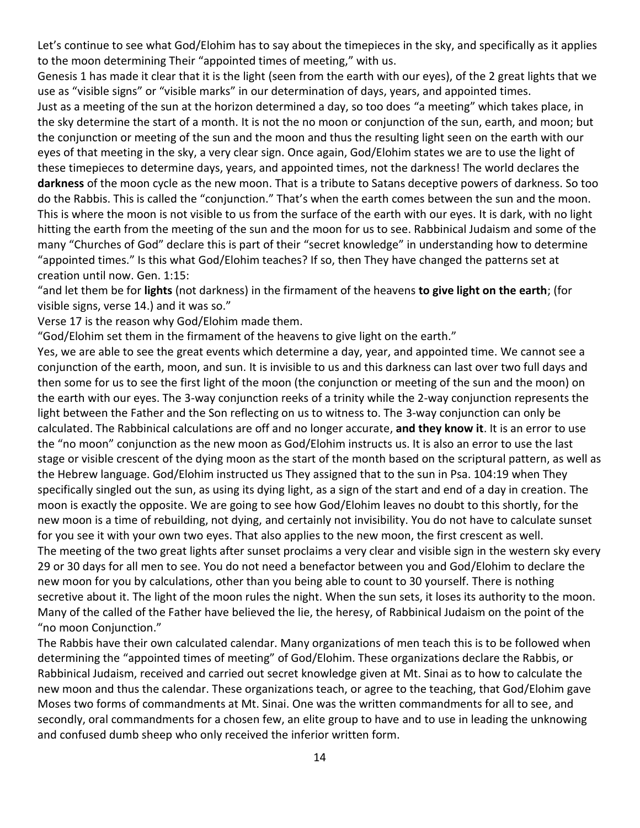Let's continue to see what God/Elohim has to say about the timepieces in the sky, and specifically as it applies to the moon determining Their "appointed times of meeting," with us.

Genesis 1 has made it clear that it is the light (seen from the earth with our eyes), of the 2 great lights that we use as "visible signs" or "visible marks" in our determination of days, years, and appointed times.

Just as a meeting of the sun at the horizon determined a day, so too does "a meeting" which takes place, in the sky determine the start of a month. It is not the no moon or conjunction of the sun, earth, and moon; but the conjunction or meeting of the sun and the moon and thus the resulting light seen on the earth with our eyes of that meeting in the sky, a very clear sign. Once again, God/Elohim states we are to use the light of these timepieces to determine days, years, and appointed times, not the darkness! The world declares the **darkness** of the moon cycle as the new moon. That is a tribute to Satans deceptive powers of darkness. So too do the Rabbis. This is called the "conjunction." That's when the earth comes between the sun and the moon. This is where the moon is not visible to us from the surface of the earth with our eyes. It is dark, with no light hitting the earth from the meeting of the sun and the moon for us to see. Rabbinical Judaism and some of the many "Churches of God" declare this is part of their "secret knowledge" in understanding how to determine "appointed times." Is this what God/Elohim teaches? If so, then They have changed the patterns set at creation until now. Gen. 1:15:

"and let them be for **lights** (not darkness) in the firmament of the heavens **to give light on the earth**; (for visible signs, verse 14.) and it was so."

Verse 17 is the reason why God/Elohim made them.

"God/Elohim set them in the firmament of the heavens to give light on the earth."

Yes, we are able to see the great events which determine a day, year, and appointed time. We cannot see a conjunction of the earth, moon, and sun. It is invisible to us and this darkness can last over two full days and then some for us to see the first light of the moon (the conjunction or meeting of the sun and the moon) on the earth with our eyes. The 3-way conjunction reeks of a trinity while the 2-way conjunction represents the light between the Father and the Son reflecting on us to witness to. The 3-way conjunction can only be calculated. The Rabbinical calculations are off and no longer accurate, **and they know it**. It is an error to use the "no moon" conjunction as the new moon as God/Elohim instructs us. It is also an error to use the last stage or visible crescent of the dying moon as the start of the month based on the scriptural pattern, as well as the Hebrew language. God/Elohim instructed us They assigned that to the sun in Psa. 104:19 when They specifically singled out the sun, as using its dying light, as a sign of the start and end of a day in creation. The moon is exactly the opposite. We are going to see how God/Elohim leaves no doubt to this shortly, for the new moon is a time of rebuilding, not dying, and certainly not invisibility. You do not have to calculate sunset for you see it with your own two eyes. That also applies to the new moon, the first crescent as well. The meeting of the two great lights after sunset proclaims a very clear and visible sign in the western sky every 29 or 30 days for all men to see. You do not need a benefactor between you and God/Elohim to declare the new moon for you by calculations, other than you being able to count to 30 yourself. There is nothing secretive about it. The light of the moon rules the night. When the sun sets, it loses its authority to the moon. Many of the called of the Father have believed the lie, the heresy, of Rabbinical Judaism on the point of the "no moon Conjunction."

The Rabbis have their own calculated calendar. Many organizations of men teach this is to be followed when determining the "appointed times of meeting" of God/Elohim. These organizations declare the Rabbis, or Rabbinical Judaism, received and carried out secret knowledge given at Mt. Sinai as to how to calculate the new moon and thus the calendar. These organizations teach, or agree to the teaching, that God/Elohim gave Moses two forms of commandments at Mt. Sinai. One was the written commandments for all to see, and secondly, oral commandments for a chosen few, an elite group to have and to use in leading the unknowing and confused dumb sheep who only received the inferior written form.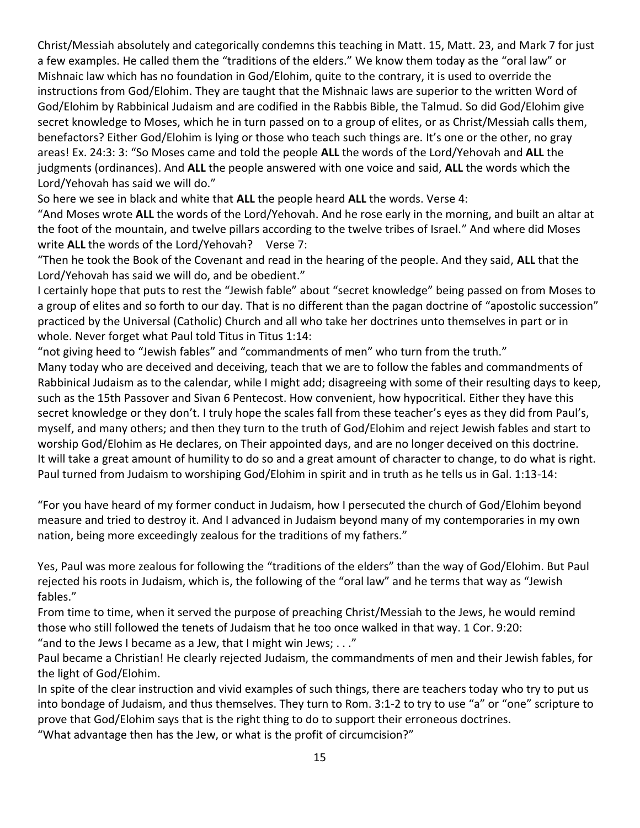Christ/Messiah absolutely and categorically condemns this teaching in Matt. 15, Matt. 23, and Mark 7 for just a few examples. He called them the "traditions of the elders." We know them today as the "oral law" or Mishnaic law which has no foundation in God/Elohim, quite to the contrary, it is used to override the instructions from God/Elohim. They are taught that the Mishnaic laws are superior to the written Word of God/Elohim by Rabbinical Judaism and are codified in the Rabbis Bible, the Talmud. So did God/Elohim give secret knowledge to Moses, which he in turn passed on to a group of elites, or as Christ/Messiah calls them, benefactors? Either God/Elohim is lying or those who teach such things are. It's one or the other, no gray areas! Ex. 24:3: 3: "So Moses came and told the people **ALL** the words of the Lord/Yehovah and **ALL** the judgments (ordinances). And **ALL** the people answered with one voice and said, **ALL** the words which the Lord/Yehovah has said we will do."

So here we see in black and white that **ALL** the people heard **ALL** the words. Verse 4:

"And Moses wrote **ALL** the words of the Lord/Yehovah. And he rose early in the morning, and built an altar at the foot of the mountain, and twelve pillars according to the twelve tribes of Israel." And where did Moses write **ALL** the words of the Lord/Yehovah? Verse 7:

"Then he took the Book of the Covenant and read in the hearing of the people. And they said, **ALL** that the Lord/Yehovah has said we will do, and be obedient."

I certainly hope that puts to rest the "Jewish fable" about "secret knowledge" being passed on from Moses to a group of elites and so forth to our day. That is no different than the pagan doctrine of "apostolic succession" practiced by the Universal (Catholic) Church and all who take her doctrines unto themselves in part or in whole. Never forget what Paul told Titus in Titus 1:14:

"not giving heed to "Jewish fables" and "commandments of men" who turn from the truth."

Many today who are deceived and deceiving, teach that we are to follow the fables and commandments of Rabbinical Judaism as to the calendar, while I might add; disagreeing with some of their resulting days to keep, such as the 15th Passover and Sivan 6 Pentecost. How convenient, how hypocritical. Either they have this secret knowledge or they don't. I truly hope the scales fall from these teacher's eyes as they did from Paul's, myself, and many others; and then they turn to the truth of God/Elohim and reject Jewish fables and start to worship God/Elohim as He declares, on Their appointed days, and are no longer deceived on this doctrine. It will take a great amount of humility to do so and a great amount of character to change, to do what is right. Paul turned from Judaism to worshiping God/Elohim in spirit and in truth as he tells us in Gal. 1:13-14:

"For you have heard of my former conduct in Judaism, how I persecuted the church of God/Elohim beyond measure and tried to destroy it. And I advanced in Judaism beyond many of my contemporaries in my own nation, being more exceedingly zealous for the traditions of my fathers."

Yes, Paul was more zealous for following the "traditions of the elders" than the way of God/Elohim. But Paul rejected his roots in Judaism, which is, the following of the "oral law" and he terms that way as "Jewish fables."

From time to time, when it served the purpose of preaching Christ/Messiah to the Jews, he would remind those who still followed the tenets of Judaism that he too once walked in that way. 1 Cor. 9:20:

"and to the Jews I became as a Jew, that I might win Jews;  $\dots$ "

Paul became a Christian! He clearly rejected Judaism, the commandments of men and their Jewish fables, for the light of God/Elohim.

In spite of the clear instruction and vivid examples of such things, there are teachers today who try to put us into bondage of Judaism, and thus themselves. They turn to Rom. 3:1-2 to try to use "a" or "one" scripture to prove that God/Elohim says that is the right thing to do to support their erroneous doctrines.

"What advantage then has the Jew, or what is the profit of circumcision?"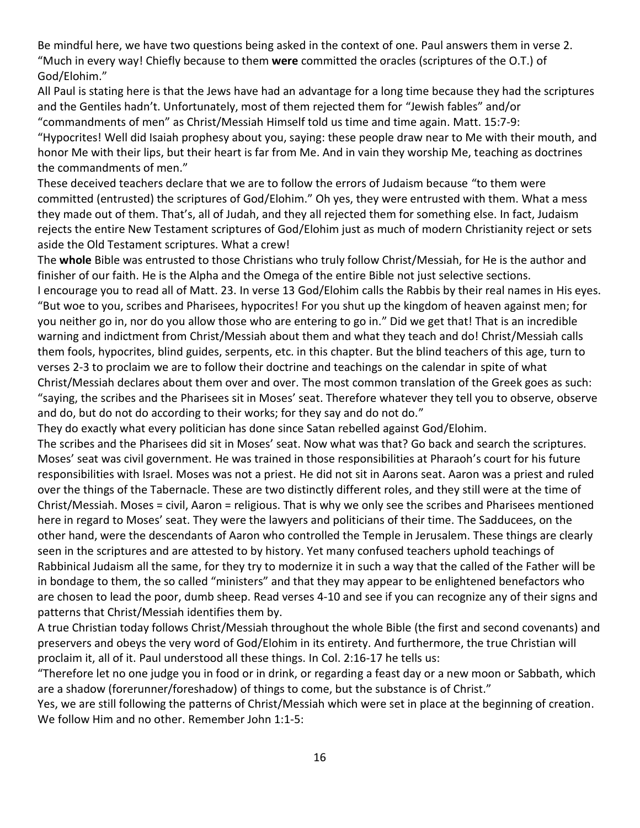Be mindful here, we have two questions being asked in the context of one. Paul answers them in verse 2. "Much in every way! Chiefly because to them **were** committed the oracles (scriptures of the O.T.) of God/Elohim."

All Paul is stating here is that the Jews have had an advantage for a long time because they had the scriptures and the Gentiles hadn't. Unfortunately, most of them rejected them for "Jewish fables" and/or "commandments of men" as Christ/Messiah Himself told us time and time again. Matt. 15:7-9:

"Hypocrites! Well did Isaiah prophesy about you, saying: these people draw near to Me with their mouth, and honor Me with their lips, but their heart is far from Me. And in vain they worship Me, teaching as doctrines the commandments of men."

These deceived teachers declare that we are to follow the errors of Judaism because "to them were committed (entrusted) the scriptures of God/Elohim." Oh yes, they were entrusted with them. What a mess they made out of them. That's, all of Judah, and they all rejected them for something else. In fact, Judaism rejects the entire New Testament scriptures of God/Elohim just as much of modern Christianity reject or sets aside the Old Testament scriptures. What a crew!

The **whole** Bible was entrusted to those Christians who truly follow Christ/Messiah, for He is the author and finisher of our faith. He is the Alpha and the Omega of the entire Bible not just selective sections.

I encourage you to read all of Matt. 23. In verse 13 God/Elohim calls the Rabbis by their real names in His eyes. "But woe to you, scribes and Pharisees, hypocrites! For you shut up the kingdom of heaven against men; for you neither go in, nor do you allow those who are entering to go in." Did we get that! That is an incredible warning and indictment from Christ/Messiah about them and what they teach and do! Christ/Messiah calls them fools, hypocrites, blind guides, serpents, etc. in this chapter. But the blind teachers of this age, turn to verses 2-3 to proclaim we are to follow their doctrine and teachings on the calendar in spite of what Christ/Messiah declares about them over and over. The most common translation of the Greek goes as such: "saying, the scribes and the Pharisees sit in Moses' seat. Therefore whatever they tell you to observe, observe and do, but do not do according to their works; for they say and do not do."

They do exactly what every politician has done since Satan rebelled against God/Elohim.

The scribes and the Pharisees did sit in Moses' seat. Now what was that? Go back and search the scriptures. Moses' seat was civil government. He was trained in those responsibilities at Pharaoh's court for his future responsibilities with Israel. Moses was not a priest. He did not sit in Aarons seat. Aaron was a priest and ruled over the things of the Tabernacle. These are two distinctly different roles, and they still were at the time of Christ/Messiah. Moses = civil, Aaron = religious. That is why we only see the scribes and Pharisees mentioned here in regard to Moses' seat. They were the lawyers and politicians of their time. The Sadducees, on the other hand, were the descendants of Aaron who controlled the Temple in Jerusalem. These things are clearly seen in the scriptures and are attested to by history. Yet many confused teachers uphold teachings of Rabbinical Judaism all the same, for they try to modernize it in such a way that the called of the Father will be in bondage to them, the so called "ministers" and that they may appear to be enlightened benefactors who are chosen to lead the poor, dumb sheep. Read verses 4-10 and see if you can recognize any of their signs and patterns that Christ/Messiah identifies them by.

A true Christian today follows Christ/Messiah throughout the whole Bible (the first and second covenants) and preservers and obeys the very word of God/Elohim in its entirety. And furthermore, the true Christian will proclaim it, all of it. Paul understood all these things. In Col. 2:16-17 he tells us:

"Therefore let no one judge you in food or in drink, or regarding a feast day or a new moon or Sabbath, which are a shadow (forerunner/foreshadow) of things to come, but the substance is of Christ."

Yes, we are still following the patterns of Christ/Messiah which were set in place at the beginning of creation. We follow Him and no other. Remember John 1:1-5: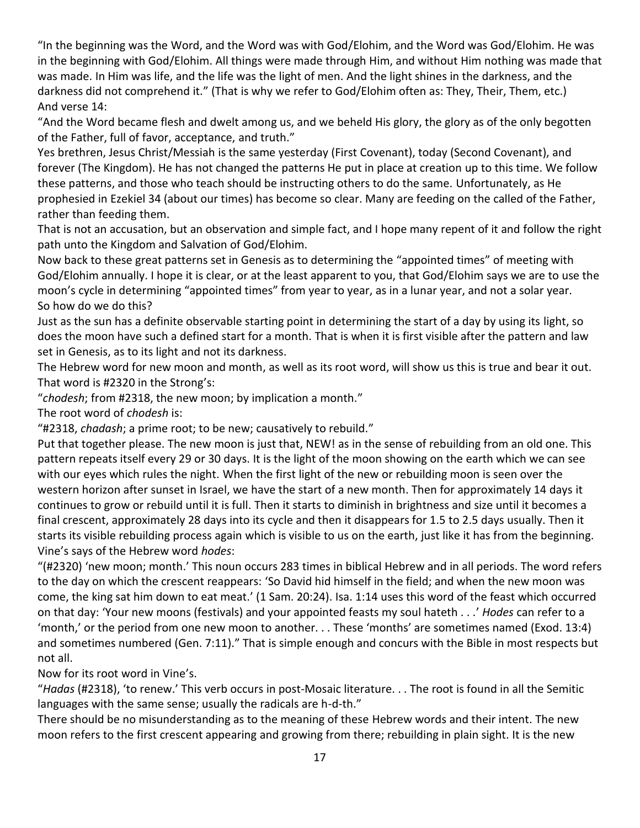"In the beginning was the Word, and the Word was with God/Elohim, and the Word was God/Elohim. He was in the beginning with God/Elohim. All things were made through Him, and without Him nothing was made that was made. In Him was life, and the life was the light of men. And the light shines in the darkness, and the darkness did not comprehend it." (That is why we refer to God/Elohim often as: They, Their, Them, etc.) And verse 14:

"And the Word became flesh and dwelt among us, and we beheld His glory, the glory as of the only begotten of the Father, full of favor, acceptance, and truth."

Yes brethren, Jesus Christ/Messiah is the same yesterday (First Covenant), today (Second Covenant), and forever (The Kingdom). He has not changed the patterns He put in place at creation up to this time. We follow these patterns, and those who teach should be instructing others to do the same. Unfortunately, as He prophesied in Ezekiel 34 (about our times) has become so clear. Many are feeding on the called of the Father, rather than feeding them.

That is not an accusation, but an observation and simple fact, and I hope many repent of it and follow the right path unto the Kingdom and Salvation of God/Elohim.

Now back to these great patterns set in Genesis as to determining the "appointed times" of meeting with God/Elohim annually. I hope it is clear, or at the least apparent to you, that God/Elohim says we are to use the moon's cycle in determining "appointed times" from year to year, as in a lunar year, and not a solar year. So how do we do this?

Just as the sun has a definite observable starting point in determining the start of a day by using its light, so does the moon have such a defined start for a month. That is when it is first visible after the pattern and law set in Genesis, as to its light and not its darkness.

The Hebrew word for new moon and month, as well as its root word, will show us this is true and bear it out. That word is #2320 in the Strong's:

"*chodesh*; from #2318, the new moon; by implication a month."

The root word of *chodesh* is:

"#2318, *chadash*; a prime root; to be new; causatively to rebuild."

Put that together please. The new moon is just that, NEW! as in the sense of rebuilding from an old one. This pattern repeats itself every 29 or 30 days. It is the light of the moon showing on the earth which we can see with our eyes which rules the night. When the first light of the new or rebuilding moon is seen over the western horizon after sunset in Israel, we have the start of a new month. Then for approximately 14 days it continues to grow or rebuild until it is full. Then it starts to diminish in brightness and size until it becomes a final crescent, approximately 28 days into its cycle and then it disappears for 1.5 to 2.5 days usually. Then it starts its visible rebuilding process again which is visible to us on the earth, just like it has from the beginning. Vine's says of the Hebrew word *hodes*:

"(#2320) 'new moon; month.' This noun occurs 283 times in biblical Hebrew and in all periods. The word refers to the day on which the crescent reappears: 'So David hid himself in the field; and when the new moon was come, the king sat him down to eat meat.' (1 Sam. 20:24). Isa. 1:14 uses this word of the feast which occurred on that day: 'Your new moons (festivals) and your appointed feasts my soul hateth . . .' *Hodes* can refer to a 'month,' or the period from one new moon to another. . . These 'months' are sometimes named (Exod. 13:4) and sometimes numbered (Gen. 7:11)." That is simple enough and concurs with the Bible in most respects but not all.

Now for its root word in Vine's.

"*Hadas* (#2318), 'to renew.' This verb occurs in post-Mosaic literature. . . The root is found in all the Semitic languages with the same sense; usually the radicals are h-d-th."

There should be no misunderstanding as to the meaning of these Hebrew words and their intent. The new moon refers to the first crescent appearing and growing from there; rebuilding in plain sight. It is the new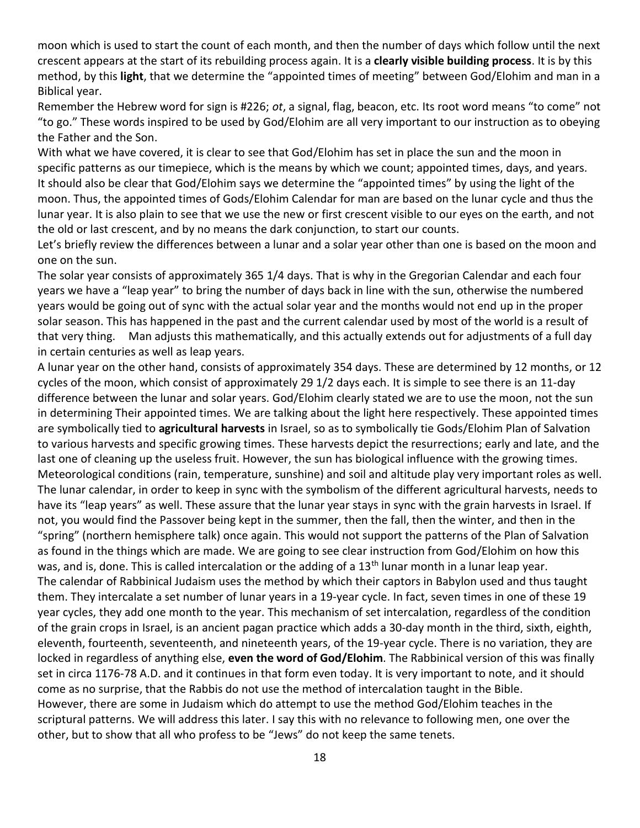moon which is used to start the count of each month, and then the number of days which follow until the next crescent appears at the start of its rebuilding process again. It is a **clearly visible building process**. It is by this method, by this **light**, that we determine the "appointed times of meeting" between God/Elohim and man in a Biblical year.

Remember the Hebrew word for sign is #226; *ot*, a signal, flag, beacon, etc. Its root word means "to come" not "to go." These words inspired to be used by God/Elohim are all very important to our instruction as to obeying the Father and the Son.

With what we have covered, it is clear to see that God/Elohim has set in place the sun and the moon in specific patterns as our timepiece, which is the means by which we count; appointed times, days, and years. It should also be clear that God/Elohim says we determine the "appointed times" by using the light of the moon. Thus, the appointed times of Gods/Elohim Calendar for man are based on the lunar cycle and thus the lunar year. It is also plain to see that we use the new or first crescent visible to our eyes on the earth, and not the old or last crescent, and by no means the dark conjunction, to start our counts.

Let's briefly review the differences between a lunar and a solar year other than one is based on the moon and one on the sun.

The solar year consists of approximately 365 1/4 days. That is why in the Gregorian Calendar and each four years we have a "leap year" to bring the number of days back in line with the sun, otherwise the numbered years would be going out of sync with the actual solar year and the months would not end up in the proper solar season. This has happened in the past and the current calendar used by most of the world is a result of that very thing. Man adjusts this mathematically, and this actually extends out for adjustments of a full day in certain centuries as well as leap years.

A lunar year on the other hand, consists of approximately 354 days. These are determined by 12 months, or 12 cycles of the moon, which consist of approximately 29 1/2 days each. It is simple to see there is an 11-day difference between the lunar and solar years. God/Elohim clearly stated we are to use the moon, not the sun in determining Their appointed times. We are talking about the light here respectively. These appointed times are symbolically tied to **agricultural harvests** in Israel, so as to symbolically tie Gods/Elohim Plan of Salvation to various harvests and specific growing times. These harvests depict the resurrections; early and late, and the last one of cleaning up the useless fruit. However, the sun has biological influence with the growing times. Meteorological conditions (rain, temperature, sunshine) and soil and altitude play very important roles as well. The lunar calendar, in order to keep in sync with the symbolism of the different agricultural harvests, needs to have its "leap years" as well. These assure that the lunar year stays in sync with the grain harvests in Israel. If not, you would find the Passover being kept in the summer, then the fall, then the winter, and then in the "spring" (northern hemisphere talk) once again. This would not support the patterns of the Plan of Salvation as found in the things which are made. We are going to see clear instruction from God/Elohim on how this was, and is, done. This is called intercalation or the adding of a 13<sup>th</sup> lunar month in a lunar leap year. The calendar of Rabbinical Judaism uses the method by which their captors in Babylon used and thus taught them. They intercalate a set number of lunar years in a 19-year cycle. In fact, seven times in one of these 19 year cycles, they add one month to the year. This mechanism of set intercalation, regardless of the condition of the grain crops in Israel, is an ancient pagan practice which adds a 30-day month in the third, sixth, eighth, eleventh, fourteenth, seventeenth, and nineteenth years, of the 19-year cycle. There is no variation, they are locked in regardless of anything else, **even the word of God/Elohim**. The Rabbinical version of this was finally set in circa 1176-78 A.D. and it continues in that form even today. It is very important to note, and it should come as no surprise, that the Rabbis do not use the method of intercalation taught in the Bible. However, there are some in Judaism which do attempt to use the method God/Elohim teaches in the scriptural patterns. We will address this later. I say this with no relevance to following men, one over the other, but to show that all who profess to be "Jews" do not keep the same tenets.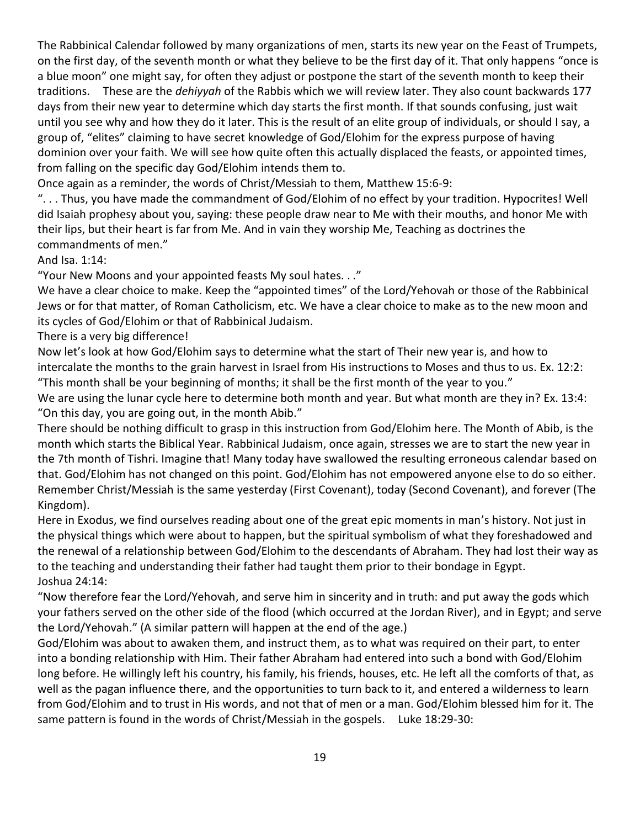The Rabbinical Calendar followed by many organizations of men, starts its new year on the Feast of Trumpets, on the first day, of the seventh month or what they believe to be the first day of it. That only happens "once is a blue moon" one might say, for often they adjust or postpone the start of the seventh month to keep their traditions. These are the *dehiyyah* of the Rabbis which we will review later. They also count backwards 177 days from their new year to determine which day starts the first month. If that sounds confusing, just wait until you see why and how they do it later. This is the result of an elite group of individuals, or should I say, a group of, "elites" claiming to have secret knowledge of God/Elohim for the express purpose of having dominion over your faith. We will see how quite often this actually displaced the feasts, or appointed times, from falling on the specific day God/Elohim intends them to.

Once again as a reminder, the words of Christ/Messiah to them, Matthew 15:6-9:

". . . Thus, you have made the commandment of God/Elohim of no effect by your tradition. Hypocrites! Well did Isaiah prophesy about you, saying: these people draw near to Me with their mouths, and honor Me with their lips, but their heart is far from Me. And in vain they worship Me, Teaching as doctrines the commandments of men."

And Isa. 1:14:

"Your New Moons and your appointed feasts My soul hates. . ."

We have a clear choice to make. Keep the "appointed times" of the Lord/Yehovah or those of the Rabbinical Jews or for that matter, of Roman Catholicism, etc. We have a clear choice to make as to the new moon and its cycles of God/Elohim or that of Rabbinical Judaism.

There is a very big difference!

Now let's look at how God/Elohim says to determine what the start of Their new year is, and how to intercalate the months to the grain harvest in Israel from His instructions to Moses and thus to us. Ex. 12:2: "This month shall be your beginning of months; it shall be the first month of the year to you."

We are using the lunar cycle here to determine both month and year. But what month are they in? Ex. 13:4: "On this day, you are going out, in the month Abib."

There should be nothing difficult to grasp in this instruction from God/Elohim here. The Month of Abib, is the month which starts the Biblical Year. Rabbinical Judaism, once again, stresses we are to start the new year in the 7th month of Tishri. Imagine that! Many today have swallowed the resulting erroneous calendar based on that. God/Elohim has not changed on this point. God/Elohim has not empowered anyone else to do so either. Remember Christ/Messiah is the same yesterday (First Covenant), today (Second Covenant), and forever (The Kingdom).

Here in Exodus, we find ourselves reading about one of the great epic moments in man's history. Not just in the physical things which were about to happen, but the spiritual symbolism of what they foreshadowed and the renewal of a relationship between God/Elohim to the descendants of Abraham. They had lost their way as to the teaching and understanding their father had taught them prior to their bondage in Egypt. Joshua 24:14:

"Now therefore fear the Lord/Yehovah, and serve him in sincerity and in truth: and put away the gods which your fathers served on the other side of the flood (which occurred at the Jordan River), and in Egypt; and serve the Lord/Yehovah." (A similar pattern will happen at the end of the age.)

God/Elohim was about to awaken them, and instruct them, as to what was required on their part, to enter into a bonding relationship with Him. Their father Abraham had entered into such a bond with God/Elohim long before. He willingly left his country, his family, his friends, houses, etc. He left all the comforts of that, as well as the pagan influence there, and the opportunities to turn back to it, and entered a wilderness to learn from God/Elohim and to trust in His words, and not that of men or a man. God/Elohim blessed him for it. The same pattern is found in the words of Christ/Messiah in the gospels. Luke 18:29-30: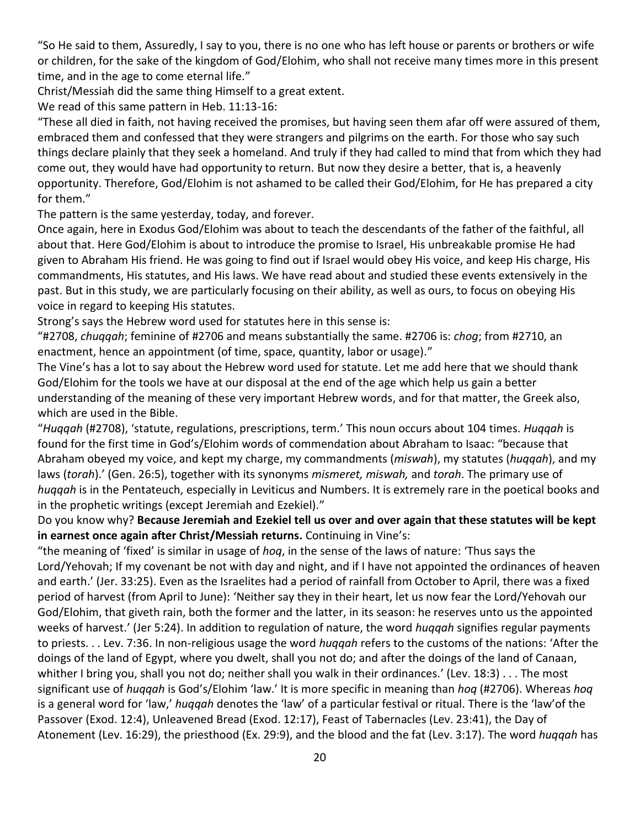"So He said to them, Assuredly, I say to you, there is no one who has left house or parents or brothers or wife or children, for the sake of the kingdom of God/Elohim, who shall not receive many times more in this present time, and in the age to come eternal life."

Christ/Messiah did the same thing Himself to a great extent.

We read of this same pattern in Heb. 11:13-16:

"These all died in faith, not having received the promises, but having seen them afar off were assured of them, embraced them and confessed that they were strangers and pilgrims on the earth. For those who say such things declare plainly that they seek a homeland. And truly if they had called to mind that from which they had come out, they would have had opportunity to return. But now they desire a better, that is, a heavenly opportunity. Therefore, God/Elohim is not ashamed to be called their God/Elohim, for He has prepared a city for them."

The pattern is the same yesterday, today, and forever.

Once again, here in Exodus God/Elohim was about to teach the descendants of the father of the faithful, all about that. Here God/Elohim is about to introduce the promise to Israel, His unbreakable promise He had given to Abraham His friend. He was going to find out if Israel would obey His voice, and keep His charge, His commandments, His statutes, and His laws. We have read about and studied these events extensively in the past. But in this study, we are particularly focusing on their ability, as well as ours, to focus on obeying His voice in regard to keeping His statutes.

Strong's says the Hebrew word used for statutes here in this sense is:

"#2708, *chuqqah*; feminine of #2706 and means substantially the same. #2706 is: *chog*; from #2710, an enactment, hence an appointment (of time, space, quantity, labor or usage)."

The Vine's has a lot to say about the Hebrew word used for statute. Let me add here that we should thank God/Elohim for the tools we have at our disposal at the end of the age which help us gain a better understanding of the meaning of these very important Hebrew words, and for that matter, the Greek also, which are used in the Bible.

"*Huqqah* (#2708), 'statute, regulations, prescriptions, term.' This noun occurs about 104 times. *Huqqah* is found for the first time in God's/Elohim words of commendation about Abraham to Isaac: "because that Abraham obeyed my voice, and kept my charge, my commandments (*miswah*), my statutes (*huqqah*), and my laws (*torah*).' (Gen. 26:5), together with its synonyms *mismeret, miswah,* and *torah*. The primary use of *huqqah* is in the Pentateuch, especially in Leviticus and Numbers. It is extremely rare in the poetical books and in the prophetic writings (except Jeremiah and Ezekiel)."

Do you know why? **Because Jeremiah and Ezekiel tell us over and over again that these statutes will be kept in earnest once again after Christ/Messiah returns.** Continuing in Vine's:

"the meaning of 'fixed' is similar in usage of *hoq*, in the sense of the laws of nature: 'Thus says the Lord/Yehovah; If my covenant be not with day and night, and if I have not appointed the ordinances of heaven and earth.' (Jer. 33:25). Even as the Israelites had a period of rainfall from October to April, there was a fixed period of harvest (from April to June): 'Neither say they in their heart, let us now fear the Lord/Yehovah our God/Elohim, that giveth rain, both the former and the latter, in its season: he reserves unto us the appointed weeks of harvest.' (Jer 5:24). In addition to regulation of nature, the word *huqqah* signifies regular payments to priests. . . Lev. 7:36. In non-religious usage the word *huqqah* refers to the customs of the nations: 'After the doings of the land of Egypt, where you dwelt, shall you not do; and after the doings of the land of Canaan, whither I bring you, shall you not do; neither shall you walk in their ordinances.' (Lev. 18:3) . . . The most significant use of *huqqah* is God's/Elohim 'law.' It is more specific in meaning than *hoq* (#2706). Whereas *hoq* is a general word for 'law,' *huqqah* denotes the 'law' of a particular festival or ritual. There is the 'law'of the Passover (Exod. 12:4), Unleavened Bread (Exod. 12:17), Feast of Tabernacles (Lev. 23:41), the Day of Atonement (Lev. 16:29), the priesthood (Ex. 29:9), and the blood and the fat (Lev. 3:17). The word *huqqah* has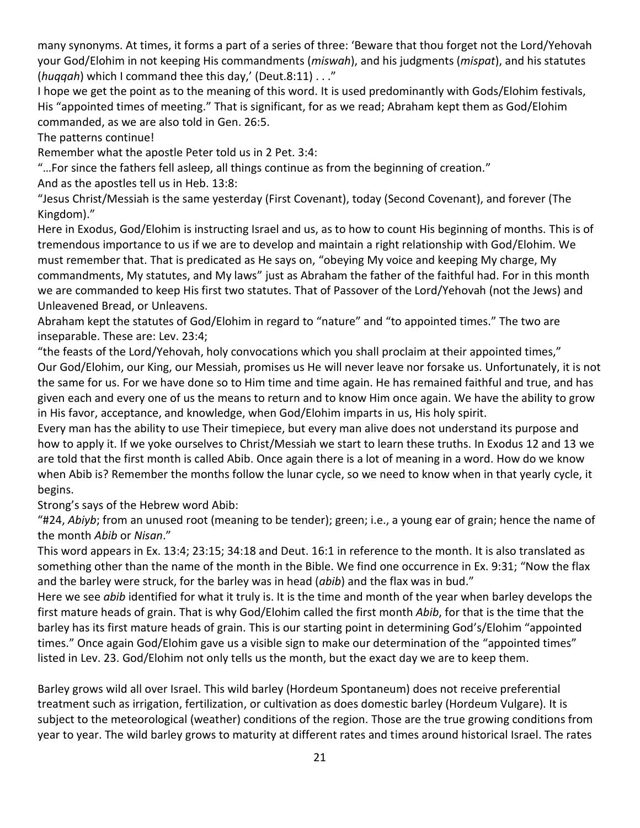many synonyms. At times, it forms a part of a series of three: 'Beware that thou forget not the Lord/Yehovah your God/Elohim in not keeping His commandments (*miswah*), and his judgments (*mispat*), and his statutes (*huqqah*) which I command thee this day,' (Deut.8:11) . . ."

I hope we get the point as to the meaning of this word. It is used predominantly with Gods/Elohim festivals, His "appointed times of meeting." That is significant, for as we read; Abraham kept them as God/Elohim commanded, as we are also told in Gen. 26:5.

The patterns continue!

Remember what the apostle Peter told us in 2 Pet. 3:4:

"…For since the fathers fell asleep, all things continue as from the beginning of creation."

And as the apostles tell us in Heb. 13:8:

"Jesus Christ/Messiah is the same yesterday (First Covenant), today (Second Covenant), and forever (The Kingdom)."

Here in Exodus, God/Elohim is instructing Israel and us, as to how to count His beginning of months. This is of tremendous importance to us if we are to develop and maintain a right relationship with God/Elohim. We must remember that. That is predicated as He says on, "obeying My voice and keeping My charge, My commandments, My statutes, and My laws" just as Abraham the father of the faithful had. For in this month we are commanded to keep His first two statutes. That of Passover of the Lord/Yehovah (not the Jews) and Unleavened Bread, or Unleavens.

Abraham kept the statutes of God/Elohim in regard to "nature" and "to appointed times." The two are inseparable. These are: Lev. 23:4;

"the feasts of the Lord/Yehovah, holy convocations which you shall proclaim at their appointed times," Our God/Elohim, our King, our Messiah, promises us He will never leave nor forsake us. Unfortunately, it is not the same for us. For we have done so to Him time and time again. He has remained faithful and true, and has given each and every one of us the means to return and to know Him once again. We have the ability to grow in His favor, acceptance, and knowledge, when God/Elohim imparts in us, His holy spirit.

Every man has the ability to use Their timepiece, but every man alive does not understand its purpose and how to apply it. If we yoke ourselves to Christ/Messiah we start to learn these truths. In Exodus 12 and 13 we are told that the first month is called Abib. Once again there is a lot of meaning in a word. How do we know when Abib is? Remember the months follow the lunar cycle, so we need to know when in that yearly cycle, it begins.

Strong's says of the Hebrew word Abib:

"#24, *Abiyb*; from an unused root (meaning to be tender); green; i.e., a young ear of grain; hence the name of the month *Abib* or *Nisan*."

This word appears in Ex. 13:4; 23:15; 34:18 and Deut. 16:1 in reference to the month. It is also translated as something other than the name of the month in the Bible. We find one occurrence in Ex. 9:31; "Now the flax and the barley were struck, for the barley was in head (*abib*) and the flax was in bud."

Here we see *abib* identified for what it truly is. It is the time and month of the year when barley develops the first mature heads of grain. That is why God/Elohim called the first month *Abib*, for that is the time that the barley has its first mature heads of grain. This is our starting point in determining God's/Elohim "appointed times." Once again God/Elohim gave us a visible sign to make our determination of the "appointed times" listed in Lev. 23. God/Elohim not only tells us the month, but the exact day we are to keep them.

Barley grows wild all over Israel. This wild barley (Hordeum Spontaneum) does not receive preferential treatment such as irrigation, fertilization, or cultivation as does domestic barley (Hordeum Vulgare). It is subject to the meteorological (weather) conditions of the region. Those are the true growing conditions from year to year. The wild barley grows to maturity at different rates and times around historical Israel. The rates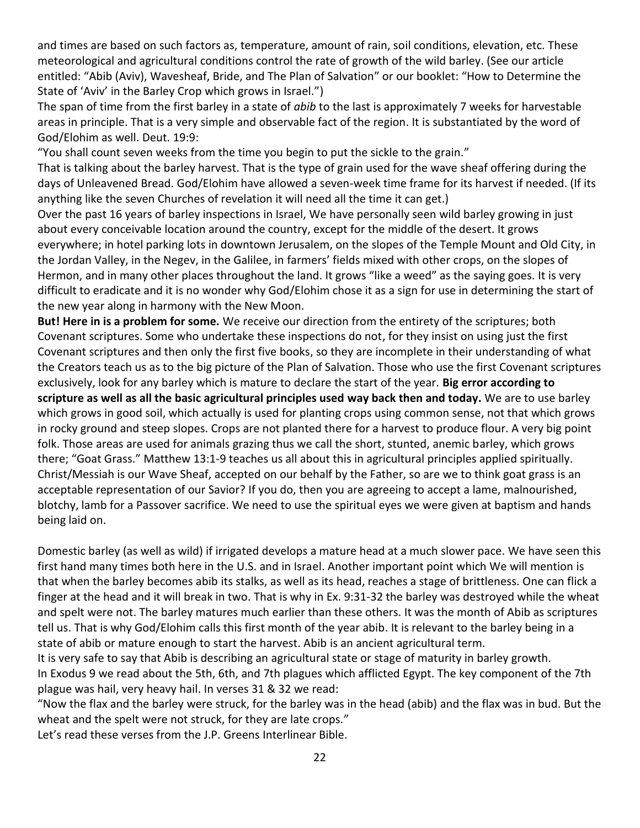and times are based on such factors as, temperature, amount of rain, soil conditions, elevation, etc. These meteorological and agricultural conditions control the rate of growth of the wild barley. (See our article entitled: "Abib (Aviv), Wavesheaf, Bride, and The Plan of Salvation" or our booklet: "How to Determine the State of 'Aviv' in the Barley Crop which grows in Israel.")

The span of time from the first barley in a state of *abib* to the last is approximately 7 weeks for harvestable areas in principle. That is a very simple and observable fact of the region. It is substantiated by the word of God/Elohim as well. Deut. 19:9:

"You shall count seven weeks from the time you begin to put the sickle to the grain."

That is talking about the barley harvest. That is the type of grain used for the wave sheaf offering during the days of Unleavened Bread. God/Elohim have allowed a seven-week time frame for its harvest if needed. (If its anything like the seven Churches of revelation it will need all the time it can get.)

Over the past 16 years of barley inspections in Israel, We have personally seen wild barley growing in just about every conceivable location around the country, except for the middle of the desert. It grows everywhere; in hotel parking lots in downtown Jerusalem, on the slopes of the Temple Mount and Old City, in the Jordan Valley, in the Negev, in the Galilee, in farmers' fields mixed with other crops, on the slopes of Hermon, and in many other places throughout the land. It grows "like a weed" as the saying goes. It is very difficult to eradicate and it is no wonder why God/Elohim chose it as a sign for use in determining the start of the new year along in harmony with the New Moon.

**But! Here in is a problem for some.** We receive our direction from the entirety of the scriptures; both Covenant scriptures. Some who undertake these inspections do not, for they insist on using just the first Covenant scriptures and then only the first five books, so they are incomplete in their understanding of what the Creators teach us as to the big picture of the Plan of Salvation. Those who use the first Covenant scriptures exclusively, look for any barley which is mature to declare the start of the year. **Big error according to scripture as well as all the basic agricultural principles used way back then and today.** We are to use barley which grows in good soil, which actually is used for planting crops using common sense, not that which grows in rocky ground and steep slopes. Crops are not planted there for a harvest to produce flour. A very big point folk. Those areas are used for animals grazing thus we call the short, stunted, anemic barley, which grows there; "Goat Grass." Matthew 13:1-9 teaches us all about this in agricultural principles applied spiritually. Christ/Messiah is our Wave Sheaf, accepted on our behalf by the Father, so are we to think goat grass is an acceptable representation of our Savior? If you do, then you are agreeing to accept a lame, malnourished, blotchy, lamb for a Passover sacrifice. We need to use the spiritual eyes we were given at baptism and hands being laid on.

Domestic barley (as well as wild) if irrigated develops a mature head at a much slower pace. We have seen this first hand many times both here in the U.S. and in Israel. Another important point which We will mention is that when the barley becomes abib its stalks, as well as its head, reaches a stage of brittleness. One can flick a finger at the head and it will break in two. That is why in Ex. 9:31-32 the barley was destroyed while the wheat and spelt were not. The barley matures much earlier than these others. It was the month of Abib as scriptures tell us. That is why God/Elohim calls this first month of the year abib. It is relevant to the barley being in a state of abib or mature enough to start the harvest. Abib is an ancient agricultural term.

It is very safe to say that Abib is describing an agricultural state or stage of maturity in barley growth. In Exodus 9 we read about the 5th, 6th, and 7th plagues which afflicted Egypt. The key component of the 7th plague was hail, very heavy hail. In verses 31 & 32 we read:

"Now the flax and the barley were struck, for the barley was in the head (abib) and the flax was in bud. But the wheat and the spelt were not struck, for they are late crops."

Let's read these verses from the J.P. Greens Interlinear Bible.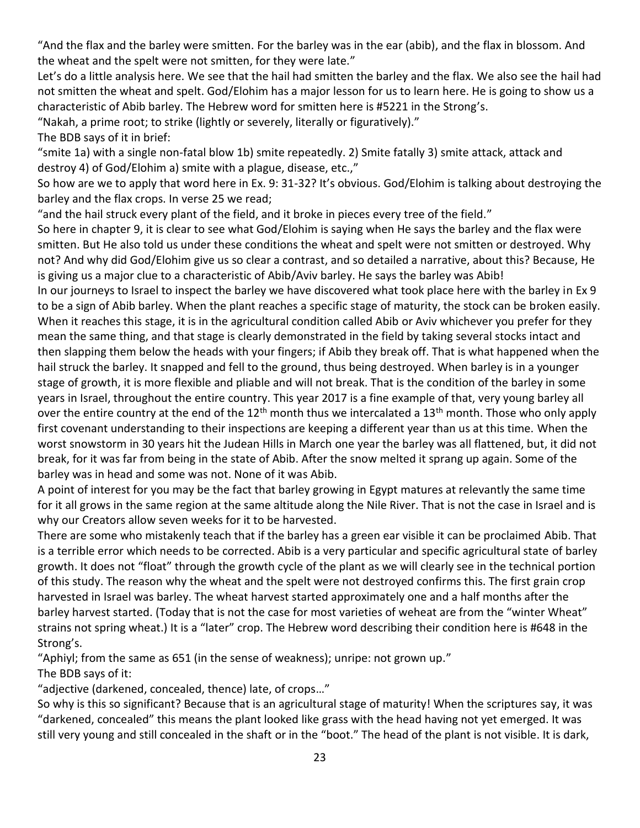"And the flax and the barley were smitten. For the barley was in the ear (abib), and the flax in blossom. And the wheat and the spelt were not smitten, for they were late."

Let's do a little analysis here. We see that the hail had smitten the barley and the flax. We also see the hail had not smitten the wheat and spelt. God/Elohim has a major lesson for us to learn here. He is going to show us a characteristic of Abib barley. The Hebrew word for smitten here is #5221 in the Strong's.

"Nakah, a prime root; to strike (lightly or severely, literally or figuratively)."

The BDB says of it in brief:

"smite 1a) with a single non-fatal blow 1b) smite repeatedly. 2) Smite fatally 3) smite attack, attack and destroy 4) of God/Elohim a) smite with a plague, disease, etc.,"

So how are we to apply that word here in Ex. 9: 31-32? It's obvious. God/Elohim is talking about destroying the barley and the flax crops. In verse 25 we read;

"and the hail struck every plant of the field, and it broke in pieces every tree of the field."

So here in chapter 9, it is clear to see what God/Elohim is saying when He says the barley and the flax were smitten. But He also told us under these conditions the wheat and spelt were not smitten or destroyed. Why not? And why did God/Elohim give us so clear a contrast, and so detailed a narrative, about this? Because, He is giving us a major clue to a characteristic of Abib/Aviv barley. He says the barley was Abib!

In our journeys to Israel to inspect the barley we have discovered what took place here with the barley in Ex 9 to be a sign of Abib barley. When the plant reaches a specific stage of maturity, the stock can be broken easily. When it reaches this stage, it is in the agricultural condition called Abib or Aviv whichever you prefer for they mean the same thing, and that stage is clearly demonstrated in the field by taking several stocks intact and then slapping them below the heads with your fingers; if Abib they break off. That is what happened when the hail struck the barley. It snapped and fell to the ground, thus being destroyed. When barley is in a younger stage of growth, it is more flexible and pliable and will not break. That is the condition of the barley in some years in Israel, throughout the entire country. This year 2017 is a fine example of that, very young barley all over the entire country at the end of the 12<sup>th</sup> month thus we intercalated a 13<sup>th</sup> month. Those who only apply first covenant understanding to their inspections are keeping a different year than us at this time. When the worst snowstorm in 30 years hit the Judean Hills in March one year the barley was all flattened, but, it did not break, for it was far from being in the state of Abib. After the snow melted it sprang up again. Some of the barley was in head and some was not. None of it was Abib.

A point of interest for you may be the fact that barley growing in Egypt matures at relevantly the same time for it all grows in the same region at the same altitude along the Nile River. That is not the case in Israel and is why our Creators allow seven weeks for it to be harvested.

There are some who mistakenly teach that if the barley has a green ear visible it can be proclaimed Abib. That is a terrible error which needs to be corrected. Abib is a very particular and specific agricultural state of barley growth. It does not "float" through the growth cycle of the plant as we will clearly see in the technical portion of this study. The reason why the wheat and the spelt were not destroyed confirms this. The first grain crop harvested in Israel was barley. The wheat harvest started approximately one and a half months after the barley harvest started. (Today that is not the case for most varieties of weheat are from the "winter Wheat" strains not spring wheat.) It is a "later" crop. The Hebrew word describing their condition here is #648 in the Strong's.

"Aphiyl; from the same as 651 (in the sense of weakness); unripe: not grown up." The BDB says of it:

"adjective (darkened, concealed, thence) late, of crops…"

So why is this so significant? Because that is an agricultural stage of maturity! When the scriptures say, it was "darkened, concealed" this means the plant looked like grass with the head having not yet emerged. It was still very young and still concealed in the shaft or in the "boot." The head of the plant is not visible. It is dark,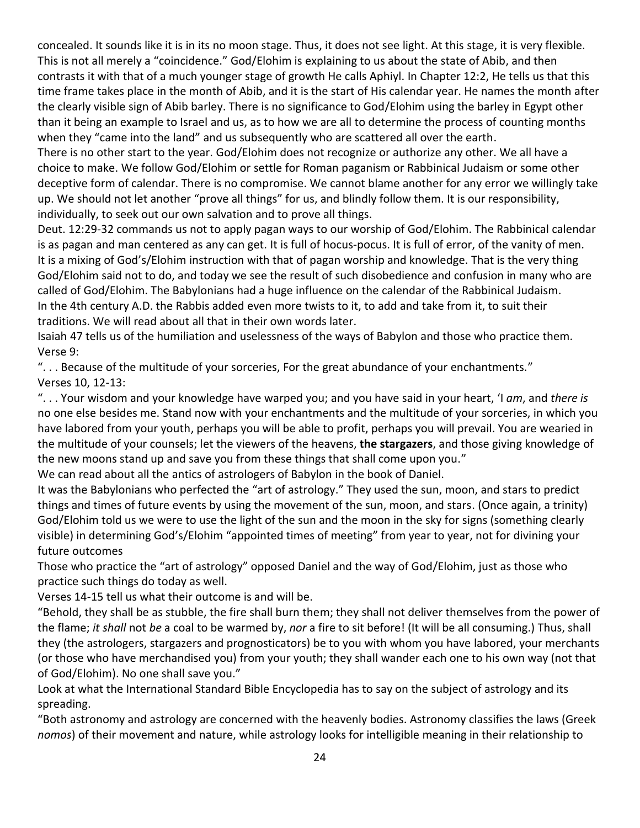concealed. It sounds like it is in its no moon stage. Thus, it does not see light. At this stage, it is very flexible. This is not all merely a "coincidence." God/Elohim is explaining to us about the state of Abib, and then contrasts it with that of a much younger stage of growth He calls Aphiyl. In Chapter 12:2, He tells us that this time frame takes place in the month of Abib, and it is the start of His calendar year. He names the month after the clearly visible sign of Abib barley. There is no significance to God/Elohim using the barley in Egypt other than it being an example to Israel and us, as to how we are all to determine the process of counting months when they "came into the land" and us subsequently who are scattered all over the earth.

There is no other start to the year. God/Elohim does not recognize or authorize any other. We all have a choice to make. We follow God/Elohim or settle for Roman paganism or Rabbinical Judaism or some other deceptive form of calendar. There is no compromise. We cannot blame another for any error we willingly take up. We should not let another "prove all things" for us, and blindly follow them. It is our responsibility, individually, to seek out our own salvation and to prove all things.

Deut. 12:29-32 commands us not to apply pagan ways to our worship of God/Elohim. The Rabbinical calendar is as pagan and man centered as any can get. It is full of hocus-pocus. It is full of error, of the vanity of men. It is a mixing of God's/Elohim instruction with that of pagan worship and knowledge. That is the very thing God/Elohim said not to do, and today we see the result of such disobedience and confusion in many who are called of God/Elohim. The Babylonians had a huge influence on the calendar of the Rabbinical Judaism. In the 4th century A.D. the Rabbis added even more twists to it, to add and take from it, to suit their traditions. We will read about all that in their own words later.

Isaiah 47 tells us of the humiliation and uselessness of the ways of Babylon and those who practice them. Verse 9:

". . . Because of the multitude of your sorceries, For the great abundance of your enchantments." Verses 10, 12-13:

". . . Your wisdom and your knowledge have warped you; and you have said in your heart, 'I *am*, and *there is* no one else besides me. Stand now with your enchantments and the multitude of your sorceries, in which you have labored from your youth, perhaps you will be able to profit, perhaps you will prevail. You are wearied in the multitude of your counsels; let the viewers of the heavens, **the stargazers**, and those giving knowledge of the new moons stand up and save you from these things that shall come upon you."

We can read about all the antics of astrologers of Babylon in the book of Daniel.

It was the Babylonians who perfected the "art of astrology." They used the sun, moon, and stars to predict things and times of future events by using the movement of the sun, moon, and stars. (Once again, a trinity) God/Elohim told us we were to use the light of the sun and the moon in the sky for signs (something clearly visible) in determining God's/Elohim "appointed times of meeting" from year to year, not for divining your future outcomes

Those who practice the "art of astrology" opposed Daniel and the way of God/Elohim, just as those who practice such things do today as well.

Verses 14-15 tell us what their outcome is and will be.

"Behold, they shall be as stubble, the fire shall burn them; they shall not deliver themselves from the power of the flame; *it shall* not *be* a coal to be warmed by, *nor* a fire to sit before! (It will be all consuming.) Thus, shall they (the astrologers, stargazers and prognosticators) be to you with whom you have labored, your merchants (or those who have merchandised you) from your youth; they shall wander each one to his own way (not that of God/Elohim). No one shall save you."

Look at what the International Standard Bible Encyclopedia has to say on the subject of astrology and its spreading.

"Both astronomy and astrology are concerned with the heavenly bodies. Astronomy classifies the laws (Greek *nomos*) of their movement and nature, while astrology looks for intelligible meaning in their relationship to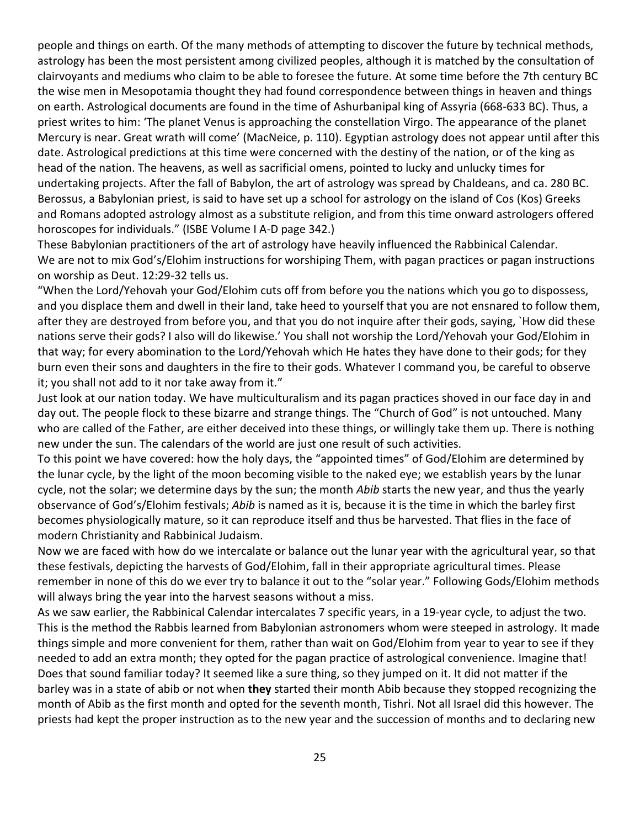people and things on earth. Of the many methods of attempting to discover the future by technical methods, astrology has been the most persistent among civilized peoples, although it is matched by the consultation of clairvoyants and mediums who claim to be able to foresee the future. At some time before the 7th century BC the wise men in Mesopotamia thought they had found correspondence between things in heaven and things on earth. Astrological documents are found in the time of Ashurbanipal king of Assyria (668-633 BC). Thus, a priest writes to him: 'The planet Venus is approaching the constellation Virgo. The appearance of the planet Mercury is near. Great wrath will come' (MacNeice, p. 110). Egyptian astrology does not appear until after this date. Astrological predictions at this time were concerned with the destiny of the nation, or of the king as head of the nation. The heavens, as well as sacrificial omens, pointed to lucky and unlucky times for undertaking projects. After the fall of Babylon, the art of astrology was spread by Chaldeans, and ca. 280 BC. Berossus, a Babylonian priest, is said to have set up a school for astrology on the island of Cos (Kos) Greeks and Romans adopted astrology almost as a substitute religion, and from this time onward astrologers offered horoscopes for individuals." (ISBE Volume I A-D page 342.)

These Babylonian practitioners of the art of astrology have heavily influenced the Rabbinical Calendar. We are not to mix God's/Elohim instructions for worshiping Them, with pagan practices or pagan instructions on worship as Deut. 12:29-32 tells us.

"When the Lord/Yehovah your God/Elohim cuts off from before you the nations which you go to dispossess, and you displace them and dwell in their land, take heed to yourself that you are not ensnared to follow them, after they are destroyed from before you, and that you do not inquire after their gods, saying, `How did these nations serve their gods? I also will do likewise.' You shall not worship the Lord/Yehovah your God/Elohim in that way; for every abomination to the Lord/Yehovah which He hates they have done to their gods; for they burn even their sons and daughters in the fire to their gods. Whatever I command you, be careful to observe it; you shall not add to it nor take away from it."

Just look at our nation today. We have multiculturalism and its pagan practices shoved in our face day in and day out. The people flock to these bizarre and strange things. The "Church of God" is not untouched. Many who are called of the Father, are either deceived into these things, or willingly take them up. There is nothing new under the sun. The calendars of the world are just one result of such activities.

To this point we have covered: how the holy days, the "appointed times" of God/Elohim are determined by the lunar cycle, by the light of the moon becoming visible to the naked eye; we establish years by the lunar cycle, not the solar; we determine days by the sun; the month *Abib* starts the new year, and thus the yearly observance of God's/Elohim festivals; *Abib* is named as it is, because it is the time in which the barley first becomes physiologically mature, so it can reproduce itself and thus be harvested. That flies in the face of modern Christianity and Rabbinical Judaism.

Now we are faced with how do we intercalate or balance out the lunar year with the agricultural year, so that these festivals, depicting the harvests of God/Elohim, fall in their appropriate agricultural times. Please remember in none of this do we ever try to balance it out to the "solar year." Following Gods/Elohim methods will always bring the year into the harvest seasons without a miss.

As we saw earlier, the Rabbinical Calendar intercalates 7 specific years, in a 19-year cycle, to adjust the two. This is the method the Rabbis learned from Babylonian astronomers whom were steeped in astrology. It made things simple and more convenient for them, rather than wait on God/Elohim from year to year to see if they needed to add an extra month; they opted for the pagan practice of astrological convenience. Imagine that! Does that sound familiar today? It seemed like a sure thing, so they jumped on it. It did not matter if the barley was in a state of abib or not when **they** started their month Abib because they stopped recognizing the month of Abib as the first month and opted for the seventh month, Tishri. Not all Israel did this however. The priests had kept the proper instruction as to the new year and the succession of months and to declaring new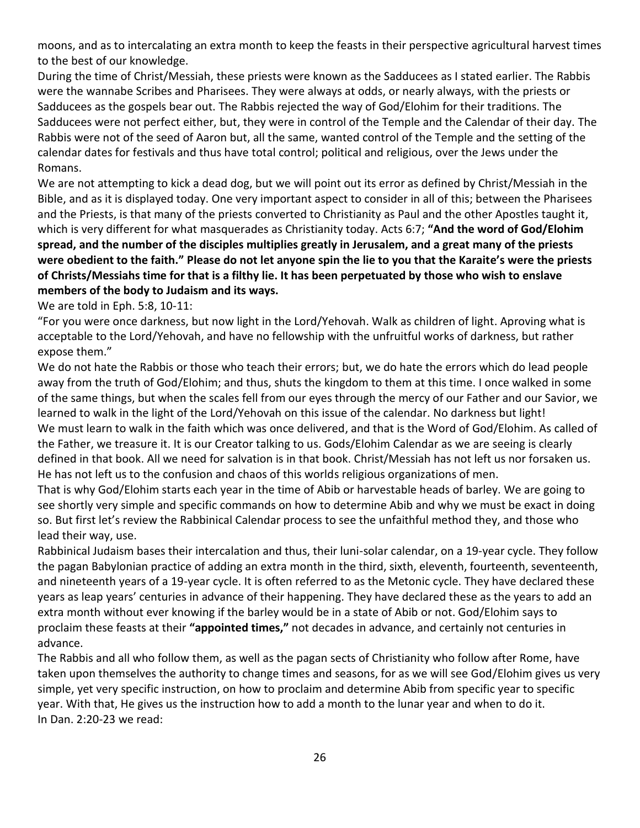moons, and as to intercalating an extra month to keep the feasts in their perspective agricultural harvest times to the best of our knowledge.

During the time of Christ/Messiah, these priests were known as the Sadducees as I stated earlier. The Rabbis were the wannabe Scribes and Pharisees. They were always at odds, or nearly always, with the priests or Sadducees as the gospels bear out. The Rabbis rejected the way of God/Elohim for their traditions. The Sadducees were not perfect either, but, they were in control of the Temple and the Calendar of their day. The Rabbis were not of the seed of Aaron but, all the same, wanted control of the Temple and the setting of the calendar dates for festivals and thus have total control; political and religious, over the Jews under the Romans.

We are not attempting to kick a dead dog, but we will point out its error as defined by Christ/Messiah in the Bible, and as it is displayed today. One very important aspect to consider in all of this; between the Pharisees and the Priests, is that many of the priests converted to Christianity as Paul and the other Apostles taught it, which is very different for what masquerades as Christianity today. Acts 6:7; **"And the word of God/Elohim spread, and the number of the disciples multiplies greatly in Jerusalem, and a great many of the priests were obedient to the faith." Please do not let anyone spin the lie to you that the Karaite's were the priests of Christs/Messiahs time for that is a filthy lie. It has been perpetuated by those who wish to enslave members of the body to Judaism and its ways.**

We are told in Eph. 5:8, 10-11:

"For you were once darkness, but now light in the Lord/Yehovah. Walk as children of light. Aproving what is acceptable to the Lord/Yehovah, and have no fellowship with the unfruitful works of darkness, but rather expose them."

We do not hate the Rabbis or those who teach their errors; but, we do hate the errors which do lead people away from the truth of God/Elohim; and thus, shuts the kingdom to them at this time. I once walked in some of the same things, but when the scales fell from our eyes through the mercy of our Father and our Savior, we learned to walk in the light of the Lord/Yehovah on this issue of the calendar. No darkness but light! We must learn to walk in the faith which was once delivered, and that is the Word of God/Elohim. As called of the Father, we treasure it. It is our Creator talking to us. Gods/Elohim Calendar as we are seeing is clearly defined in that book. All we need for salvation is in that book. Christ/Messiah has not left us nor forsaken us. He has not left us to the confusion and chaos of this worlds religious organizations of men.

That is why God/Elohim starts each year in the time of Abib or harvestable heads of barley. We are going to see shortly very simple and specific commands on how to determine Abib and why we must be exact in doing so. But first let's review the Rabbinical Calendar process to see the unfaithful method they, and those who lead their way, use.

Rabbinical Judaism bases their intercalation and thus, their luni-solar calendar, on a 19-year cycle. They follow the pagan Babylonian practice of adding an extra month in the third, sixth, eleventh, fourteenth, seventeenth, and nineteenth years of a 19-year cycle. It is often referred to as the Metonic cycle. They have declared these years as leap years' centuries in advance of their happening. They have declared these as the years to add an extra month without ever knowing if the barley would be in a state of Abib or not. God/Elohim says to proclaim these feasts at their **"appointed times,"** not decades in advance, and certainly not centuries in advance.

The Rabbis and all who follow them, as well as the pagan sects of Christianity who follow after Rome, have taken upon themselves the authority to change times and seasons, for as we will see God/Elohim gives us very simple, yet very specific instruction, on how to proclaim and determine Abib from specific year to specific year. With that, He gives us the instruction how to add a month to the lunar year and when to do it. In Dan. 2:20-23 we read: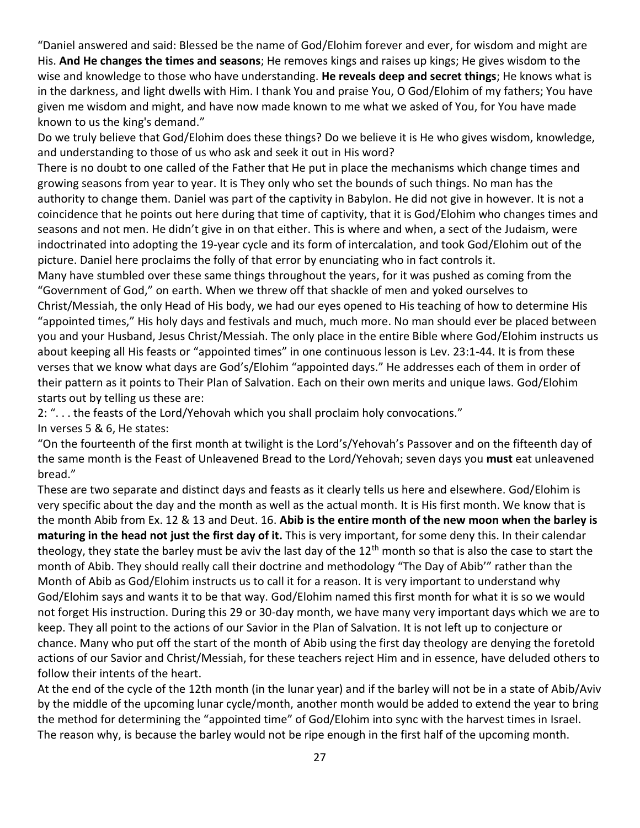"Daniel answered and said: Blessed be the name of God/Elohim forever and ever, for wisdom and might are His. **And He changes the times and seasons**; He removes kings and raises up kings; He gives wisdom to the wise and knowledge to those who have understanding. **He reveals deep and secret things**; He knows what is in the darkness, and light dwells with Him. I thank You and praise You, O God/Elohim of my fathers; You have given me wisdom and might, and have now made known to me what we asked of You, for You have made known to us the king's demand."

Do we truly believe that God/Elohim does these things? Do we believe it is He who gives wisdom, knowledge, and understanding to those of us who ask and seek it out in His word?

There is no doubt to one called of the Father that He put in place the mechanisms which change times and growing seasons from year to year. It is They only who set the bounds of such things. No man has the authority to change them. Daniel was part of the captivity in Babylon. He did not give in however. It is not a coincidence that he points out here during that time of captivity, that it is God/Elohim who changes times and seasons and not men. He didn't give in on that either. This is where and when, a sect of the Judaism, were indoctrinated into adopting the 19-year cycle and its form of intercalation, and took God/Elohim out of the picture. Daniel here proclaims the folly of that error by enunciating who in fact controls it.

Many have stumbled over these same things throughout the years, for it was pushed as coming from the "Government of God," on earth. When we threw off that shackle of men and yoked ourselves to Christ/Messiah, the only Head of His body, we had our eyes opened to His teaching of how to determine His "appointed times," His holy days and festivals and much, much more. No man should ever be placed between you and your Husband, Jesus Christ/Messiah. The only place in the entire Bible where God/Elohim instructs us about keeping all His feasts or "appointed times" in one continuous lesson is Lev. 23:1-44. It is from these verses that we know what days are God's/Elohim "appointed days." He addresses each of them in order of their pattern as it points to Their Plan of Salvation. Each on their own merits and unique laws. God/Elohim starts out by telling us these are:

2: ". . . the feasts of the Lord/Yehovah which you shall proclaim holy convocations."

In verses 5 & 6, He states:

"On the fourteenth of the first month at twilight is the Lord's/Yehovah's Passover and on the fifteenth day of the same month is the Feast of Unleavened Bread to the Lord/Yehovah; seven days you **must** eat unleavened bread."

These are two separate and distinct days and feasts as it clearly tells us here and elsewhere. God/Elohim is very specific about the day and the month as well as the actual month. It is His first month. We know that is the month Abib from Ex. 12 & 13 and Deut. 16. **Abib is the entire month of the new moon when the barley is maturing in the head not just the first day of it.** This is very important, for some deny this. In their calendar theology, they state the barley must be aviv the last day of the 12<sup>th</sup> month so that is also the case to start the month of Abib. They should really call their doctrine and methodology "The Day of Abib'" rather than the Month of Abib as God/Elohim instructs us to call it for a reason. It is very important to understand why God/Elohim says and wants it to be that way. God/Elohim named this first month for what it is so we would not forget His instruction. During this 29 or 30-day month, we have many very important days which we are to keep. They all point to the actions of our Savior in the Plan of Salvation. It is not left up to conjecture or chance. Many who put off the start of the month of Abib using the first day theology are denying the foretold actions of our Savior and Christ/Messiah, for these teachers reject Him and in essence, have deluded others to follow their intents of the heart.

At the end of the cycle of the 12th month (in the lunar year) and if the barley will not be in a state of Abib/Aviv by the middle of the upcoming lunar cycle/month, another month would be added to extend the year to bring the method for determining the "appointed time" of God/Elohim into sync with the harvest times in Israel. The reason why, is because the barley would not be ripe enough in the first half of the upcoming month.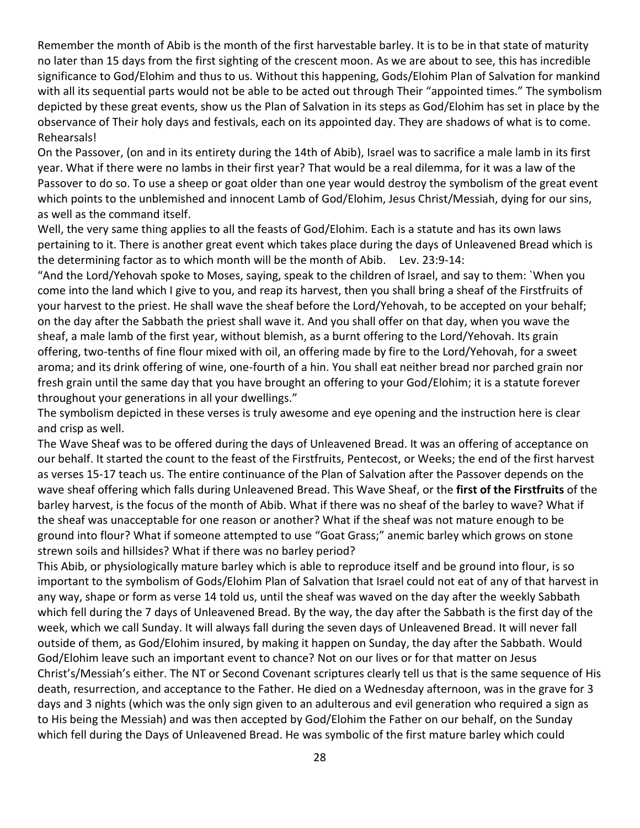Remember the month of Abib is the month of the first harvestable barley. It is to be in that state of maturity no later than 15 days from the first sighting of the crescent moon. As we are about to see, this has incredible significance to God/Elohim and thus to us. Without this happening, Gods/Elohim Plan of Salvation for mankind with all its sequential parts would not be able to be acted out through Their "appointed times." The symbolism depicted by these great events, show us the Plan of Salvation in its steps as God/Elohim has set in place by the observance of Their holy days and festivals, each on its appointed day. They are shadows of what is to come. Rehearsals!

On the Passover, (on and in its entirety during the 14th of Abib), Israel was to sacrifice a male lamb in its first year. What if there were no lambs in their first year? That would be a real dilemma, for it was a law of the Passover to do so. To use a sheep or goat older than one year would destroy the symbolism of the great event which points to the unblemished and innocent Lamb of God/Elohim, Jesus Christ/Messiah, dying for our sins, as well as the command itself.

Well, the very same thing applies to all the feasts of God/Elohim. Each is a statute and has its own laws pertaining to it. There is another great event which takes place during the days of Unleavened Bread which is the determining factor as to which month will be the month of Abib. Lev. 23:9-14:

"And the Lord/Yehovah spoke to Moses, saying, speak to the children of Israel, and say to them: `When you come into the land which I give to you, and reap its harvest, then you shall bring a sheaf of the Firstfruits of your harvest to the priest. He shall wave the sheaf before the Lord/Yehovah, to be accepted on your behalf; on the day after the Sabbath the priest shall wave it. And you shall offer on that day, when you wave the sheaf, a male lamb of the first year, without blemish, as a burnt offering to the Lord/Yehovah. Its grain offering, two-tenths of fine flour mixed with oil, an offering made by fire to the Lord/Yehovah, for a sweet aroma; and its drink offering of wine, one-fourth of a hin. You shall eat neither bread nor parched grain nor fresh grain until the same day that you have brought an offering to your God/Elohim; it is a statute forever throughout your generations in all your dwellings."

The symbolism depicted in these verses is truly awesome and eye opening and the instruction here is clear and crisp as well.

The Wave Sheaf was to be offered during the days of Unleavened Bread. It was an offering of acceptance on our behalf. It started the count to the feast of the Firstfruits, Pentecost, or Weeks; the end of the first harvest as verses 15-17 teach us. The entire continuance of the Plan of Salvation after the Passover depends on the wave sheaf offering which falls during Unleavened Bread. This Wave Sheaf, or the **first of the Firstfruits** of the barley harvest, is the focus of the month of Abib. What if there was no sheaf of the barley to wave? What if the sheaf was unacceptable for one reason or another? What if the sheaf was not mature enough to be ground into flour? What if someone attempted to use "Goat Grass;" anemic barley which grows on stone strewn soils and hillsides? What if there was no barley period?

This Abib, or physiologically mature barley which is able to reproduce itself and be ground into flour, is so important to the symbolism of Gods/Elohim Plan of Salvation that Israel could not eat of any of that harvest in any way, shape or form as verse 14 told us, until the sheaf was waved on the day after the weekly Sabbath which fell during the 7 days of Unleavened Bread. By the way, the day after the Sabbath is the first day of the week, which we call Sunday. It will always fall during the seven days of Unleavened Bread. It will never fall outside of them, as God/Elohim insured, by making it happen on Sunday, the day after the Sabbath. Would God/Elohim leave such an important event to chance? Not on our lives or for that matter on Jesus Christ's/Messiah's either. The NT or Second Covenant scriptures clearly tell us that is the same sequence of His death, resurrection, and acceptance to the Father. He died on a Wednesday afternoon, was in the grave for 3 days and 3 nights (which was the only sign given to an adulterous and evil generation who required a sign as to His being the Messiah) and was then accepted by God/Elohim the Father on our behalf, on the Sunday which fell during the Days of Unleavened Bread. He was symbolic of the first mature barley which could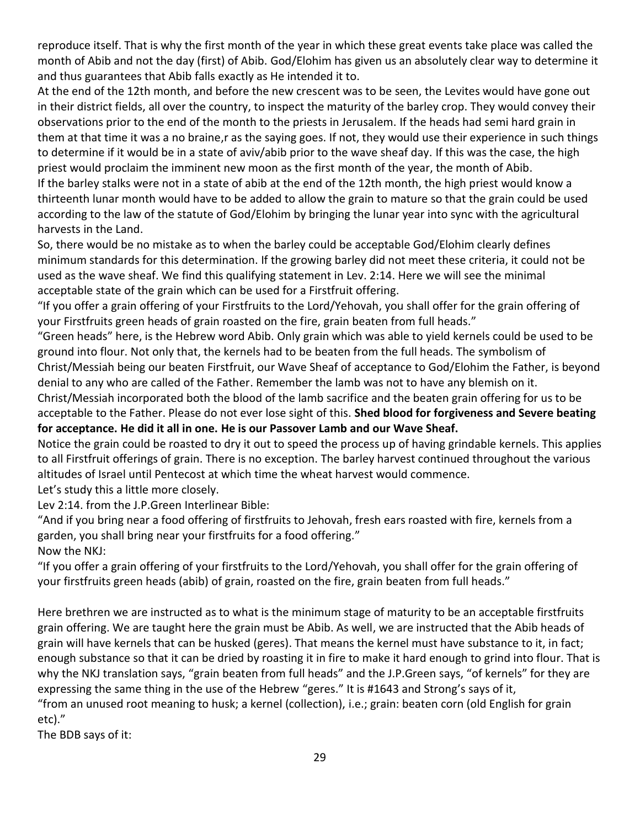reproduce itself. That is why the first month of the year in which these great events take place was called the month of Abib and not the day (first) of Abib. God/Elohim has given us an absolutely clear way to determine it and thus guarantees that Abib falls exactly as He intended it to.

At the end of the 12th month, and before the new crescent was to be seen, the Levites would have gone out in their district fields, all over the country, to inspect the maturity of the barley crop. They would convey their observations prior to the end of the month to the priests in Jerusalem. If the heads had semi hard grain in them at that time it was a no braine, r as the saying goes. If not, they would use their experience in such things to determine if it would be in a state of aviv/abib prior to the wave sheaf day. If this was the case, the high priest would proclaim the imminent new moon as the first month of the year, the month of Abib. If the barley stalks were not in a state of abib at the end of the 12th month, the high priest would know a thirteenth lunar month would have to be added to allow the grain to mature so that the grain could be used according to the law of the statute of God/Elohim by bringing the lunar year into sync with the agricultural harvests in the Land.

So, there would be no mistake as to when the barley could be acceptable God/Elohim clearly defines minimum standards for this determination. If the growing barley did not meet these criteria, it could not be used as the wave sheaf. We find this qualifying statement in Lev. 2:14. Here we will see the minimal acceptable state of the grain which can be used for a Firstfruit offering.

"If you offer a grain offering of your Firstfruits to the Lord/Yehovah, you shall offer for the grain offering of your Firstfruits green heads of grain roasted on the fire, grain beaten from full heads."

"Green heads" here, is the Hebrew word Abib. Only grain which was able to yield kernels could be used to be ground into flour. Not only that, the kernels had to be beaten from the full heads. The symbolism of Christ/Messiah being our beaten Firstfruit, our Wave Sheaf of acceptance to God/Elohim the Father, is beyond denial to any who are called of the Father. Remember the lamb was not to have any blemish on it.

Christ/Messiah incorporated both the blood of the lamb sacrifice and the beaten grain offering for us to be acceptable to the Father. Please do not ever lose sight of this. **Shed blood for forgiveness and Severe beating for acceptance. He did it all in one. He is our Passover Lamb and our Wave Sheaf.**

Notice the grain could be roasted to dry it out to speed the process up of having grindable kernels. This applies to all Firstfruit offerings of grain. There is no exception. The barley harvest continued throughout the various altitudes of Israel until Pentecost at which time the wheat harvest would commence.

Let's study this a little more closely.

Lev 2:14. from the J.P.Green Interlinear Bible:

"And if you bring near a food offering of firstfruits to Jehovah, fresh ears roasted with fire, kernels from a garden, you shall bring near your firstfruits for a food offering." Now the NKJ:

"If you offer a grain offering of your firstfruits to the Lord/Yehovah, you shall offer for the grain offering of your firstfruits green heads (abib) of grain, roasted on the fire, grain beaten from full heads."

Here brethren we are instructed as to what is the minimum stage of maturity to be an acceptable firstfruits grain offering. We are taught here the grain must be Abib. As well, we are instructed that the Abib heads of grain will have kernels that can be husked (geres). That means the kernel must have substance to it, in fact; enough substance so that it can be dried by roasting it in fire to make it hard enough to grind into flour. That is why the NKJ translation says, "grain beaten from full heads" and the J.P.Green says, "of kernels" for they are expressing the same thing in the use of the Hebrew "geres." It is #1643 and Strong's says of it, "from an unused root meaning to husk; a kernel (collection), i.e.; grain: beaten corn (old English for grain etc)."

The BDB says of it: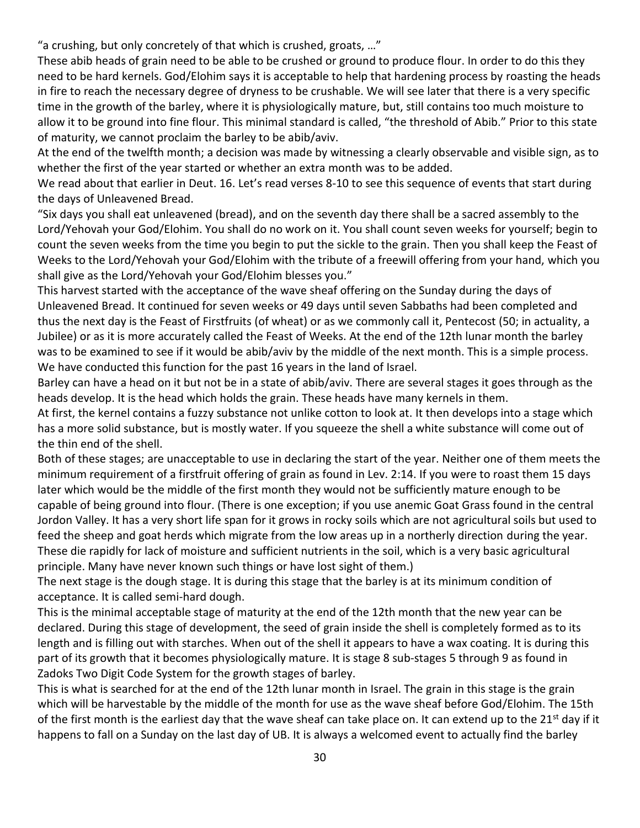"a crushing, but only concretely of that which is crushed, groats, …"

These abib heads of grain need to be able to be crushed or ground to produce flour. In order to do this they need to be hard kernels. God/Elohim says it is acceptable to help that hardening process by roasting the heads in fire to reach the necessary degree of dryness to be crushable. We will see later that there is a very specific time in the growth of the barley, where it is physiologically mature, but, still contains too much moisture to allow it to be ground into fine flour. This minimal standard is called, "the threshold of Abib." Prior to this state of maturity, we cannot proclaim the barley to be abib/aviv.

At the end of the twelfth month; a decision was made by witnessing a clearly observable and visible sign, as to whether the first of the year started or whether an extra month was to be added.

We read about that earlier in Deut. 16. Let's read verses 8-10 to see this sequence of events that start during the days of Unleavened Bread.

"Six days you shall eat unleavened (bread), and on the seventh day there shall be a sacred assembly to the Lord/Yehovah your God/Elohim. You shall do no work on it. You shall count seven weeks for yourself; begin to count the seven weeks from the time you begin to put the sickle to the grain. Then you shall keep the Feast of Weeks to the Lord/Yehovah your God/Elohim with the tribute of a freewill offering from your hand, which you shall give as the Lord/Yehovah your God/Elohim blesses you."

This harvest started with the acceptance of the wave sheaf offering on the Sunday during the days of Unleavened Bread. It continued for seven weeks or 49 days until seven Sabbaths had been completed and thus the next day is the Feast of Firstfruits (of wheat) or as we commonly call it, Pentecost (50; in actuality, a Jubilee) or as it is more accurately called the Feast of Weeks. At the end of the 12th lunar month the barley was to be examined to see if it would be abib/aviv by the middle of the next month. This is a simple process. We have conducted this function for the past 16 years in the land of Israel.

Barley can have a head on it but not be in a state of abib/aviv. There are several stages it goes through as the heads develop. It is the head which holds the grain. These heads have many kernels in them.

At first, the kernel contains a fuzzy substance not unlike cotton to look at. It then develops into a stage which has a more solid substance, but is mostly water. If you squeeze the shell a white substance will come out of the thin end of the shell.

Both of these stages; are unacceptable to use in declaring the start of the year. Neither one of them meets the minimum requirement of a firstfruit offering of grain as found in Lev. 2:14. If you were to roast them 15 days later which would be the middle of the first month they would not be sufficiently mature enough to be capable of being ground into flour. (There is one exception; if you use anemic Goat Grass found in the central Jordon Valley. It has a very short life span for it grows in rocky soils which are not agricultural soils but used to feed the sheep and goat herds which migrate from the low areas up in a northerly direction during the year. These die rapidly for lack of moisture and sufficient nutrients in the soil, which is a very basic agricultural principle. Many have never known such things or have lost sight of them.)

The next stage is the dough stage. It is during this stage that the barley is at its minimum condition of acceptance. It is called semi-hard dough.

This is the minimal acceptable stage of maturity at the end of the 12th month that the new year can be declared. During this stage of development, the seed of grain inside the shell is completely formed as to its length and is filling out with starches. When out of the shell it appears to have a wax coating. It is during this part of its growth that it becomes physiologically mature. It is stage 8 sub-stages 5 through 9 as found in Zadoks Two Digit Code System for the growth stages of barley.

This is what is searched for at the end of the 12th lunar month in Israel. The grain in this stage is the grain which will be harvestable by the middle of the month for use as the wave sheaf before God/Elohim. The 15th of the first month is the earliest day that the wave sheaf can take place on. It can extend up to the 21<sup>st</sup> day if it happens to fall on a Sunday on the last day of UB. It is always a welcomed event to actually find the barley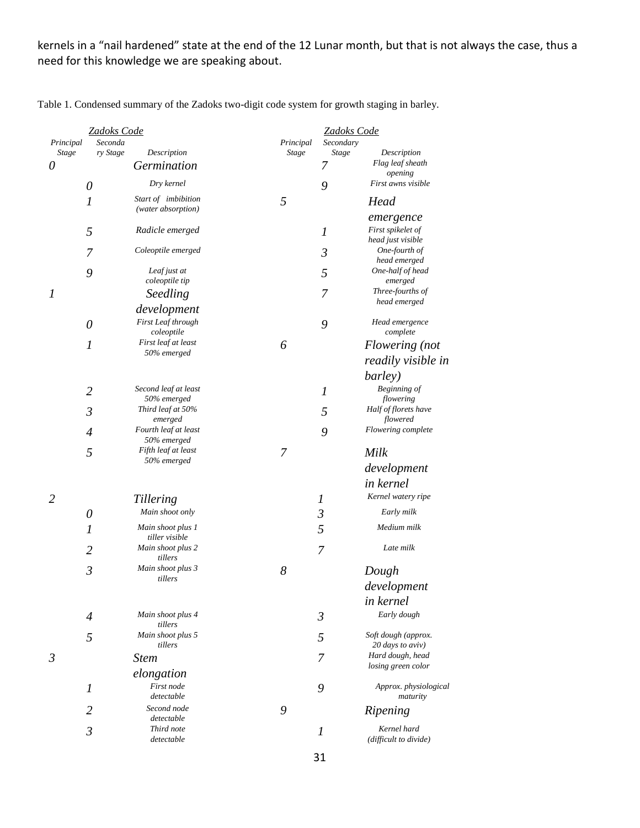kernels in a "nail hardened" state at the end of the 12 Lunar month, but that is not always the case, thus a need for this knowledge we are speaking about.

| Zadoks Code    |                     |                                           | Zadoks Code  |                  |                                         |  |
|----------------|---------------------|-------------------------------------------|--------------|------------------|-----------------------------------------|--|
| Principal      | Seconda<br>ry Stage | Description                               | Principal    | Secondary        | Description                             |  |
| Stage<br>0     |                     | <i><u><b>Germination</b></u></i>          | <b>Stage</b> | Stage<br>7       | Flag leaf sheath<br>opening             |  |
|                | 0                   | Dry kernel                                |              | 9                | First awns visible                      |  |
|                | 1                   | Start of imbibition<br>(water absorption) | 5            |                  | Head                                    |  |
|                |                     |                                           |              |                  | emergence                               |  |
|                | 5                   | Radicle emerged                           |              | $\boldsymbol{l}$ | First spikelet of<br>head just visible  |  |
|                | 7                   | Coleoptile emerged                        |              | $\mathfrak{Z}$   | One-fourth of<br>head emerged           |  |
|                | 9                   | Leaf just at<br>coleoptile tip            |              | 5                | One-half of head<br>emerged             |  |
| 1              |                     | Seedling                                  |              | 7                | Three-fourths of<br>head emerged        |  |
|                |                     | development                               |              |                  |                                         |  |
|                | $\theta$            | First Leaf through<br>coleoptile          |              | 9                | Head emergence<br>complete              |  |
|                | $\boldsymbol{l}$    | First leaf at least<br>50% emerged        | 6            |                  | Flowering (not                          |  |
|                |                     |                                           |              |                  | readily visible in                      |  |
|                |                     |                                           |              |                  | barley)                                 |  |
|                | $\overline{2}$      | Second leaf at least<br>50% emerged       |              | 1                | Beginning of<br>flowering               |  |
|                | $\mathfrak{Z}$      | Third leaf at 50%<br>emerged              |              | 5                | Half of florets have<br>flowered        |  |
|                | $\overline{4}$      | Fourth leaf at least<br>50% emerged       |              | 9                | Flowering complete                      |  |
|                | 5                   | Fifth leaf at least<br>50% emerged        | 7            |                  | Milk                                    |  |
|                |                     |                                           |              |                  | development                             |  |
|                |                     |                                           |              |                  | in kernel                               |  |
| $\overline{2}$ |                     | <b>Tillering</b>                          |              | 1                | Kernel watery ripe                      |  |
|                | 0                   | Main shoot only                           |              | $\mathfrak{Z}$   | Early milk                              |  |
|                | 1                   | Main shoot plus 1<br>tiller visible       |              | 5                | Medium milk                             |  |
|                | $\overline{2}$      | Main shoot plus 2<br>tillers              |              | $\overline{7}$   | Late milk                               |  |
|                | $\mathfrak{Z}$      | Main shoot plus 3<br>tillers              | 8            |                  | Dough                                   |  |
|                |                     |                                           |              |                  | development                             |  |
|                |                     |                                           |              |                  | in kernel                               |  |
|                | $\overline{4}$      | Main shoot plus 4<br>tillers              |              | $\mathfrak{Z}$   | Early dough                             |  |
|                | 5                   | Main shoot plus 5<br>tillers              |              | 5                | Soft dough (approx.<br>20 days to aviv) |  |
| $\mathfrak{Z}$ |                     | <b>Stem</b>                               |              | 7                | Hard dough, head                        |  |
|                |                     | elongation                                |              |                  | losing green color                      |  |
|                | $\boldsymbol{l}$    | First node<br>detectable                  |              | 9                | Approx. physiological<br>maturity       |  |
|                | $\overline{2}$      | Second node                               | 9            |                  | Ripening                                |  |
|                | $\mathfrak{Z}$      | detectable<br>Third note                  |              | $\boldsymbol{l}$ | Kernel hard                             |  |
|                |                     | detectable                                |              |                  | (difficult to divide)                   |  |

Table 1. Condensed summary of the Zadoks two-digit code system for growth staging in barley.

31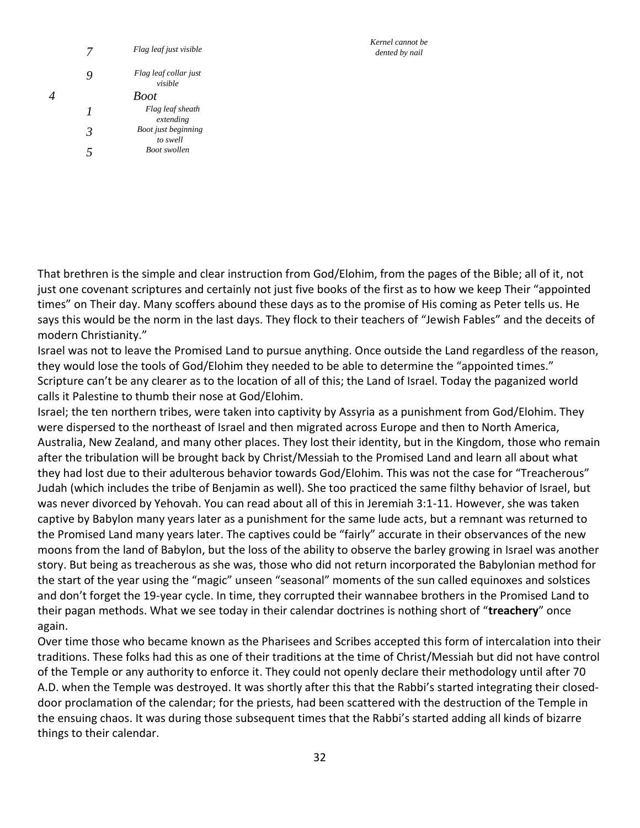|   | Flag leaf just visible           |
|---|----------------------------------|
| Q | Flag leaf collar just<br>visible |
|   | <b>Boot</b>                      |
|   | Flag leaf sheath<br>extending    |
| 3 | <b>Boot</b> just beginning       |
|   | to swell                         |
|   | <b>Boot</b> swollen              |

That brethren is the simple and clear instruction from God/Elohim, from the pages of the Bible; all of it, not just one covenant scriptures and certainly not just five books of the first as to how we keep Their "appointed times" on Their day. Many scoffers abound these days as to the promise of His coming as Peter tells us. He says this would be the norm in the last days. They flock to their teachers of "Jewish Fables" and the deceits of modern Christianity."

*Kernel cannot be dented by nail*

Israel was not to leave the Promised Land to pursue anything. Once outside the Land regardless of the reason, they would lose the tools of God/Elohim they needed to be able to determine the "appointed times." Scripture can't be any clearer as to the location of all of this; the Land of Israel. Today the paganized world calls it Palestine to thumb their nose at God/Elohim.

Israel; the ten northern tribes, were taken into captivity by Assyria as a punishment from God/Elohim. They were dispersed to the northeast of Israel and then migrated across Europe and then to North America, Australia, New Zealand, and many other places. They lost their identity, but in the Kingdom, those who remain after the tribulation will be brought back by Christ/Messiah to the Promised Land and learn all about what they had lost due to their adulterous behavior towards God/Elohim. This was not the case for "Treacherous" Judah (which includes the tribe of Benjamin as well). She too practiced the same filthy behavior of Israel, but was never divorced by Yehovah. You can read about all of this in Jeremiah 3:1-11. However, she was taken captive by Babylon many years later as a punishment for the same lude acts, but a remnant was returned to the Promised Land many years later. The captives could be "fairly" accurate in their observances of the new moons from the land of Babylon, but the loss of the ability to observe the barley growing in Israel was another story. But being as treacherous as she was, those who did not return incorporated the Babylonian method for the start of the year using the "magic" unseen "seasonal" moments of the sun called equinoxes and solstices and don't forget the 19-year cycle. In time, they corrupted their wannabee brothers in the Promised Land to their pagan methods. What we see today in their calendar doctrines is nothing short of "**treachery**" once again.

Over time those who became known as the Pharisees and Scribes accepted this form of intercalation into their traditions. These folks had this as one of their traditions at the time of Christ/Messiah but did not have control of the Temple or any authority to enforce it. They could not openly declare their methodology until after 70 A.D. when the Temple was destroyed. It was shortly after this that the Rabbi's started integrating their closeddoor proclamation of the calendar; for the priests, had been scattered with the destruction of the Temple in the ensuing chaos. It was during those subsequent times that the Rabbi's started adding all kinds of bizarre things to their calendar.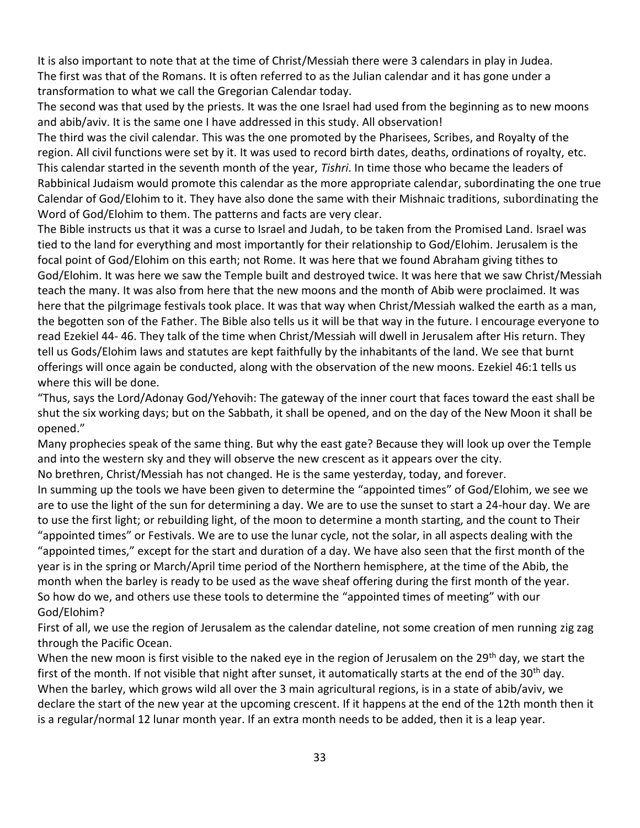It is also important to note that at the time of Christ/Messiah there were 3 calendars in play in Judea. The first was that of the Romans. It is often referred to as the Julian calendar and it has gone under a transformation to what we call the Gregorian Calendar today.

The second was that used by the priests. It was the one Israel had used from the beginning as to new moons and abib/aviv. It is the same one I have addressed in this study. All observation!

The third was the civil calendar. This was the one promoted by the Pharisees, Scribes, and Royalty of the region. All civil functions were set by it. It was used to record birth dates, deaths, ordinations of royalty, etc. This calendar started in the seventh month of the year, *Tishri*. In time those who became the leaders of Rabbinical Judaism would promote this calendar as the more appropriate calendar, subordinating the one true Calendar of God/Elohim to it. They have also done the same with their Mishnaic traditions, subordinating the Word of God/Elohim to them. The patterns and facts are very clear.

The Bible instructs us that it was a curse to Israel and Judah, to be taken from the Promised Land. Israel was tied to the land for everything and most importantly for their relationship to God/Elohim. Jerusalem is the focal point of God/Elohim on this earth; not Rome. It was here that we found Abraham giving tithes to God/Elohim. It was here we saw the Temple built and destroyed twice. It was here that we saw Christ/Messiah teach the many. It was also from here that the new moons and the month of Abib were proclaimed. It was here that the pilgrimage festivals took place. It was that way when Christ/Messiah walked the earth as a man, the begotten son of the Father. The Bible also tells us it will be that way in the future. I encourage everyone to read Ezekiel 44- 46. They talk of the time when Christ/Messiah will dwell in Jerusalem after His return. They tell us Gods/Elohim laws and statutes are kept faithfully by the inhabitants of the land. We see that burnt offerings will once again be conducted, along with the observation of the new moons. Ezekiel 46:1 tells us where this will be done.

"Thus, says the Lord/Adonay God/Yehovih: The gateway of the inner court that faces toward the east shall be shut the six working days; but on the Sabbath, it shall be opened, and on the day of the New Moon it shall be opened."

Many prophecies speak of the same thing. But why the east gate? Because they will look up over the Temple and into the western sky and they will observe the new crescent as it appears over the city.

No brethren, Christ/Messiah has not changed. He is the same yesterday, today, and forever.

In summing up the tools we have been given to determine the "appointed times" of God/Elohim, we see we are to use the light of the sun for determining a day. We are to use the sunset to start a 24-hour day. We are to use the first light; or rebuilding light, of the moon to determine a month starting, and the count to Their "appointed times" or Festivals. We are to use the lunar cycle, not the solar, in all aspects dealing with the "appointed times," except for the start and duration of a day. We have also seen that the first month of the year is in the spring or March/April time period of the Northern hemisphere, at the time of the Abib, the month when the barley is ready to be used as the wave sheaf offering during the first month of the year. So how do we, and others use these tools to determine the "appointed times of meeting" with our God/Elohim?

First of all, we use the region of Jerusalem as the calendar dateline, not some creation of men running zig zag through the Pacific Ocean.

When the new moon is first visible to the naked eye in the region of Jerusalem on the 29<sup>th</sup> day, we start the first of the month. If not visible that night after sunset, it automatically starts at the end of the 30<sup>th</sup> day. When the barley, which grows wild all over the 3 main agricultural regions, is in a state of abib/aviv, we declare the start of the new year at the upcoming crescent. If it happens at the end of the 12th month then it is a regular/normal 12 lunar month year. If an extra month needs to be added, then it is a leap year.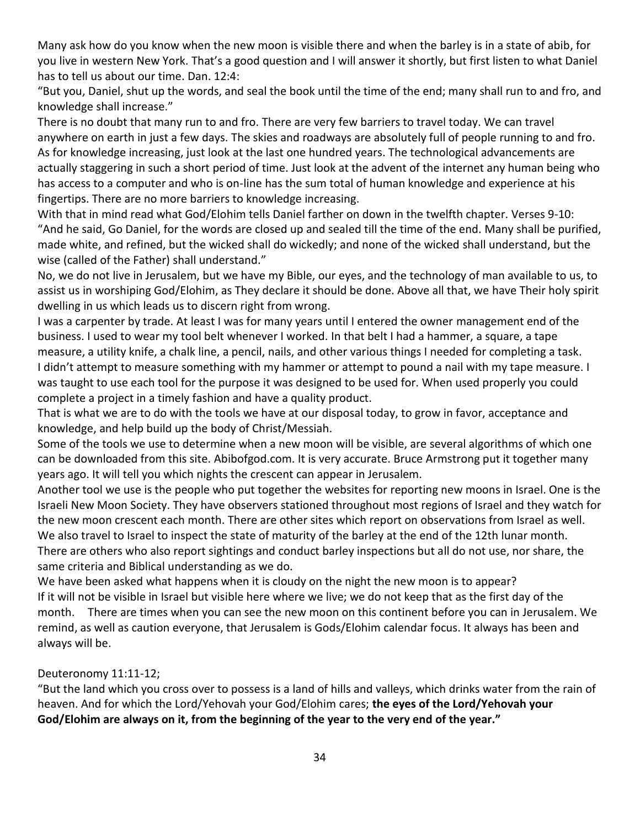Many ask how do you know when the new moon is visible there and when the barley is in a state of abib, for you live in western New York. That's a good question and I will answer it shortly, but first listen to what Daniel has to tell us about our time. Dan. 12:4:

"But you, Daniel, shut up the words, and seal the book until the time of the end; many shall run to and fro, and knowledge shall increase."

There is no doubt that many run to and fro. There are very few barriers to travel today. We can travel anywhere on earth in just a few days. The skies and roadways are absolutely full of people running to and fro. As for knowledge increasing, just look at the last one hundred years. The technological advancements are actually staggering in such a short period of time. Just look at the advent of the internet any human being who has access to a computer and who is on-line has the sum total of human knowledge and experience at his fingertips. There are no more barriers to knowledge increasing.

With that in mind read what God/Elohim tells Daniel farther on down in the twelfth chapter. Verses 9-10: "And he said, Go Daniel, for the words are closed up and sealed till the time of the end. Many shall be purified, made white, and refined, but the wicked shall do wickedly; and none of the wicked shall understand, but the wise (called of the Father) shall understand."

No, we do not live in Jerusalem, but we have my Bible, our eyes, and the technology of man available to us, to assist us in worshiping God/Elohim, as They declare it should be done. Above all that, we have Their holy spirit dwelling in us which leads us to discern right from wrong.

I was a carpenter by trade. At least I was for many years until I entered the owner management end of the business. I used to wear my tool belt whenever I worked. In that belt I had a hammer, a square, a tape measure, a utility knife, a chalk line, a pencil, nails, and other various things I needed for completing a task. I didn't attempt to measure something with my hammer or attempt to pound a nail with my tape measure. I was taught to use each tool for the purpose it was designed to be used for. When used properly you could complete a project in a timely fashion and have a quality product.

That is what we are to do with the tools we have at our disposal today, to grow in favor, acceptance and knowledge, and help build up the body of Christ/Messiah.

Some of the tools we use to determine when a new moon will be visible, are several algorithms of which one can be downloaded from this site. Abibofgod.com. It is very accurate. Bruce Armstrong put it together many years ago. It will tell you which nights the crescent can appear in Jerusalem.

Another tool we use is the people who put together the websites for reporting new moons in Israel. One is the Israeli New Moon Society. They have observers stationed throughout most regions of Israel and they watch for the new moon crescent each month. There are other sites which report on observations from Israel as well. We also travel to Israel to inspect the state of maturity of the barley at the end of the 12th lunar month. There are others who also report sightings and conduct barley inspections but all do not use, nor share, the same criteria and Biblical understanding as we do.

We have been asked what happens when it is cloudy on the night the new moon is to appear? If it will not be visible in Israel but visible here where we live; we do not keep that as the first day of the month. There are times when you can see the new moon on this continent before you can in Jerusalem. We remind, as well as caution everyone, that Jerusalem is Gods/Elohim calendar focus. It always has been and always will be.

### Deuteronomy 11:11-12;

"But the land which you cross over to possess is a land of hills and valleys, which drinks water from the rain of heaven. And for which the Lord/Yehovah your God/Elohim cares; **the eyes of the Lord/Yehovah your God/Elohim are always on it, from the beginning of the year to the very end of the year."**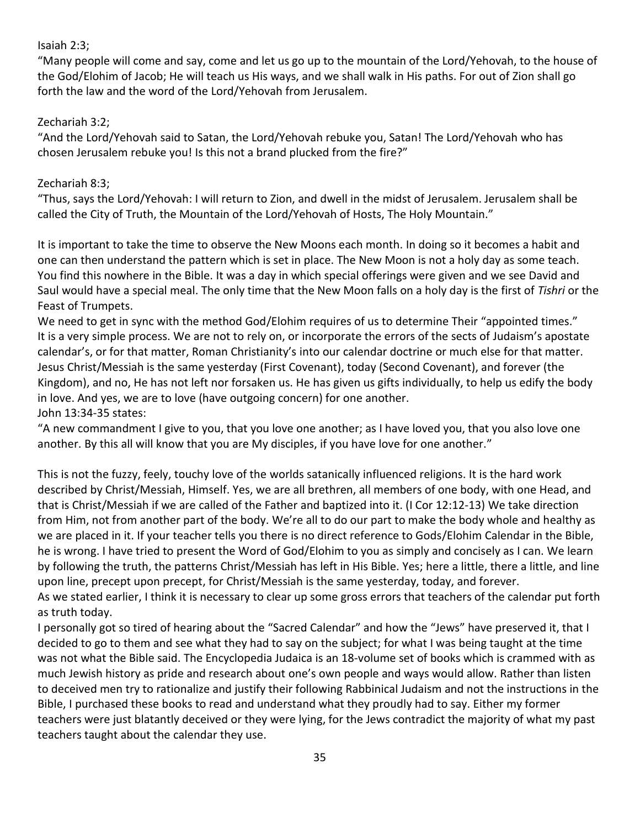#### Isaiah 2:3;

"Many people will come and say, come and let us go up to the mountain of the Lord/Yehovah, to the house of the God/Elohim of Jacob; He will teach us His ways, and we shall walk in His paths. For out of Zion shall go forth the law and the word of the Lord/Yehovah from Jerusalem.

#### Zechariah 3:2;

"And the Lord/Yehovah said to Satan, the Lord/Yehovah rebuke you, Satan! The Lord/Yehovah who has chosen Jerusalem rebuke you! Is this not a brand plucked from the fire?"

#### Zechariah 8:3;

"Thus, says the Lord/Yehovah: I will return to Zion, and dwell in the midst of Jerusalem. Jerusalem shall be called the City of Truth, the Mountain of the Lord/Yehovah of Hosts, The Holy Mountain."

It is important to take the time to observe the New Moons each month. In doing so it becomes a habit and one can then understand the pattern which is set in place. The New Moon is not a holy day as some teach. You find this nowhere in the Bible. It was a day in which special offerings were given and we see David and Saul would have a special meal. The only time that the New Moon falls on a holy day is the first of *Tishri* or the Feast of Trumpets.

We need to get in sync with the method God/Elohim requires of us to determine Their "appointed times." It is a very simple process. We are not to rely on, or incorporate the errors of the sects of Judaism's apostate calendar's, or for that matter, Roman Christianity's into our calendar doctrine or much else for that matter. Jesus Christ/Messiah is the same yesterday (First Covenant), today (Second Covenant), and forever (the Kingdom), and no, He has not left nor forsaken us. He has given us gifts individually, to help us edify the body in love. And yes, we are to love (have outgoing concern) for one another. John 13:34-35 states:

"A new commandment I give to you, that you love one another; as I have loved you, that you also love one another. By this all will know that you are My disciples, if you have love for one another."

This is not the fuzzy, feely, touchy love of the worlds satanically influenced religions. It is the hard work described by Christ/Messiah, Himself. Yes, we are all brethren, all members of one body, with one Head, and that is Christ/Messiah if we are called of the Father and baptized into it. (I Cor 12:12-13) We take direction from Him, not from another part of the body. We're all to do our part to make the body whole and healthy as we are placed in it. If your teacher tells you there is no direct reference to Gods/Elohim Calendar in the Bible, he is wrong. I have tried to present the Word of God/Elohim to you as simply and concisely as I can. We learn by following the truth, the patterns Christ/Messiah has left in His Bible. Yes; here a little, there a little, and line upon line, precept upon precept, for Christ/Messiah is the same yesterday, today, and forever. As we stated earlier, I think it is necessary to clear up some gross errors that teachers of the calendar put forth

as truth today.

I personally got so tired of hearing about the "Sacred Calendar" and how the "Jews" have preserved it, that I decided to go to them and see what they had to say on the subject; for what I was being taught at the time was not what the Bible said. The Encyclopedia Judaica is an 18-volume set of books which is crammed with as much Jewish history as pride and research about one's own people and ways would allow. Rather than listen to deceived men try to rationalize and justify their following Rabbinical Judaism and not the instructions in the Bible, I purchased these books to read and understand what they proudly had to say. Either my former teachers were just blatantly deceived or they were lying, for the Jews contradict the majority of what my past teachers taught about the calendar they use.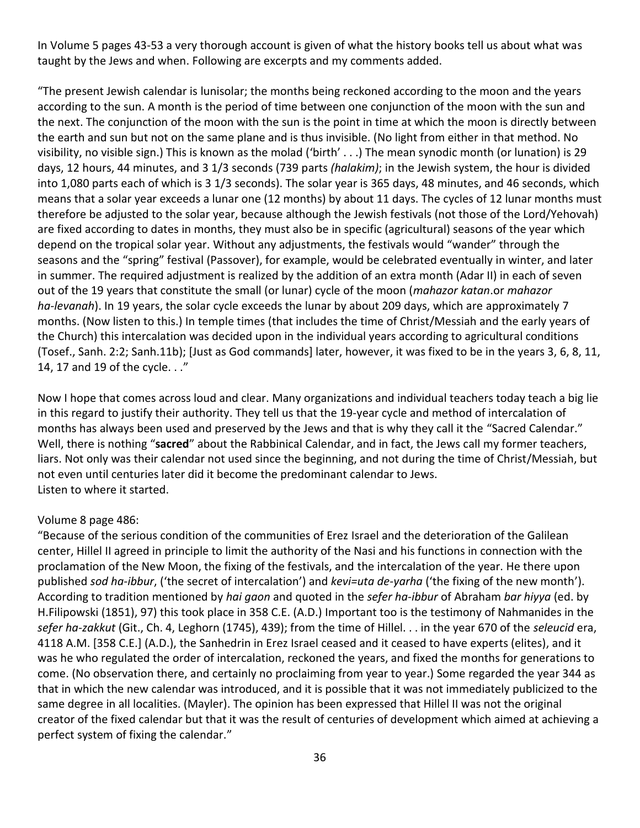In Volume 5 pages 43-53 a very thorough account is given of what the history books tell us about what was taught by the Jews and when. Following are excerpts and my comments added.

"The present Jewish calendar is lunisolar; the months being reckoned according to the moon and the years according to the sun. A month is the period of time between one conjunction of the moon with the sun and the next. The conjunction of the moon with the sun is the point in time at which the moon is directly between the earth and sun but not on the same plane and is thus invisible. (No light from either in that method. No visibility, no visible sign.) This is known as the molad ('birth' . . .) The mean synodic month (or lunation) is 29 days, 12 hours, 44 minutes, and 3 1/3 seconds (739 parts *(halakim)*; in the Jewish system, the hour is divided into 1,080 parts each of which is 3 1/3 seconds). The solar year is 365 days, 48 minutes, and 46 seconds, which means that a solar year exceeds a lunar one (12 months) by about 11 days. The cycles of 12 lunar months must therefore be adjusted to the solar year, because although the Jewish festivals (not those of the Lord/Yehovah) are fixed according to dates in months, they must also be in specific (agricultural) seasons of the year which depend on the tropical solar year. Without any adjustments, the festivals would "wander" through the seasons and the "spring" festival (Passover), for example, would be celebrated eventually in winter, and later in summer. The required adjustment is realized by the addition of an extra month (Adar II) in each of seven out of the 19 years that constitute the small (or lunar) cycle of the moon (*mahazor katan*.or *mahazor ha-levanah*). In 19 years, the solar cycle exceeds the lunar by about 209 days, which are approximately 7 months. (Now listen to this.) In temple times (that includes the time of Christ/Messiah and the early years of the Church) this intercalation was decided upon in the individual years according to agricultural conditions (Tosef., Sanh. 2:2; Sanh.11b); [Just as God commands] later, however, it was fixed to be in the years 3, 6, 8, 11, 14, 17 and 19 of the cycle. . ."

Now I hope that comes across loud and clear. Many organizations and individual teachers today teach a big lie in this regard to justify their authority. They tell us that the 19-year cycle and method of intercalation of months has always been used and preserved by the Jews and that is why they call it the "Sacred Calendar." Well, there is nothing "**sacred**" about the Rabbinical Calendar, and in fact, the Jews call my former teachers, liars. Not only was their calendar not used since the beginning, and not during the time of Christ/Messiah, but not even until centuries later did it become the predominant calendar to Jews. Listen to where it started.

#### Volume 8 page 486:

"Because of the serious condition of the communities of Erez Israel and the deterioration of the Galilean center, Hillel II agreed in principle to limit the authority of the Nasi and his functions in connection with the proclamation of the New Moon, the fixing of the festivals, and the intercalation of the year. He there upon published *sod ha-ibbur*, ('the secret of intercalation') and *kevi=uta de-yarha* ('the fixing of the new month'). According to tradition mentioned by *hai gaon* and quoted in the *sefer ha-ibbur* of Abraham *bar hiyya* (ed. by H.Filipowski (1851), 97) this took place in 358 C.E. (A.D.) Important too is the testimony of Nahmanides in the *sefer ha-zakkut* (Git., Ch. 4, Leghorn (1745), 439); from the time of Hillel. . . in the year 670 of the *seleucid* era, 4118 A.M. [358 C.E.] (A.D.), the Sanhedrin in Erez Israel ceased and it ceased to have experts (elites), and it was he who regulated the order of intercalation, reckoned the years, and fixed the months for generations to come. (No observation there, and certainly no proclaiming from year to year.) Some regarded the year 344 as that in which the new calendar was introduced, and it is possible that it was not immediately publicized to the same degree in all localities. (Mayler). The opinion has been expressed that Hillel II was not the original creator of the fixed calendar but that it was the result of centuries of development which aimed at achieving a perfect system of fixing the calendar."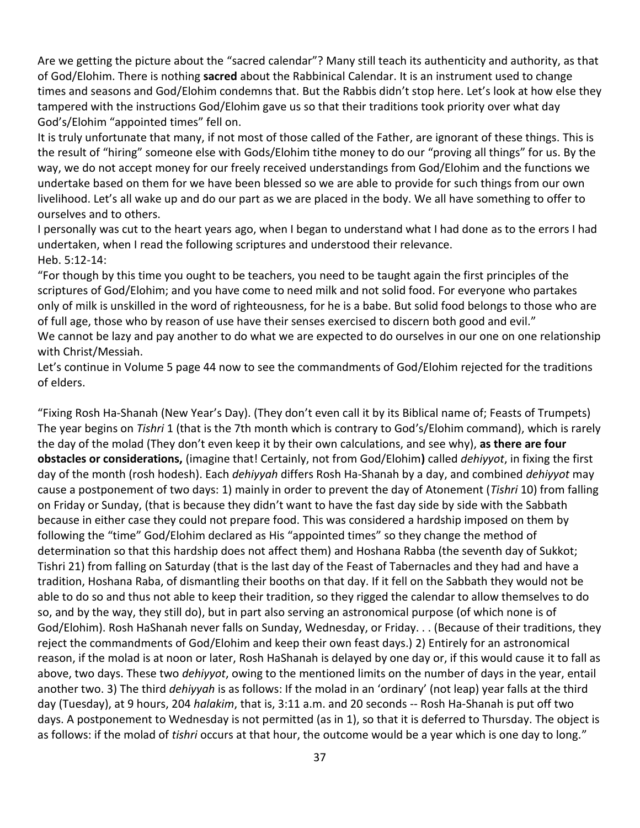Are we getting the picture about the "sacred calendar"? Many still teach its authenticity and authority, as that of God/Elohim. There is nothing **sacred** about the Rabbinical Calendar. It is an instrument used to change times and seasons and God/Elohim condemns that. But the Rabbis didn't stop here. Let's look at how else they tampered with the instructions God/Elohim gave us so that their traditions took priority over what day God's/Elohim "appointed times" fell on.

It is truly unfortunate that many, if not most of those called of the Father, are ignorant of these things. This is the result of "hiring" someone else with Gods/Elohim tithe money to do our "proving all things" for us. By the way, we do not accept money for our freely received understandings from God/Elohim and the functions we undertake based on them for we have been blessed so we are able to provide for such things from our own livelihood. Let's all wake up and do our part as we are placed in the body. We all have something to offer to ourselves and to others.

I personally was cut to the heart years ago, when I began to understand what I had done as to the errors I had undertaken, when I read the following scriptures and understood their relevance. Heb. 5:12-14:

"For though by this time you ought to be teachers, you need to be taught again the first principles of the scriptures of God/Elohim; and you have come to need milk and not solid food. For everyone who partakes only of milk is unskilled in the word of righteousness, for he is a babe. But solid food belongs to those who are of full age, those who by reason of use have their senses exercised to discern both good and evil." We cannot be lazy and pay another to do what we are expected to do ourselves in our one on one relationship with Christ/Messiah.

Let's continue in Volume 5 page 44 now to see the commandments of God/Elohim rejected for the traditions of elders.

"Fixing Rosh Ha-Shanah (New Year's Day). (They don't even call it by its Biblical name of; Feasts of Trumpets) The year begins on *Tishri* 1 (that is the 7th month which is contrary to God's/Elohim command), which is rarely the day of the molad (They don't even keep it by their own calculations, and see why), **as there are four obstacles or considerations,** (imagine that! Certainly, not from God/Elohim**)** called *dehiyyot*, in fixing the first day of the month (rosh hodesh). Each *dehiyyah* differs Rosh Ha-Shanah by a day, and combined *dehiyyot* may cause a postponement of two days: 1) mainly in order to prevent the day of Atonement (*Tishri* 10) from falling on Friday or Sunday, (that is because they didn't want to have the fast day side by side with the Sabbath because in either case they could not prepare food. This was considered a hardship imposed on them by following the "time" God/Elohim declared as His "appointed times" so they change the method of determination so that this hardship does not affect them) and Hoshana Rabba (the seventh day of Sukkot; Tishri 21) from falling on Saturday (that is the last day of the Feast of Tabernacles and they had and have a tradition, Hoshana Raba, of dismantling their booths on that day. If it fell on the Sabbath they would not be able to do so and thus not able to keep their tradition, so they rigged the calendar to allow themselves to do so, and by the way, they still do), but in part also serving an astronomical purpose (of which none is of God/Elohim). Rosh HaShanah never falls on Sunday, Wednesday, or Friday. . . (Because of their traditions, they reject the commandments of God/Elohim and keep their own feast days.) 2) Entirely for an astronomical reason, if the molad is at noon or later, Rosh HaShanah is delayed by one day or, if this would cause it to fall as above, two days. These two *dehiyyot*, owing to the mentioned limits on the number of days in the year, entail another two. 3) The third *dehiyyah* is as follows: If the molad in an 'ordinary' (not leap) year falls at the third day (Tuesday), at 9 hours, 204 *halakim*, that is, 3:11 a.m. and 20 seconds -- Rosh Ha-Shanah is put off two days. A postponement to Wednesday is not permitted (as in 1), so that it is deferred to Thursday. The object is as follows: if the molad of *tishri* occurs at that hour, the outcome would be a year which is one day to long."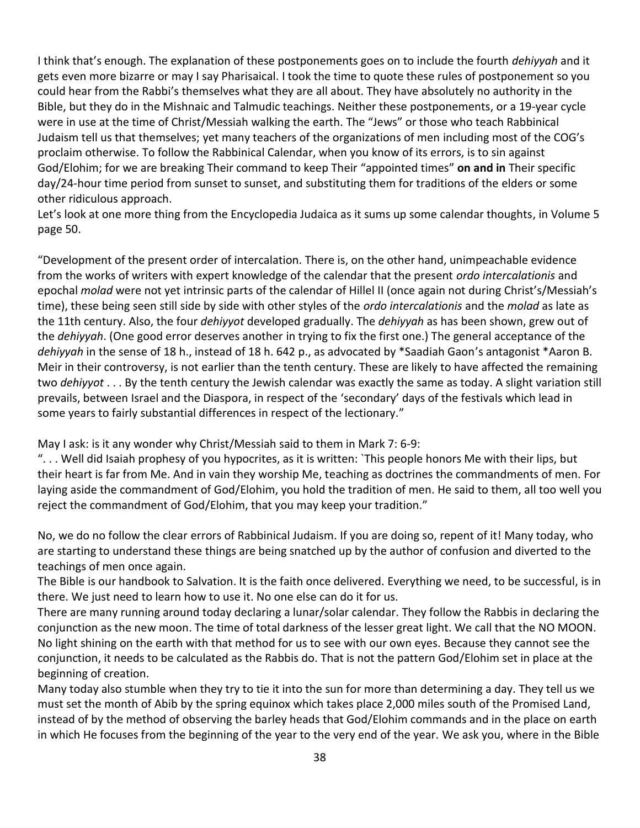I think that's enough. The explanation of these postponements goes on to include the fourth *dehiyyah* and it gets even more bizarre or may I say Pharisaical. I took the time to quote these rules of postponement so you could hear from the Rabbi's themselves what they are all about. They have absolutely no authority in the Bible, but they do in the Mishnaic and Talmudic teachings. Neither these postponements, or a 19-year cycle were in use at the time of Christ/Messiah walking the earth. The "Jews" or those who teach Rabbinical Judaism tell us that themselves; yet many teachers of the organizations of men including most of the COG's proclaim otherwise. To follow the Rabbinical Calendar, when you know of its errors, is to sin against God/Elohim; for we are breaking Their command to keep Their "appointed times" **on and in** Their specific day/24-hour time period from sunset to sunset, and substituting them for traditions of the elders or some other ridiculous approach.

Let's look at one more thing from the Encyclopedia Judaica as it sums up some calendar thoughts, in Volume 5 page 50.

"Development of the present order of intercalation. There is, on the other hand, unimpeachable evidence from the works of writers with expert knowledge of the calendar that the present *ordo intercalationis* and epochal *molad* were not yet intrinsic parts of the calendar of Hillel II (once again not during Christ's/Messiah's time), these being seen still side by side with other styles of the *ordo intercalationis* and the *molad* as late as the 11th century. Also, the four *dehiyyot* developed gradually. The *dehiyyah* as has been shown, grew out of the *dehiyyah*. (One good error deserves another in trying to fix the first one.) The general acceptance of the *dehiyyah* in the sense of 18 h., instead of 18 h. 642 p., as advocated by \*Saadiah Gaon's antagonist \*Aaron B. Meir in their controversy, is not earlier than the tenth century. These are likely to have affected the remaining two *dehiyyot* . . . By the tenth century the Jewish calendar was exactly the same as today. A slight variation still prevails, between Israel and the Diaspora, in respect of the 'secondary' days of the festivals which lead in some years to fairly substantial differences in respect of the lectionary."

May I ask: is it any wonder why Christ/Messiah said to them in Mark 7: 6-9:

". . . Well did Isaiah prophesy of you hypocrites, as it is written: `This people honors Me with their lips, but their heart is far from Me. And in vain they worship Me, teaching as doctrines the commandments of men. For laying aside the commandment of God/Elohim, you hold the tradition of men. He said to them, all too well you reject the commandment of God/Elohim, that you may keep your tradition."

No, we do no follow the clear errors of Rabbinical Judaism. If you are doing so, repent of it! Many today, who are starting to understand these things are being snatched up by the author of confusion and diverted to the teachings of men once again.

The Bible is our handbook to Salvation. It is the faith once delivered. Everything we need, to be successful, is in there. We just need to learn how to use it. No one else can do it for us.

There are many running around today declaring a lunar/solar calendar. They follow the Rabbis in declaring the conjunction as the new moon. The time of total darkness of the lesser great light. We call that the NO MOON. No light shining on the earth with that method for us to see with our own eyes. Because they cannot see the conjunction, it needs to be calculated as the Rabbis do. That is not the pattern God/Elohim set in place at the beginning of creation.

Many today also stumble when they try to tie it into the sun for more than determining a day. They tell us we must set the month of Abib by the spring equinox which takes place 2,000 miles south of the Promised Land, instead of by the method of observing the barley heads that God/Elohim commands and in the place on earth in which He focuses from the beginning of the year to the very end of the year. We ask you, where in the Bible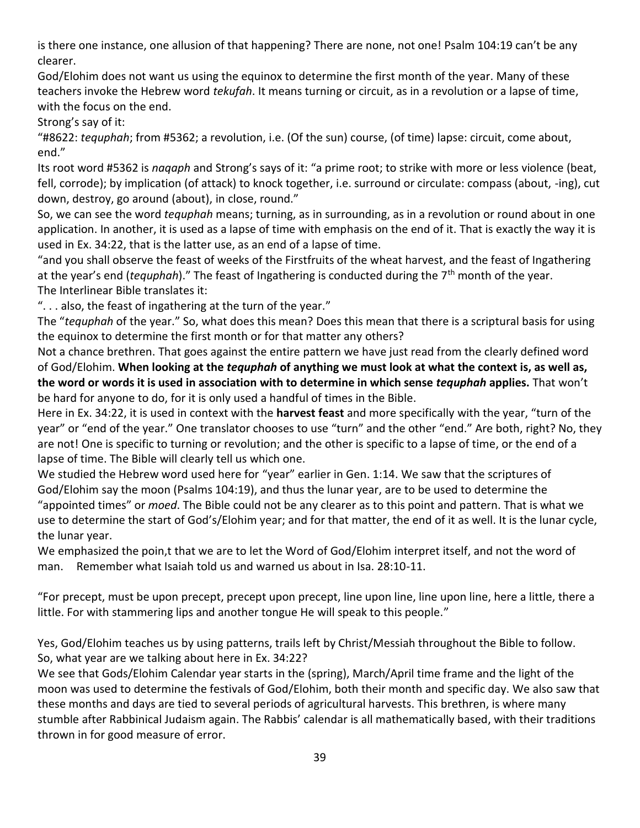is there one instance, one allusion of that happening? There are none, not one! Psalm 104:19 can't be any clearer.

God/Elohim does not want us using the equinox to determine the first month of the year. Many of these teachers invoke the Hebrew word *tekufah*. It means turning or circuit, as in a revolution or a lapse of time, with the focus on the end.

Strong's say of it:

"#8622: *tequphah*; from #5362; a revolution, i.e. (Of the sun) course, (of time) lapse: circuit, come about, end."

Its root word #5362 is *naqaph* and Strong's says of it: "a prime root; to strike with more or less violence (beat, fell, corrode); by implication (of attack) to knock together, i.e. surround or circulate: compass (about, -ing), cut down, destroy, go around (about), in close, round."

So, we can see the word *tequphah* means; turning, as in surrounding, as in a revolution or round about in one application. In another, it is used as a lapse of time with emphasis on the end of it. That is exactly the way it is used in Ex. 34:22, that is the latter use, as an end of a lapse of time.

"and you shall observe the feast of weeks of the Firstfruits of the wheat harvest, and the feast of Ingathering at the year's end (*tequphah*)." The feast of Ingathering is conducted during the 7th month of the year. The Interlinear Bible translates it:

". . . also, the feast of ingathering at the turn of the year."

The "*tequphah* of the year." So, what does this mean? Does this mean that there is a scriptural basis for using the equinox to determine the first month or for that matter any others?

Not a chance brethren. That goes against the entire pattern we have just read from the clearly defined word of God/Elohim. **When looking at the** *tequphah* **of anything we must look at what the context is, as well as, the word or words it is used in association with to determine in which sense** *tequphah* **applies.** That won't be hard for anyone to do, for it is only used a handful of times in the Bible.

Here in Ex. 34:22, it is used in context with the **harvest feast** and more specifically with the year, "turn of the year" or "end of the year." One translator chooses to use "turn" and the other "end." Are both, right? No, they are not! One is specific to turning or revolution; and the other is specific to a lapse of time, or the end of a lapse of time. The Bible will clearly tell us which one.

We studied the Hebrew word used here for "year" earlier in Gen. 1:14. We saw that the scriptures of God/Elohim say the moon (Psalms 104:19), and thus the lunar year, are to be used to determine the "appointed times" or *moed*. The Bible could not be any clearer as to this point and pattern. That is what we use to determine the start of God's/Elohim year; and for that matter, the end of it as well. It is the lunar cycle, the lunar year.

We emphasized the poin,t that we are to let the Word of God/Elohim interpret itself, and not the word of man. Remember what Isaiah told us and warned us about in Isa. 28:10-11.

"For precept, must be upon precept, precept upon precept, line upon line, line upon line, here a little, there a little. For with stammering lips and another tongue He will speak to this people."

Yes, God/Elohim teaches us by using patterns, trails left by Christ/Messiah throughout the Bible to follow. So, what year are we talking about here in Ex. 34:22?

We see that Gods/Elohim Calendar year starts in the (spring), March/April time frame and the light of the moon was used to determine the festivals of God/Elohim, both their month and specific day. We also saw that these months and days are tied to several periods of agricultural harvests. This brethren, is where many stumble after Rabbinical Judaism again. The Rabbis' calendar is all mathematically based, with their traditions thrown in for good measure of error.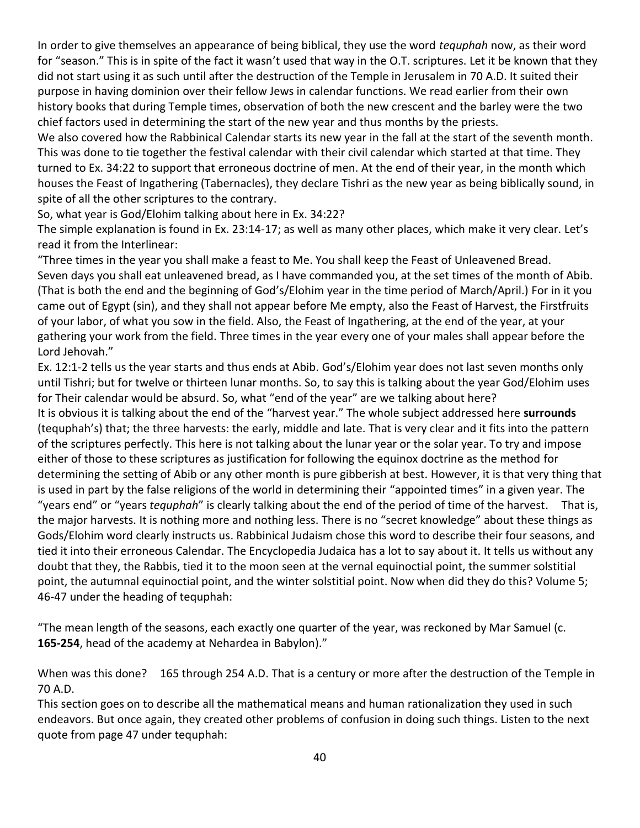In order to give themselves an appearance of being biblical, they use the word *tequphah* now, as their word for "season." This is in spite of the fact it wasn't used that way in the O.T. scriptures. Let it be known that they did not start using it as such until after the destruction of the Temple in Jerusalem in 70 A.D. It suited their purpose in having dominion over their fellow Jews in calendar functions. We read earlier from their own history books that during Temple times, observation of both the new crescent and the barley were the two chief factors used in determining the start of the new year and thus months by the priests.

We also covered how the Rabbinical Calendar starts its new year in the fall at the start of the seventh month. This was done to tie together the festival calendar with their civil calendar which started at that time. They turned to Ex. 34:22 to support that erroneous doctrine of men. At the end of their year, in the month which houses the Feast of Ingathering (Tabernacles), they declare Tishri as the new year as being biblically sound, in spite of all the other scriptures to the contrary.

So, what year is God/Elohim talking about here in Ex. 34:22?

The simple explanation is found in Ex. 23:14-17; as well as many other places, which make it very clear. Let's read it from the Interlinear:

"Three times in the year you shall make a feast to Me. You shall keep the Feast of Unleavened Bread. Seven days you shall eat unleavened bread, as I have commanded you, at the set times of the month of Abib. (That is both the end and the beginning of God's/Elohim year in the time period of March/April.) For in it you came out of Egypt (sin), and they shall not appear before Me empty, also the Feast of Harvest, the Firstfruits of your labor, of what you sow in the field. Also, the Feast of Ingathering, at the end of the year, at your gathering your work from the field. Three times in the year every one of your males shall appear before the Lord Jehovah."

Ex. 12:1-2 tells us the year starts and thus ends at Abib. God's/Elohim year does not last seven months only until Tishri; but for twelve or thirteen lunar months. So, to say this is talking about the year God/Elohim uses for Their calendar would be absurd. So, what "end of the year" are we talking about here? It is obvious it is talking about the end of the "harvest year." The whole subject addressed here **surrounds** (tequphah's) that; the three harvests: the early, middle and late. That is very clear and it fits into the pattern of the scriptures perfectly. This here is not talking about the lunar year or the solar year. To try and impose either of those to these scriptures as justification for following the equinox doctrine as the method for determining the setting of Abib or any other month is pure gibberish at best. However, it is that very thing that is used in part by the false religions of the world in determining their "appointed times" in a given year. The "years end" or "years *tequphah*" is clearly talking about the end of the period of time of the harvest. That is, the major harvests. It is nothing more and nothing less. There is no "secret knowledge" about these things as Gods/Elohim word clearly instructs us. Rabbinical Judaism chose this word to describe their four seasons, and tied it into their erroneous Calendar. The Encyclopedia Judaica has a lot to say about it. It tells us without any doubt that they, the Rabbis, tied it to the moon seen at the vernal equinoctial point, the summer solstitial point, the autumnal equinoctial point, and the winter solstitial point. Now when did they do this? Volume 5; 46-47 under the heading of tequphah:

"The mean length of the seasons, each exactly one quarter of the year, was reckoned by Mar Samuel (c. **165-254**, head of the academy at Nehardea in Babylon)."

When was this done? 165 through 254 A.D. That is a century or more after the destruction of the Temple in 70 A.D.

This section goes on to describe all the mathematical means and human rationalization they used in such endeavors. But once again, they created other problems of confusion in doing such things. Listen to the next quote from page 47 under tequphah: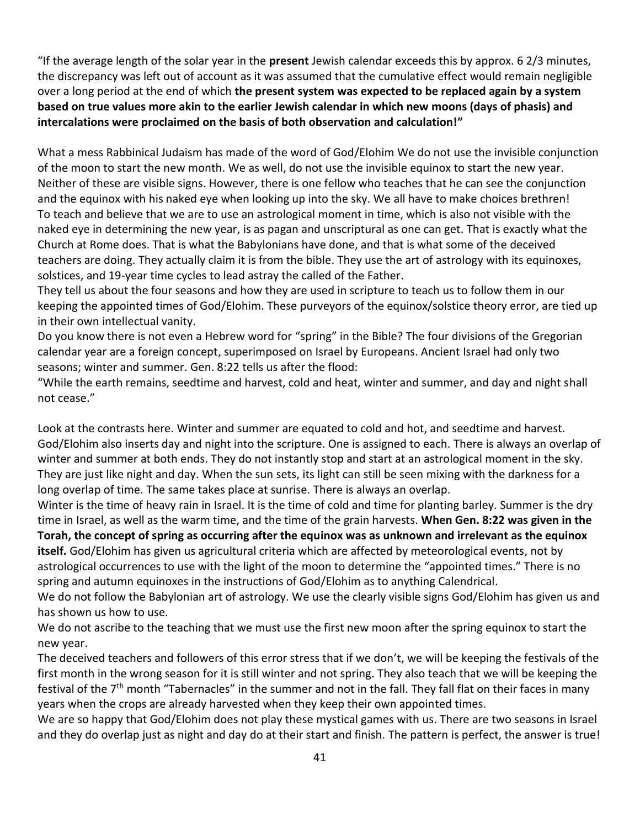"If the average length of the solar year in the **present** Jewish calendar exceeds this by approx. 6 2/3 minutes, the discrepancy was left out of account as it was assumed that the cumulative effect would remain negligible over a long period at the end of which **the present system was expected to be replaced again by a system based on true values more akin to the earlier Jewish calendar in which new moons (days of phasis) and intercalations were proclaimed on the basis of both observation and calculation!"**

What a mess Rabbinical Judaism has made of the word of God/Elohim We do not use the invisible conjunction of the moon to start the new month. We as well, do not use the invisible equinox to start the new year. Neither of these are visible signs. However, there is one fellow who teaches that he can see the conjunction and the equinox with his naked eye when looking up into the sky. We all have to make choices brethren! To teach and believe that we are to use an astrological moment in time, which is also not visible with the naked eye in determining the new year, is as pagan and unscriptural as one can get. That is exactly what the Church at Rome does. That is what the Babylonians have done, and that is what some of the deceived teachers are doing. They actually claim it is from the bible. They use the art of astrology with its equinoxes, solstices, and 19-year time cycles to lead astray the called of the Father.

They tell us about the four seasons and how they are used in scripture to teach us to follow them in our keeping the appointed times of God/Elohim. These purveyors of the equinox/solstice theory error, are tied up in their own intellectual vanity.

Do you know there is not even a Hebrew word for "spring" in the Bible? The four divisions of the Gregorian calendar year are a foreign concept, superimposed on Israel by Europeans. Ancient Israel had only two seasons; winter and summer. Gen. 8:22 tells us after the flood:

"While the earth remains, seedtime and harvest, cold and heat, winter and summer, and day and night shall not cease."

Look at the contrasts here. Winter and summer are equated to cold and hot, and seedtime and harvest. God/Elohim also inserts day and night into the scripture. One is assigned to each. There is always an overlap of winter and summer at both ends. They do not instantly stop and start at an astrological moment in the sky. They are just like night and day. When the sun sets, its light can still be seen mixing with the darkness for a long overlap of time. The same takes place at sunrise. There is always an overlap.

Winter is the time of heavy rain in Israel. It is the time of cold and time for planting barley. Summer is the dry time in Israel, as well as the warm time, and the time of the grain harvests. **When Gen. 8:22 was given in the Torah, the concept of spring as occurring after the equinox was as unknown and irrelevant as the equinox itself.** God/Elohim has given us agricultural criteria which are affected by meteorological events, not by astrological occurrences to use with the light of the moon to determine the "appointed times." There is no spring and autumn equinoxes in the instructions of God/Elohim as to anything Calendrical.

We do not follow the Babylonian art of astrology. We use the clearly visible signs God/Elohim has given us and has shown us how to use.

We do not ascribe to the teaching that we must use the first new moon after the spring equinox to start the new year.

The deceived teachers and followers of this error stress that if we don't, we will be keeping the festivals of the first month in the wrong season for it is still winter and not spring. They also teach that we will be keeping the festival of the 7<sup>th</sup> month "Tabernacles" in the summer and not in the fall. They fall flat on their faces in many years when the crops are already harvested when they keep their own appointed times.

We are so happy that God/Elohim does not play these mystical games with us. There are two seasons in Israel and they do overlap just as night and day do at their start and finish. The pattern is perfect, the answer is true!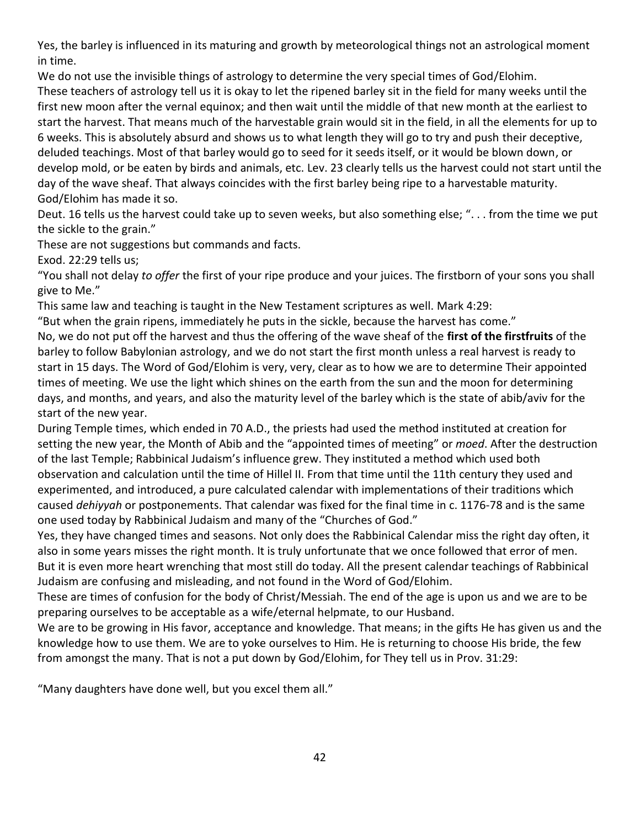Yes, the barley is influenced in its maturing and growth by meteorological things not an astrological moment in time.

We do not use the invisible things of astrology to determine the very special times of God/Elohim. These teachers of astrology tell us it is okay to let the ripened barley sit in the field for many weeks until the first new moon after the vernal equinox; and then wait until the middle of that new month at the earliest to start the harvest. That means much of the harvestable grain would sit in the field, in all the elements for up to 6 weeks. This is absolutely absurd and shows us to what length they will go to try and push their deceptive, deluded teachings. Most of that barley would go to seed for it seeds itself, or it would be blown down, or develop mold, or be eaten by birds and animals, etc. Lev. 23 clearly tells us the harvest could not start until the day of the wave sheaf. That always coincides with the first barley being ripe to a harvestable maturity. God/Elohim has made it so.

Deut. 16 tells us the harvest could take up to seven weeks, but also something else; ". . . from the time we put the sickle to the grain."

These are not suggestions but commands and facts.

Exod. 22:29 tells us;

"You shall not delay *to offer* the first of your ripe produce and your juices. The firstborn of your sons you shall give to Me."

This same law and teaching is taught in the New Testament scriptures as well. Mark 4:29:

"But when the grain ripens, immediately he puts in the sickle, because the harvest has come."

No, we do not put off the harvest and thus the offering of the wave sheaf of the **first of the firstfruits** of the barley to follow Babylonian astrology, and we do not start the first month unless a real harvest is ready to start in 15 days. The Word of God/Elohim is very, very, clear as to how we are to determine Their appointed times of meeting. We use the light which shines on the earth from the sun and the moon for determining days, and months, and years, and also the maturity level of the barley which is the state of abib/aviv for the start of the new year.

During Temple times, which ended in 70 A.D., the priests had used the method instituted at creation for setting the new year, the Month of Abib and the "appointed times of meeting" or *moed*. After the destruction of the last Temple; Rabbinical Judaism's influence grew. They instituted a method which used both observation and calculation until the time of Hillel II. From that time until the 11th century they used and experimented, and introduced, a pure calculated calendar with implementations of their traditions which caused *dehiyyah* or postponements. That calendar was fixed for the final time in c. 1176-78 and is the same one used today by Rabbinical Judaism and many of the "Churches of God."

Yes, they have changed times and seasons. Not only does the Rabbinical Calendar miss the right day often, it also in some years misses the right month. It is truly unfortunate that we once followed that error of men. But it is even more heart wrenching that most still do today. All the present calendar teachings of Rabbinical Judaism are confusing and misleading, and not found in the Word of God/Elohim.

These are times of confusion for the body of Christ/Messiah. The end of the age is upon us and we are to be preparing ourselves to be acceptable as a wife/eternal helpmate, to our Husband.

We are to be growing in His favor, acceptance and knowledge. That means; in the gifts He has given us and the knowledge how to use them. We are to yoke ourselves to Him. He is returning to choose His bride, the few from amongst the many. That is not a put down by God/Elohim, for They tell us in Prov. 31:29:

"Many daughters have done well, but you excel them all."